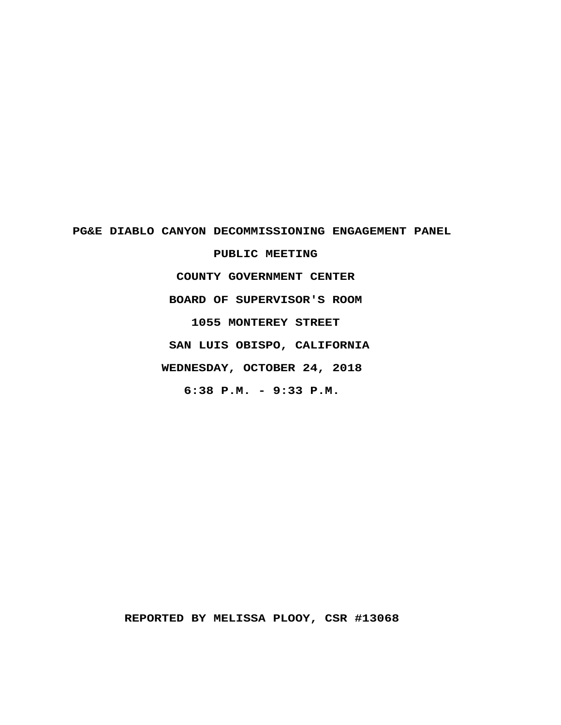# PG&E DIABLO CANYON DECOMMISSIONING ENGAGEMENT PANEL

PUBLIC MEETING COUNTY GOVERNMENT CENTER BOARD OF SUPERVISOR'S ROOM 1055 MONTEREY STREET SAN LUIS OBISPO, CALIFORNIA WEDNESDAY, OCTOBER 24, 2018 6:38 P.M. - 9:33 P.M.

REPORTED BY MELISSA PLOOY, CSR #13068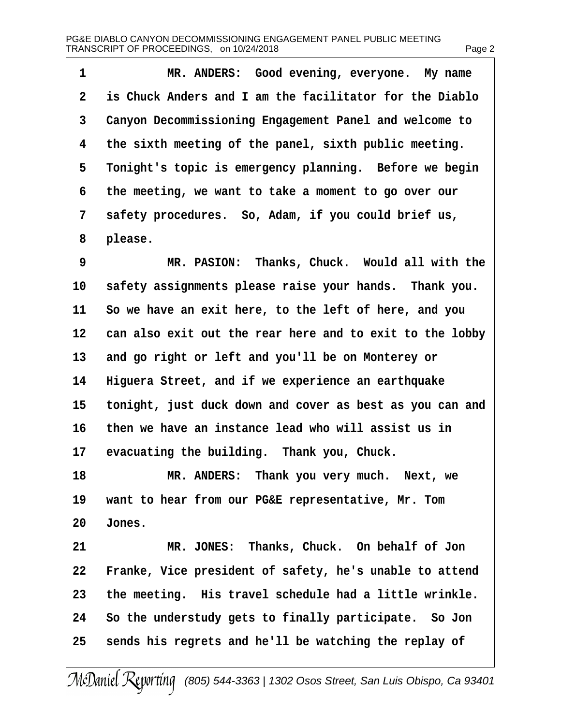| 1              | MR. ANDERS: Good evening, everyone. My name              |
|----------------|----------------------------------------------------------|
| $\overline{2}$ | is Chuck Anders and I am the facilitator for the Diablo  |
| 3              | Canyon Decommissioning Engagement Panel and welcome to   |
| 4              | the sixth meeting of the panel, sixth public meeting.    |
| 5              | Tonight's topic is emergency planning. Before we begin   |
| 6              | the meeting, we want to take a moment to go over our     |
| 7              | safety procedures. So, Adam, if you could brief us,      |
| 8              | please.                                                  |
| 9              | MR. PASION: Thanks, Chuck. Would all with the            |
| 10             | safety assignments please raise your hands. Thank you.   |
| 11             | So we have an exit here, to the left of here, and you    |
| 12             | can also exit out the rear here and to exit to the lobby |
| 13             | and go right or left and you'll be on Monterey or        |
| 14             | Higuera Street, and if we experience an earthquake       |
| 15             | tonight, just duck down and cover as best as you can and |
| 16             | then we have an instance lead who will assist us in      |
| 17             | evacuating the building. Thank you, Chuck.               |
| 18             | MR. ANDERS: Thank you very much. Next, we                |
| 19             | want to hear from our PG&E representative, Mr. Tom       |
| 20             | Jones.                                                   |
| 21             | MR. JONES: Thanks, Chuck. On behalf of Jon               |
| 22             | Franke, Vice president of safety, he's unable to attend  |
| 23             | the meeting. His travel schedule had a little wrinkle.   |
| 24             | So the understudy gets to finally participate. So Jon    |
| 25             | sends his regrets and he'll be watching the replay of    |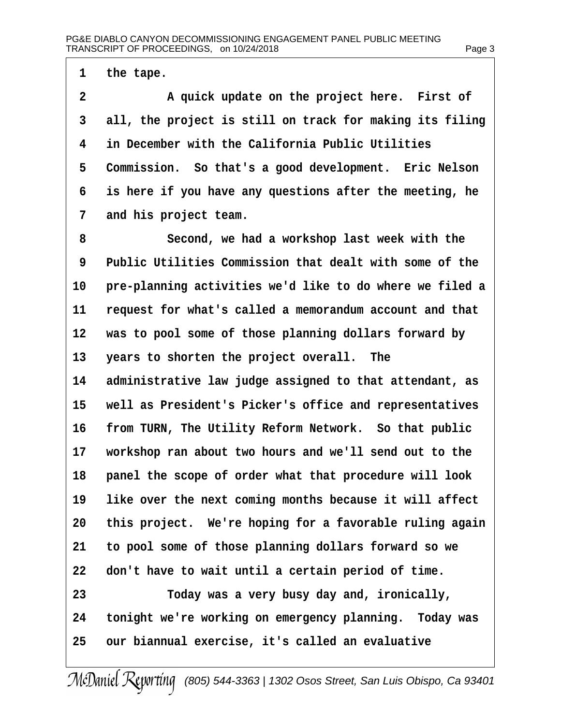1 the tape.

2 A quick update on the project here. First of 3 all, the project is still on track for making its filing 4 in December with the California Public Utilities 5 Commission. So that's a good development. Eric Nelson 6 is here if you have any questions after the meeting, he 7 and his project team. 8 Second, we had a workshop last week with the 9 Public Utilities Commission that dealt with some of the 10 pre-planning activities we'd like to do where we filed a 11 request for what's called a memorandum account and that 12 was to pool some of those planning dollars forward by 13 years to shorten the project overall. The 14 administrative law judge assigned to that attendant, as 15 well as President's Picker's office and representatives 16 from TURN, The Utility Reform Network. So that public 17 workshop ran about two hours and we'll send out to the 18 panel the scope of order what that procedure will look 19 like over the next coming months because it will affect 20 this project. We're hoping for a favorable ruling again 21 to pool some of those planning dollars forward so we 22 don't have to wait until a certain period of time. 23 Today was a very busy day and, ironically, 24 tonight we're working on emergency planning. Today was 25 our biannual exercise, it's called an evaluative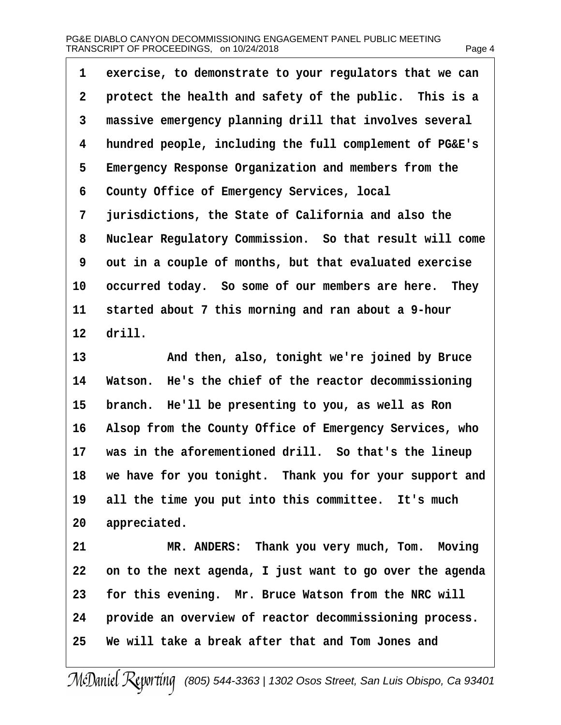| exercise, to demonstrate to your regulators that we can<br>1   |
|----------------------------------------------------------------|
| 2<br>protect the health and safety of the public. This is a    |
| 3<br>massive emergency planning drill that involves several    |
| hundred people, including the full complement of PG&E's<br>4   |
| Emergency Response Organization and members from the<br>5      |
| County Office of Emergency Services, local<br>6                |
| jurisdictions, the State of California and also the<br>7       |
| 8<br>Nuclear Regulatory Commission. So that result will come   |
| 9<br>out in a couple of months, but that evaluated exercise    |
| 10<br>occurred today. So some of our members are here. They    |
| 11<br>started about 7 this morning and ran about a 9-hour      |
| 12 drill.                                                      |
| 13<br>And then, also, tonight we're joined by Bruce            |
| Watson. He's the chief of the reactor decommissioning<br>14    |
| 15<br>branch. He'll be presenting to you, as well as Ron       |
| Alsop from the County Office of Emergency Services, who<br>16  |
| was in the aforementioned drill. So that's the lineup<br>17    |
| we have for you tonight. Thank you for your support and<br>18  |
| all the time you put into this committee. It's much<br>19      |
| appreciated.<br>20                                             |
| MR. ANDERS: Thank you very much, Tom. Moving<br>21             |
| on to the next agenda, I just want to go over the agenda<br>22 |
| for this evening. Mr. Bruce Watson from the NRC will<br>23     |
| provide an overview of reactor decommissioning process.<br>24  |
| We will take a break after that and Tom Jones and<br>25        |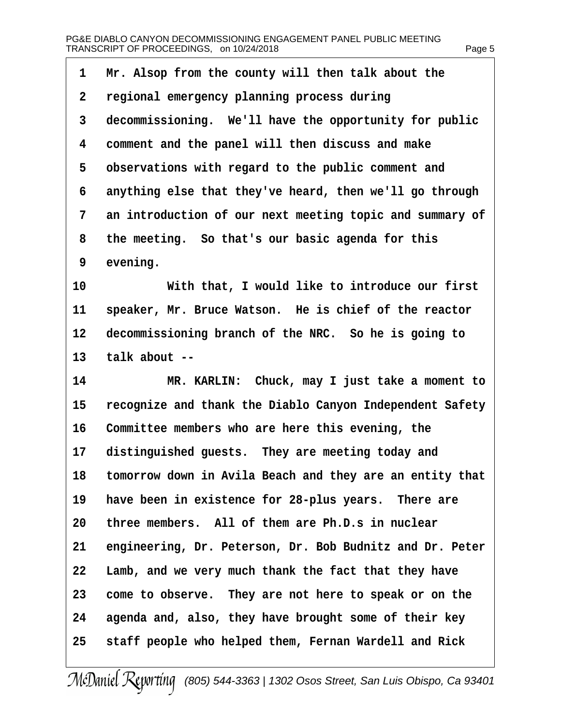| 1              | Mr. Alsop from the county will then talk about the          |
|----------------|-------------------------------------------------------------|
| $\overline{2}$ | regional emergency planning process during                  |
| 3              | decommissioning. We'll have the opportunity for public      |
| 4              | comment and the panel will then discuss and make            |
| 5              | observations with regard to the public comment and          |
| 6              | anything else that they've heard, then we'll go through     |
| 7              | an introduction of our next meeting topic and summary of    |
| 8              | the meeting. So that's our basic agenda for this            |
| 9              | evening.                                                    |
| 10             | With that, I would like to introduce our first              |
| 11             | speaker, Mr. Bruce Watson. He is chief of the reactor       |
| 12             | decommissioning branch of the NRC. So he is going to        |
| 13             | talk about --                                               |
| 14             | MR. KARLIN: Chuck, may I just take a moment to              |
| 15             | recognize and thank the Diablo Canyon Independent Safety    |
| 16             | Committee members who are here this evening, the            |
| 17             | distinguished guests. They are meeting today and            |
|                | 18 tomorrow down in Avila Beach and they are an entity that |
| 19             | have been in existence for 28-plus years. There are         |
| 20             | three members. All of them are Ph.D.s in nuclear            |
| 21             | engineering, Dr. Peterson, Dr. Bob Budnitz and Dr. Peter    |
| 22             | Lamb, and we very much thank the fact that they have        |
| 23             | come to observe. They are not here to speak or on the       |
| 24             | agenda and, also, they have brought some of their key       |
| 25             | staff people who helped them, Fernan Wardell and Rick       |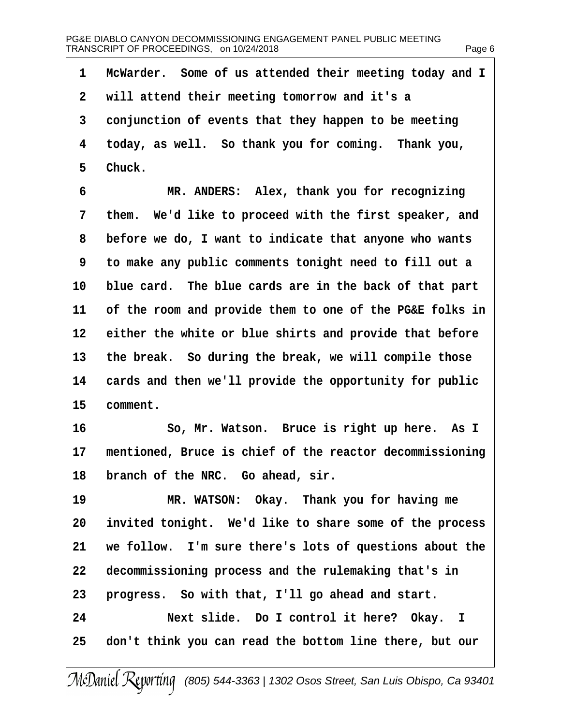| 1  | McWarder. Some of us attended their meeting today and I  |
|----|----------------------------------------------------------|
| 2  | will attend their meeting tomorrow and it's a            |
| 3  | conjunction of events that they happen to be meeting     |
| 4  | today, as well. So thank you for coming. Thank you,      |
| 5  | Chuck.                                                   |
| 6  | MR. ANDERS: Alex, thank you for recognizing              |
| 7  | them. We'd like to proceed with the first speaker, and   |
| 8  | before we do, I want to indicate that anyone who wants   |
| 9  | to make any public comments tonight need to fill out a   |
| 10 | blue card. The blue cards are in the back of that part   |
| 11 | of the room and provide them to one of the PG&E folks in |
| 12 | either the white or blue shirts and provide that before  |
| 13 | the break. So during the break, we will compile those    |
| 14 | cards and then we'll provide the opportunity for public  |
| 15 | comment.                                                 |
| 16 | So, Mr. Watson. Bruce is right up here. As I             |
| 17 | mentioned, Bruce is chief of the reactor decommissioning |
|    | 18 branch of the NRC. Go ahead, sir.                     |
| 19 | MR. WATSON: Okay. Thank you for having me                |
| 20 | invited tonight. We'd like to share some of the process  |
| 21 | we follow. I'm sure there's lots of questions about the  |
| 22 | decommissioning process and the rulemaking that's in     |
| 23 | progress. So with that, I'll go ahead and start.         |
| 24 | Next slide. Do I control it here? Okay. I                |
| 25 | don't think you can read the bottom line there, but our  |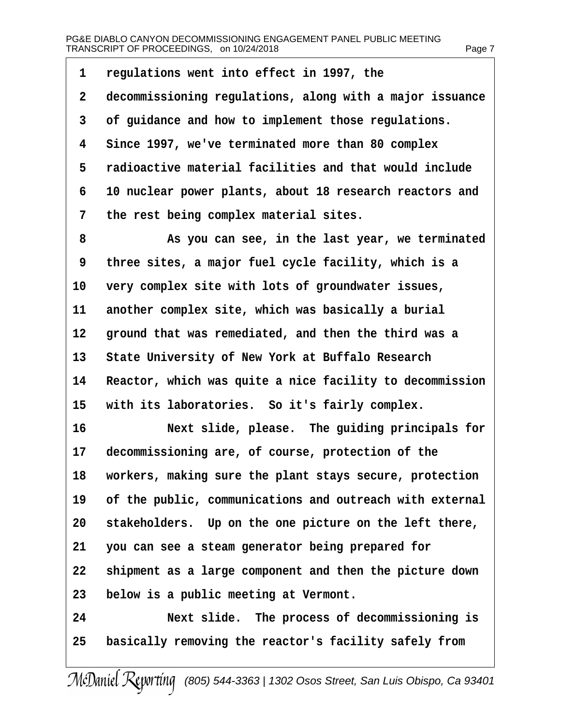| 1  | regulations went into effect in 1997, the                |
|----|----------------------------------------------------------|
| 2  | decommissioning regulations, along with a major issuance |
| 3  | of guidance and how to implement those regulations.      |
| 4  | Since 1997, we've terminated more than 80 complex        |
| 5  | radioactive material facilities and that would include   |
| 6  | 10 nuclear power plants, about 18 research reactors and  |
| 7  | the rest being complex material sites.                   |
| 8  | As you can see, in the last year, we terminated          |
| 9  | three sites, a major fuel cycle facility, which is a     |
| 10 | very complex site with lots of groundwater issues,       |
| 11 | another complex site, which was basically a burial       |
| 12 | ground that was remediated, and then the third was a     |
| 13 | State University of New York at Buffalo Research         |
| 14 | Reactor, which was quite a nice facility to decommission |
| 15 | with its laboratories. So it's fairly complex.           |
| 16 | Next slide, please. The guiding principals for           |
| 17 | decommissioning are, of course, protection of the        |
| 18 | workers, making sure the plant stays secure, protection  |
| 19 | of the public, communications and outreach with external |
| 20 | stakeholders. Up on the one picture on the left there,   |
| 21 | you can see a steam generator being prepared for         |
| 22 | shipment as a large component and then the picture down  |
| 23 | below is a public meeting at Vermont.                    |
| 24 | Next slide. The process of decommissioning is            |
| 25 | basically removing the reactor's facility safely from    |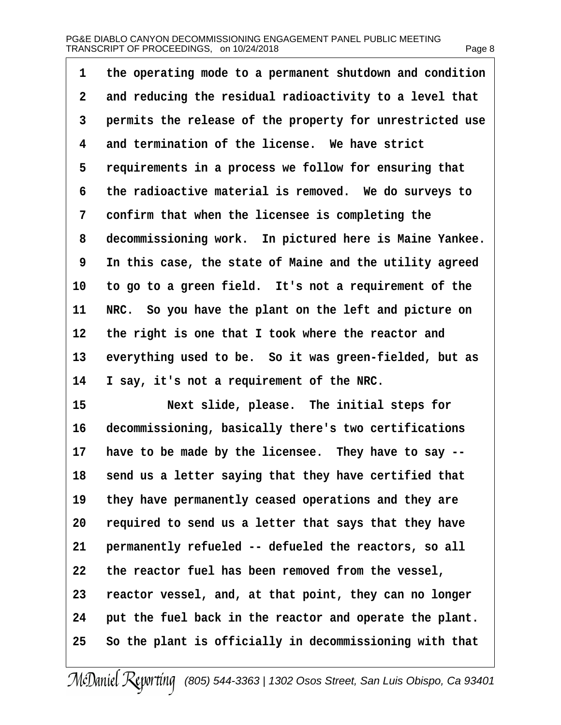| 1  | the operating mode to a permanent shutdown and condition |
|----|----------------------------------------------------------|
| 2  | and reducing the residual radioactivity to a level that  |
| 3  | permits the release of the property for unrestricted use |
| 4  | and termination of the license. We have strict           |
| 5  | requirements in a process we follow for ensuring that    |
| 6  | the radioactive material is removed. We do surveys to    |
| 7  | confirm that when the licensee is completing the         |
| 8  | decommissioning work. In pictured here is Maine Yankee.  |
| 9  | In this case, the state of Maine and the utility agreed  |
| 10 | to go to a green field. It's not a requirement of the    |
| 11 | NRC. So you have the plant on the left and picture on    |
| 12 | the right is one that I took where the reactor and       |
| 13 | everything used to be. So it was green-fielded, but as   |
| 14 | I say, it's not a requirement of the NRC.                |
| 15 | Next slide, please. The initial steps for                |
| 16 | decommissioning, basically there's two certifications    |
| 17 | have to be made by the licensee. They have to say --     |
| 18 | send us a letter saying that they have certified that    |
| 19 | they have permanently ceased operations and they are     |
| 20 | required to send us a letter that says that they have    |
| 21 | permanently refueled -- defueled the reactors, so all    |
| 22 | the reactor fuel has been removed from the vessel,       |
| 23 | reactor vessel, and, at that point, they can no longer   |
| 24 | put the fuel back in the reactor and operate the plant.  |
| 25 | So the plant is officially in decommissioning with that  |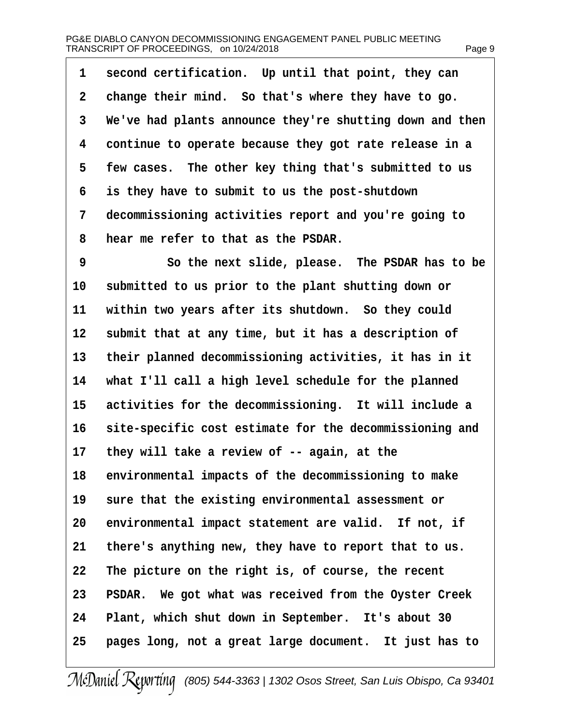| 1            | second certification. Up until that point, they can      |
|--------------|----------------------------------------------------------|
| $\mathbf{2}$ | change their mind. So that's where they have to go.      |
| 3            | We've had plants announce they're shutting down and then |
| 4            | continue to operate because they got rate release in a   |
| 5            | few cases. The other key thing that's submitted to us    |
| 6            | is they have to submit to us the post-shutdown           |
| 7            | decommissioning activities report and you're going to    |
| 8            | hear me refer to that as the PSDAR.                      |
| 9            | So the next slide, please. The PSDAR has to be           |
| 10           | submitted to us prior to the plant shutting down or      |
| 11           | within two years after its shutdown. So they could       |
| 12           | submit that at any time, but it has a description of     |
| 13           | their planned decommissioning activities, it has in it   |
| 14           | what I'll call a high level schedule for the planned     |
| 15           | activities for the decommissioning. It will include a    |
| 16           | site-specific cost estimate for the decommissioning and  |
| 17           | they will take a review of -- again, at the              |
|              | 18 environmental impacts of the decommissioning to make  |
| 19           | sure that the existing environmental assessment or       |
| 20           | environmental impact statement are valid. If not, if     |
| 21           | there's anything new, they have to report that to us.    |
| 22           | The picture on the right is, of course, the recent       |
| 23           | PSDAR. We got what was received from the Oyster Creek    |
| 24           | Plant, which shut down in September. It's about 30       |
| 25           | pages long, not a great large document. It just has to   |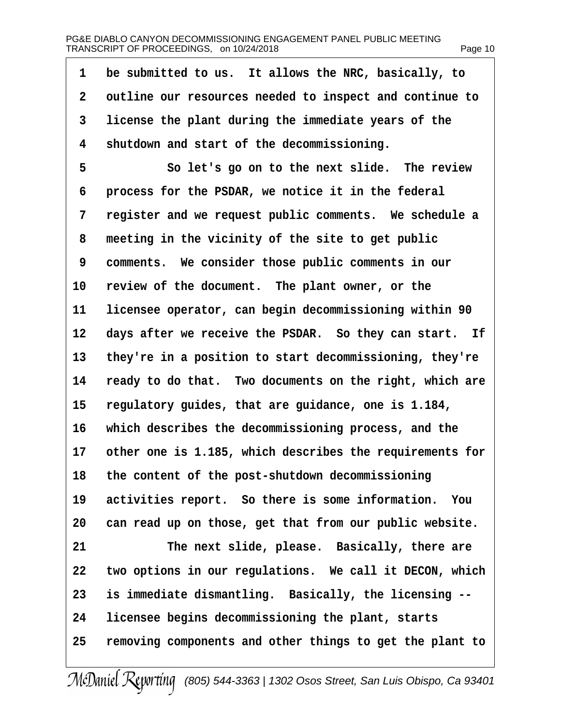| 1              | be submitted to us. It allows the NRC, basically, to     |
|----------------|----------------------------------------------------------|
| $\overline{2}$ | outline our resources needed to inspect and continue to  |
| 3              | license the plant during the immediate years of the      |
| 4              | shutdown and start of the decommissioning.               |
| 5              | So let's go on to the next slide. The review             |
| 6              | process for the PSDAR, we notice it in the federal       |
| 7              | register and we request public comments. We schedule a   |
| 8              | meeting in the vicinity of the site to get public        |
| 9              | comments. We consider those public comments in our       |
| 10             | review of the document. The plant owner, or the          |
| 11             | licensee operator, can begin decommissioning within 90   |
| 12             | days after we receive the PSDAR. So they can start. If   |
| 13             | they're in a position to start decommissioning, they're  |
| 14             | ready to do that. Two documents on the right, which are  |
| 15             | regulatory guides, that are guidance, one is 1.184,      |
| 16             | which describes the decommissioning process, and the     |
| 17             | other one is 1.185, which describes the requirements for |
| 18             | the content of the post-shutdown decommissioning         |
| 19             | activities report. So there is some information. You     |
| 20             | can read up on those, get that from our public website.  |
| 21             | The next slide, please. Basically, there are             |
| 22             | two options in our regulations. We call it DECON, which  |
| 23             | is immediate dismantling. Basically, the licensing --    |
| 24             | licensee begins decommissioning the plant, starts        |
| 25             | removing components and other things to get the plant to |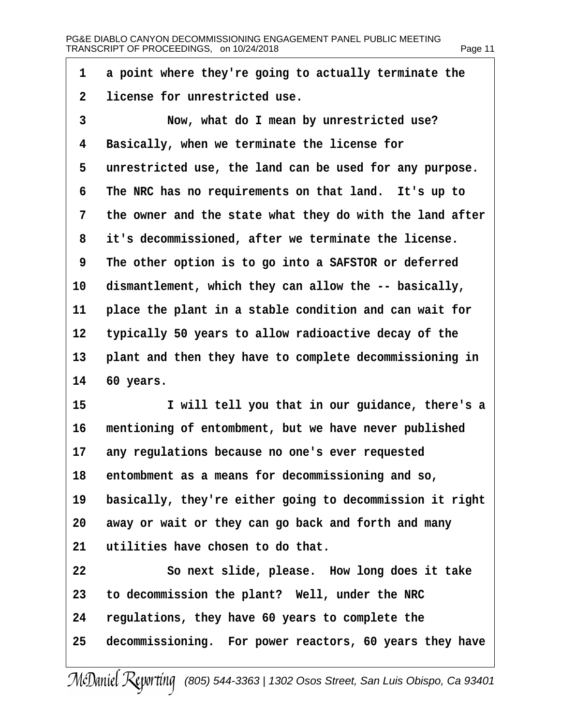- 1 a point where they're going to actually terminate the
- 2 license for unrestricted use.
- 3 Now, what do I mean by unrestricted use?
- 4 Basically, when we terminate the license for
- 5 unrestricted use, the land can be used for any purpose.
- 6 The NRC has no requirements on that land. It's up to
- 7 the owner and the state what they do with the land after
- 8 it's decommissioned, after we terminate the license.
- 9 The other option is to go into a SAFSTOR or deferred
- 10 dismantlement, which they can allow the -- basically,
- 11 place the plant in a stable condition and can wait for
- 12 typically 50 years to allow radioactive decay of the
- 13 plant and then they have to complete decommissioning in
- 14 60 years.
- 15 I will tell you that in our guidance, there's a
- 16 mentioning of entombment, but we have never published
- 17 any regulations because no one's ever requested
- 18 entombment as a means for decommissioning and so,
- 19 basically, they're either going to decommission it right
- 20 away or wait or they can go back and forth and many
- 21 utilities have chosen to do that.
- 22 So next slide, please. How long does it take
- 23 to decommission the plant? Well, under the NRC
- 24 regulations, they have 60 years to complete the
- 25 decommissioning. For power reactors, 60 years they have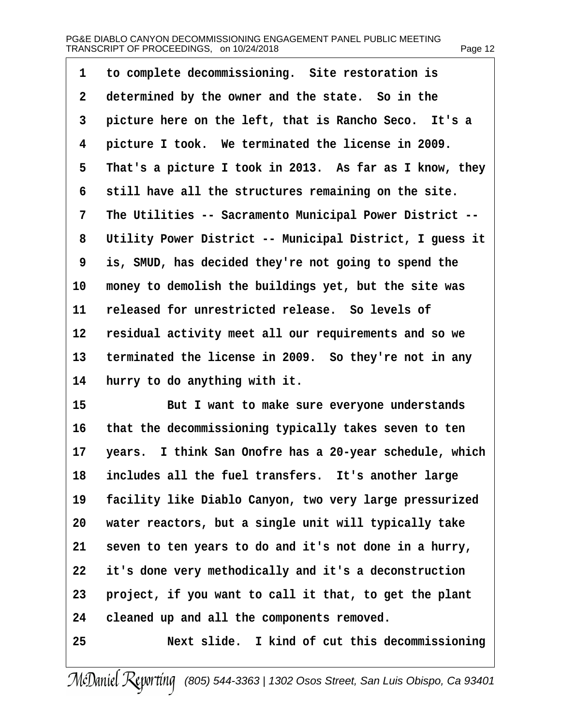| ane, |  |
|------|--|
|      |  |

| 1  | to complete decommissioning. Site restoration is         |
|----|----------------------------------------------------------|
| 2  | determined by the owner and the state. So in the         |
| 3  | picture here on the left, that is Rancho Seco. It's a    |
| 4  | picture I took. We terminated the license in 2009.       |
| 5  | That's a picture I took in 2013. As far as I know, they  |
| 6  | still have all the structures remaining on the site.     |
| 7  | The Utilities -- Sacramento Municipal Power District --  |
| 8  | Utility Power District -- Municipal District, I guess it |
| 9  | is, SMUD, has decided they're not going to spend the     |
| 10 | money to demolish the buildings yet, but the site was    |
| 11 | released for unrestricted release. So levels of          |
| 12 | residual activity meet all our requirements and so we    |
| 13 | terminated the license in 2009. So they're not in any    |
| 14 | hurry to do anything with it.                            |
| 15 | But I want to make sure everyone understands             |
| 16 | that the decommissioning typically takes seven to ten    |
| 17 | years. I think San Onofre has a 20-year schedule, which  |
| 18 | includes all the fuel transfers. It's another large      |
| 19 | facility like Diablo Canyon, two very large pressurized  |
| 20 | water reactors, but a single unit will typically take    |
| 21 | seven to ten years to do and it's not done in a hurry,   |
| 22 | it's done very methodically and it's a deconstruction    |
| 23 | project, if you want to call it that, to get the plant   |
| 24 | cleaned up and all the components removed.               |
| 25 | Next slide. I kind of cut this decommissioning           |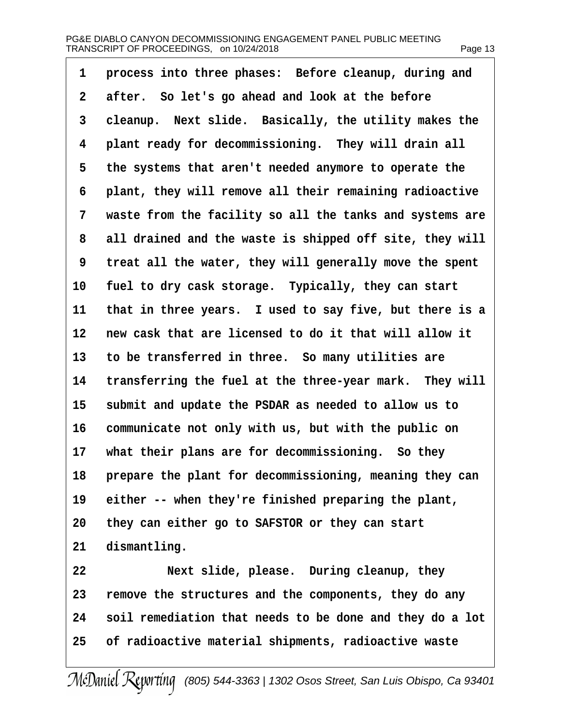| 1               | process into three phases: Before cleanup, during and      |
|-----------------|------------------------------------------------------------|
| 2               | after. So let's go ahead and look at the before            |
| 3               | cleanup. Next slide. Basically, the utility makes the      |
| 4               | plant ready for decommissioning. They will drain all       |
| 5               | the systems that aren't needed anymore to operate the      |
| 6               | plant, they will remove all their remaining radioactive    |
| 7               | waste from the facility so all the tanks and systems are   |
| 8               | all drained and the waste is shipped off site, they will   |
| 9               | treat all the water, they will generally move the spent    |
| 10              | fuel to dry cask storage. Typically, they can start        |
| 11              | that in three years. I used to say five, but there is a    |
| 12 <sub>2</sub> | new cask that are licensed to do it that will allow it     |
| 13              | to be transferred in three. So many utilities are          |
| 14              | transferring the fuel at the three-year mark. They will    |
| 15              | submit and update the PSDAR as needed to allow us to       |
| 16              | communicate not only with us, but with the public on       |
| 17              | what their plans are for decommissioning. So they          |
|                 | 18 prepare the plant for decommissioning, meaning they can |
| 19              | either -- when they're finished preparing the plant,       |
| 20              | they can either go to SAFSTOR or they can start            |
| 21              | dismantling.                                               |
| 22              | Next slide, please. During cleanup, they                   |
| 23              | remove the structures and the components, they do any      |
| 24              | soil remediation that needs to be done and they do a lot   |
| 25              | of radioactive material shipments, radioactive waste       |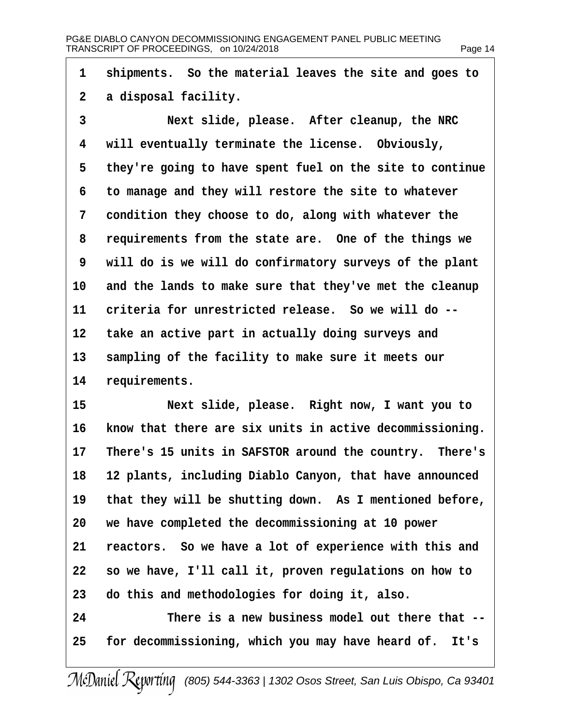| 1              | shipments. So the material leaves the site and goes to     |
|----------------|------------------------------------------------------------|
| $\overline{2}$ | a disposal facility.                                       |
| 3              | Next slide, please. After cleanup, the NRC                 |
| 4              | will eventually terminate the license. Obviously,          |
| 5              | they're going to have spent fuel on the site to continue   |
| 6              | to manage and they will restore the site to whatever       |
| 7              | condition they choose to do, along with whatever the       |
| 8              | requirements from the state are. One of the things we      |
| 9              | will do is we will do confirmatory surveys of the plant    |
| 10             | and the lands to make sure that they've met the cleanup    |
| 11             | criteria for unrestricted release. So we will do --        |
| 12             | take an active part in actually doing surveys and          |
| 13             | sampling of the facility to make sure it meets our         |
| 14             | requirements.                                              |
| 15             | Next slide, please. Right now, I want you to               |
| 16             | know that there are six units in active decommissioning.   |
| 17             | There's 15 units in SAFSTOR around the country. There's    |
|                | 18 12 plants, including Diablo Canyon, that have announced |
| 19             | that they will be shutting down. As I mentioned before,    |
| 20             | we have completed the decommissioning at 10 power          |
| 21             | reactors. So we have a lot of experience with this and     |
| 22             | so we have, I'll call it, proven regulations on how to     |
| 23             | do this and methodologies for doing it, also.              |
| 24             | There is a new business model out there that --            |
|                |                                                            |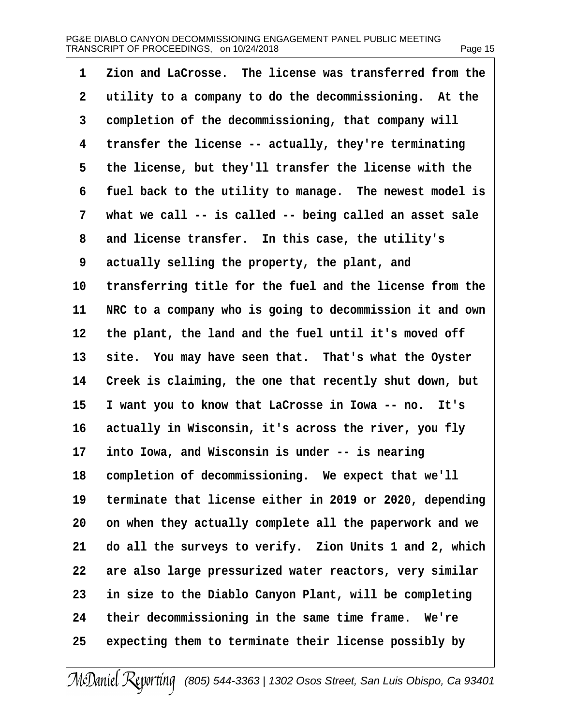| 1               | Zion and LaCrosse. The license was transferred from the  |
|-----------------|----------------------------------------------------------|
| $\overline{2}$  | utility to a company to do the decommissioning. At the   |
| 3               | completion of the decommissioning, that company will     |
| 4               | transfer the license -- actually, they're terminating    |
| 5               | the license, but they'll transfer the license with the   |
| 6               | fuel back to the utility to manage. The newest model is  |
| 7               | what we call -- is called -- being called an asset sale  |
| 8               | and license transfer. In this case, the utility's        |
| 9               | actually selling the property, the plant, and            |
| 10              | transferring title for the fuel and the license from the |
| 11              | NRC to a company who is going to decommission it and own |
| 12 <sub>2</sub> | the plant, the land and the fuel until it's moved off    |
| 13              | site. You may have seen that. That's what the Oyster     |
| 14              | Creek is claiming, the one that recently shut down, but  |
| 15              | I want you to know that LaCrosse in lowa -- no. It's     |
| 16              | actually in Wisconsin, it's across the river, you fly    |
| 17              | into Iowa, and Wisconsin is under -- is nearing          |
| 18              | completion of decommissioning. We expect that we'll      |
| 19              | terminate that license either in 2019 or 2020, depending |
| 20              | on when they actually complete all the paperwork and we  |
| 21              | do all the surveys to verify. Zion Units 1 and 2, which  |
| 22              | are also large pressurized water reactors, very similar  |
| 23              | in size to the Diablo Canyon Plant, will be completing   |
| 24              | their decommissioning in the same time frame. We're      |
| 25              | expecting them to terminate their license possibly by    |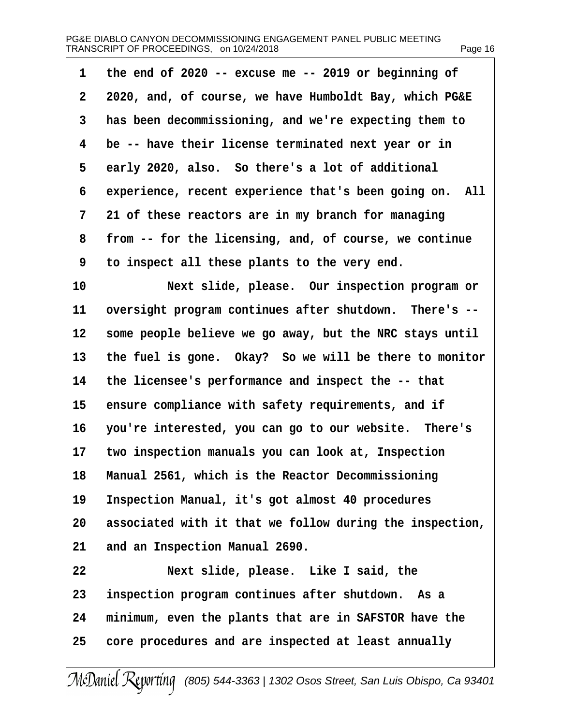| 1  | the end of 2020 -- excuse me -- 2019 or beginning of     |
|----|----------------------------------------------------------|
| 2  | 2020, and, of course, we have Humboldt Bay, which PG&E   |
| 3  | has been decommissioning, and we're expecting them to    |
| 4  | be -- have their license terminated next year or in      |
| 5  | early 2020, also. So there's a lot of additional         |
| 6  | experience, recent experience that's been going on. All  |
| 7  | 21 of these reactors are in my branch for managing       |
| 8  | from -- for the licensing, and, of course, we continue   |
| 9  | to inspect all these plants to the very end.             |
| 10 | Next slide, please. Our inspection program or            |
| 11 | oversight program continues after shutdown. There's --   |
| 12 | some people believe we go away, but the NRC stays until  |
| 13 | the fuel is gone. Okay? So we will be there to monitor   |
| 14 | the licensee's performance and inspect the -- that       |
| 15 | ensure compliance with safety requirements, and if       |
| 16 | you're interested, you can go to our website. There's    |
| 17 | two inspection manuals you can look at, Inspection       |
| 18 | Manual 2561, which is the Reactor Decommissioning        |
| 19 | Inspection Manual, it's got almost 40 procedures         |
| 20 | associated with it that we follow during the inspection, |
| 21 | and an Inspection Manual 2690.                           |
| 22 | Next slide, please. Like I said, the                     |
| 23 | inspection program continues after shutdown. As a        |
| 24 | minimum, even the plants that are in SAFSTOR have the    |
| 25 | core procedures and are inspected at least annually      |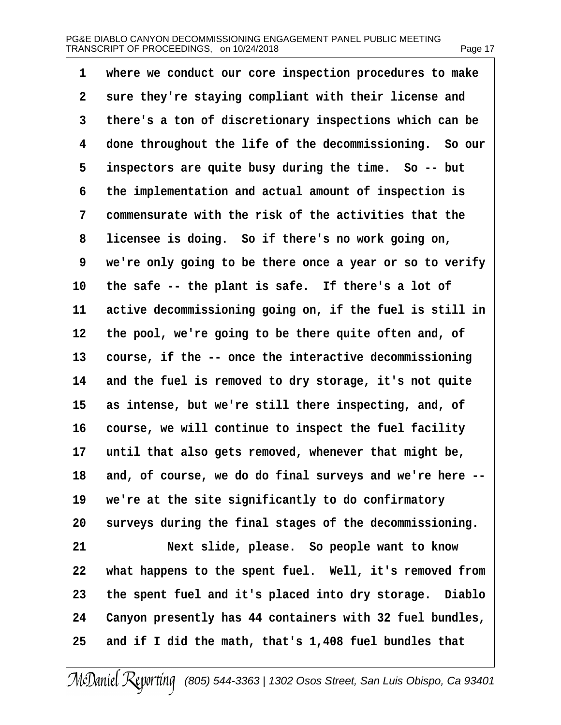| 1  | where we conduct our core inspection procedures to make     |
|----|-------------------------------------------------------------|
| 2  | sure they're staying compliant with their license and       |
| 3  | there's a ton of discretionary inspections which can be     |
| 4  | done throughout the life of the decommissioning. So our     |
| 5  | inspectors are quite busy during the time. So -- but        |
| 6  | the implementation and actual amount of inspection is       |
| 7  | commensurate with the risk of the activities that the       |
| 8  | licensee is doing. So if there's no work going on,          |
| 9  | we're only going to be there once a year or so to verify    |
| 10 | the safe -- the plant is safe. If there's a lot of          |
| 11 | active decommissioning going on, if the fuel is still in    |
| 12 | the pool, we're going to be there quite often and, of       |
| 13 | course, if the -- once the interactive decommissioning      |
| 14 | and the fuel is removed to dry storage, it's not quite      |
| 15 | as intense, but we're still there inspecting, and, of       |
| 16 | course, we will continue to inspect the fuel facility       |
| 17 | until that also gets removed, whenever that might be,       |
|    | 18 and, of course, we do do final surveys and we're here -- |
| 19 | we're at the site significantly to do confirmatory          |
| 20 | surveys during the final stages of the decommissioning.     |
| 21 | Next slide, please. So people want to know                  |
| 22 | what happens to the spent fuel. Well, it's removed from     |
| 23 | the spent fuel and it's placed into dry storage. Diablo     |
| 24 | Canyon presently has 44 containers with 32 fuel bundles,    |
| 25 | and if I did the math, that's 1,408 fuel bundles that       |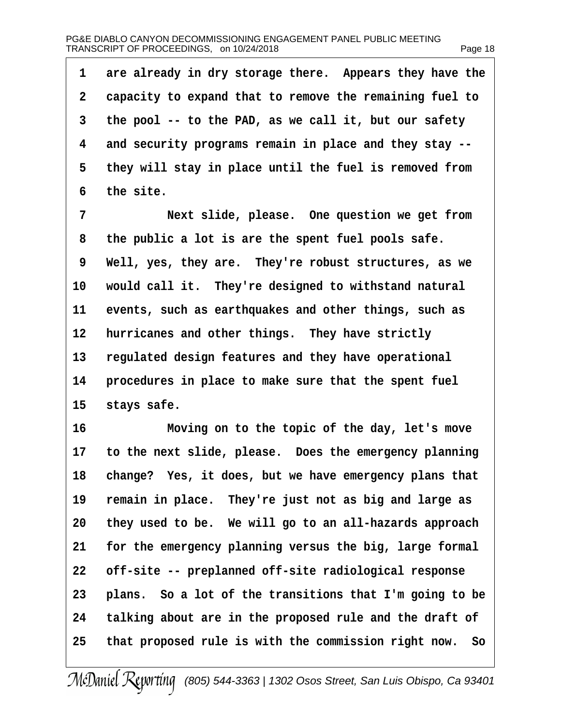| 1               | are already in dry storage there. Appears they have the   |
|-----------------|-----------------------------------------------------------|
| 2               | capacity to expand that to remove the remaining fuel to   |
| 3               | the pool -- to the PAD, as we call it, but our safety     |
| 4               | and security programs remain in place and they stay --    |
| 5               | they will stay in place until the fuel is removed from    |
| 6               | the site.                                                 |
| $\overline{7}$  | Next slide, please. One question we get from              |
| 8               | the public a lot is are the spent fuel pools safe.        |
| 9               | Well, yes, they are. They're robust structures, as we     |
| 10              | would call it. They're designed to withstand natural      |
| 11              | events, such as earthquakes and other things, such as     |
| 12 <sub>2</sub> | hurricanes and other things. They have strictly           |
| 13              | regulated design features and they have operational       |
| 14              | procedures in place to make sure that the spent fuel      |
| 15              | stays safe.                                               |
| 16              | Moving on to the topic of the day, let's move             |
|                 | 17 to the next slide, please. Does the emergency planning |
|                 | 18 change? Yes, it does, but we have emergency plans that |
| 19              | remain in place. They're just not as big and large as     |
| 20              | they used to be. We will go to an all-hazards approach    |
| 21              | for the emergency planning versus the big, large formal   |
| 22              | off-site -- preplanned off-site radiological response     |
| 23              | plans. So a lot of the transitions that I'm going to be   |
| 24              | talking about are in the proposed rule and the draft of   |
| 25              | that proposed rule is with the commission right now. So   |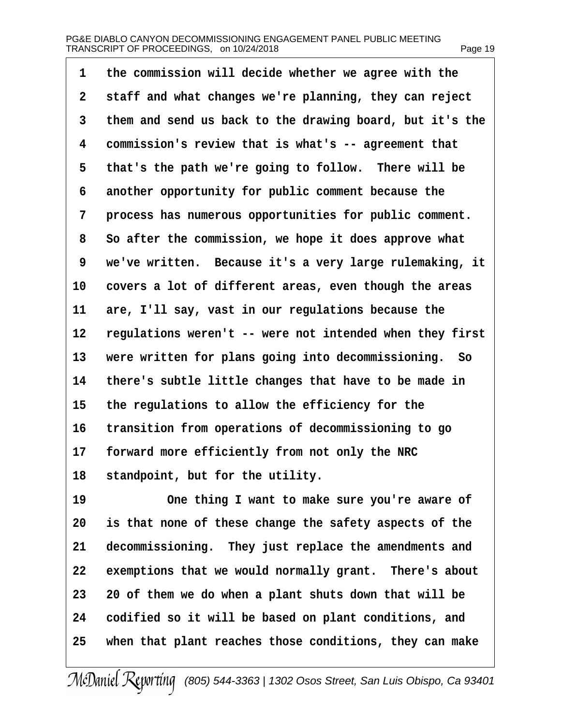| 1  | the commission will decide whether we agree with the     |
|----|----------------------------------------------------------|
| 2  | staff and what changes we're planning, they can reject   |
| 3  | them and send us back to the drawing board, but it's the |
| 4  | commission's review that is what's -- agreement that     |
| 5  | that's the path we're going to follow. There will be     |
| 6  | another opportunity for public comment because the       |
| 7  | process has numerous opportunities for public comment.   |
| 8  | So after the commission, we hope it does approve what    |
| 9  | we've written. Because it's a very large rulemaking, it  |
| 10 | covers a lot of different areas, even though the areas   |
| 11 | are, I'll say, vast in our regulations because the       |
| 12 | regulations weren't -- were not intended when they first |
| 13 | were written for plans going into decommissioning. So    |
| 14 | there's subtle little changes that have to be made in    |
| 15 | the regulations to allow the efficiency for the          |
| 16 | transition from operations of decommissioning to go      |
| 17 | forward more efficiently from not only the NRC           |
|    | 18 standpoint, but for the utility.                      |
| 19 | One thing I want to make sure you're aware of            |
| 20 | is that none of these change the safety aspects of the   |
| 21 | decommissioning. They just replace the amendments and    |
| 22 | exemptions that we would normally grant. There's about   |
| 23 | 20 of them we do when a plant shuts down that will be    |
| 24 | codified so it will be based on plant conditions, and    |
| 25 | when that plant reaches those conditions, they can make  |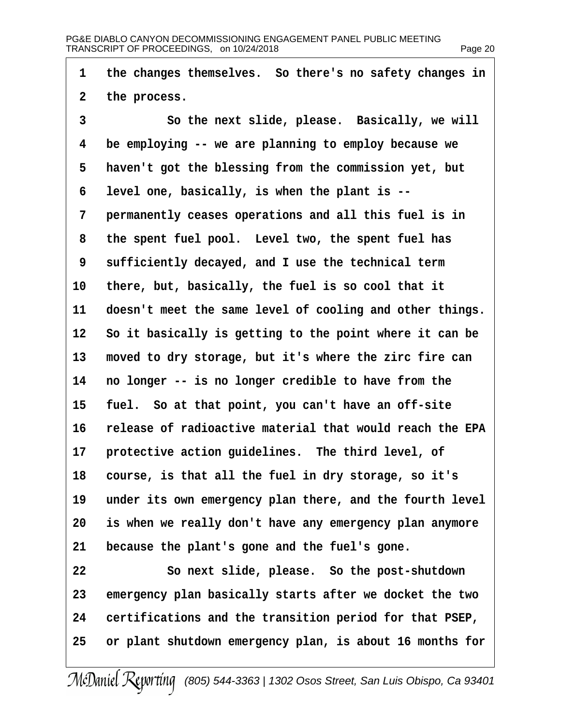| 1              | the changes themselves. So there's no safety changes in    |
|----------------|------------------------------------------------------------|
| $\overline{2}$ | the process.                                               |
| 3              | So the next slide, please. Basically, we will              |
| 4              | be employing -- we are planning to employ because we       |
| 5              | haven't got the blessing from the commission yet, but      |
| 6              | level one, basically, is when the plant is --              |
| 7              | permanently ceases operations and all this fuel is in      |
| 8              | the spent fuel pool. Level two, the spent fuel has         |
| 9              | sufficiently decayed, and I use the technical term         |
| 10             | there, but, basically, the fuel is so cool that it         |
| 11             | doesn't meet the same level of cooling and other things.   |
|                | 12 So it basically is getting to the point where it can be |
| 13             | moved to dry storage, but it's where the zirc fire can     |
| 14             | no longer -- is no longer credible to have from the        |
| 15             | fuel. So at that point, you can't have an off-site         |
| 16             | release of radioactive material that would reach the EPA   |
| 17             | protective action guidelines. The third level, of          |
| 18             | course, is that all the fuel in dry storage, so it's       |
| 19             | under its own emergency plan there, and the fourth level   |
| 20             | is when we really don't have any emergency plan anymore    |
| 21             | because the plant's gone and the fuel's gone.              |
| 22             | So next slide, please. So the post-shutdown                |
| 23             | emergency plan basically starts after we docket the two    |
| 24             | certifications and the transition period for that PSEP,    |
| 25             | or plant shutdown emergency plan, is about 16 months for   |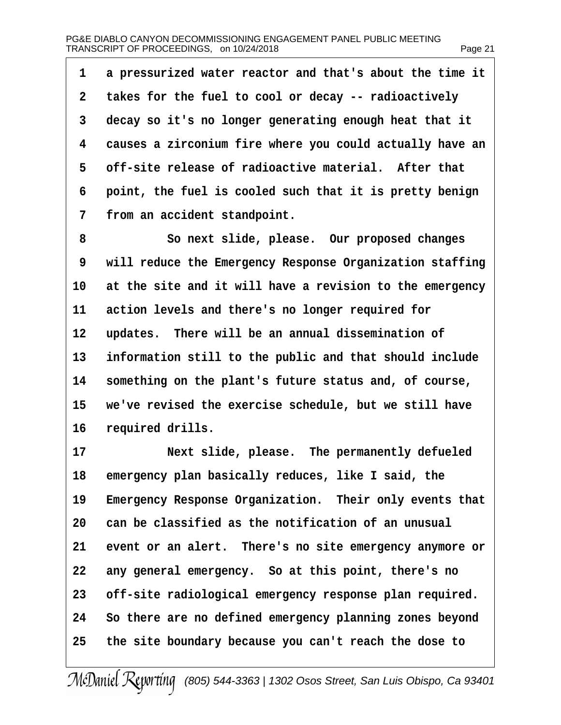| 1  | a pressurized water reactor and that's about the time it |
|----|----------------------------------------------------------|
| 2  | takes for the fuel to cool or decay -- radioactively     |
| 3  | decay so it's no longer generating enough heat that it   |
| 4  | causes a zirconium fire where you could actually have an |
| 5  | off-site release of radioactive material. After that     |
| 6  | point, the fuel is cooled such that it is pretty benign  |
| 7  | from an accident standpoint.                             |
| 8  | So next slide, please. Our proposed changes              |
| 9  | will reduce the Emergency Response Organization staffing |
| 10 | at the site and it will have a revision to the emergency |
| 11 | action levels and there's no longer required for         |
| 12 | updates. There will be an annual dissemination of        |
| 13 | information still to the public and that should include  |
| 14 | something on the plant's future status and, of course,   |
| 15 | we've revised the exercise schedule, but we still have   |
| 16 | required drills.                                         |
| 17 | Next slide, please. The permanently defueled             |
| 18 | emergency plan basically reduces, like I said, the       |
| 19 | Emergency Response Organization. Their only events that  |
| 20 | can be classified as the notification of an unusual      |
| 21 | event or an alert. There's no site emergency anymore or  |
| 22 | any general emergency. So at this point, there's no      |
| 23 | off-site radiological emergency response plan required.  |
| 24 | So there are no defined emergency planning zones beyond  |
| 25 | the site boundary because you can't reach the dose to    |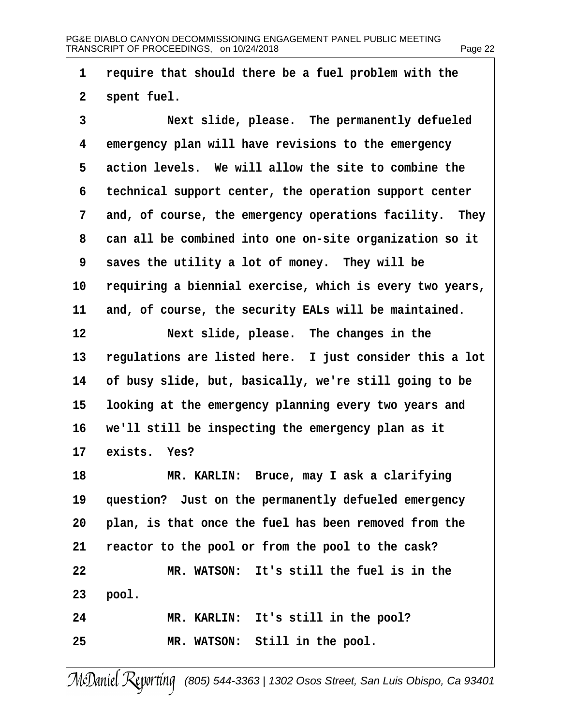| 1              | require that should there be a fuel problem with the     |
|----------------|----------------------------------------------------------|
| $\overline{2}$ | spent fuel.                                              |
| 3              | Next slide, please. The permanently defueled             |
| 4              | emergency plan will have revisions to the emergency      |
| 5              | action levels. We will allow the site to combine the     |
| 6              | technical support center, the operation support center   |
| 7              | and, of course, the emergency operations facility. They  |
| 8              | can all be combined into one on-site organization so it  |
| 9              | saves the utility a lot of money. They will be           |
| 10             | requiring a biennial exercise, which is every two years, |
| 11             | and, of course, the security EALs will be maintained.    |
| 12             | Next slide, please. The changes in the                   |
| 13             | regulations are listed here. I just consider this a lot  |
| 14             | of busy slide, but, basically, we're still going to be   |
| 15             | looking at the emergency planning every two years and    |
| 16             | we'll still be inspecting the emergency plan as it       |
| 17             | exists. Yes?                                             |
| 18             | MR. KARLIN: Bruce, may I ask a clarifying                |
| 19             | question? Just on the permanently defueled emergency     |
| 20             | plan, is that once the fuel has been removed from the    |
| 21             | reactor to the pool or from the pool to the cask?        |
| 22             | MR. WATSON: It's still the fuel is in the                |
| 23             | pool.                                                    |
| 24             | MR. KARLIN: It's still in the pool?                      |
| 25             | MR. WATSON: Still in the pool.                           |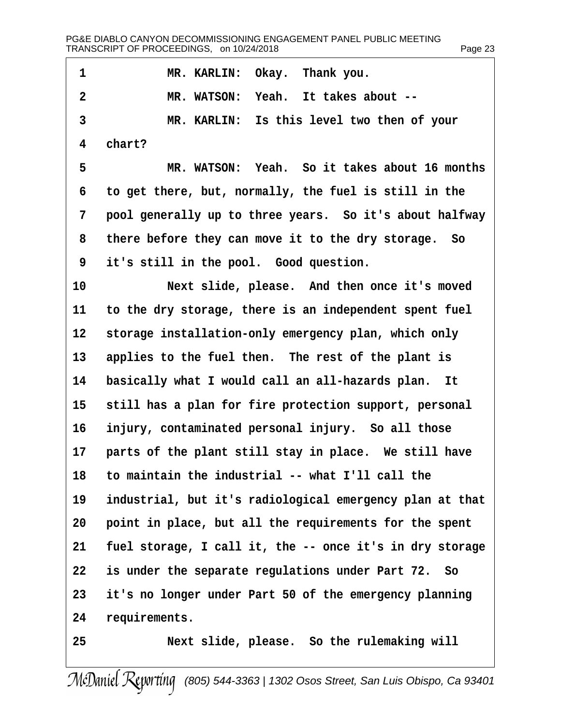| 1              | MR. KARLIN: Okay. Thank you.                             |
|----------------|----------------------------------------------------------|
| $\overline{2}$ | MR. WATSON: Yeah. It takes about --                      |
| 3              | MR. KARLIN: Is this level two then of your               |
| 4              | chart?                                                   |
| 5              | MR. WATSON: Yeah. So it takes about 16 months            |
| 6              | to get there, but, normally, the fuel is still in the    |
| 7              | pool generally up to three years. So it's about halfway  |
| 8              | there before they can move it to the dry storage. So     |
| 9              | it's still in the pool. Good question.                   |
| 10             | Next slide, please. And then once it's moved             |
| 11             | to the dry storage, there is an independent spent fuel   |
| 12             | storage installation-only emergency plan, which only     |
| 13             | applies to the fuel then. The rest of the plant is       |
| 14             | basically what I would call an all-hazards plan. It      |
| 15             | still has a plan for fire protection support, personal   |
| 16             | injury, contaminated personal injury. So all those       |
| 17             | parts of the plant still stay in place. We still have    |
| 18             | to maintain the industrial -- what I'll call the         |
| 19             | industrial, but it's radiological emergency plan at that |
| 20             | point in place, but all the requirements for the spent   |
| 21             | fuel storage, I call it, the -- once it's in dry storage |
| 22             | is under the separate regulations under Part 72. So      |
| 23             | it's no longer under Part 50 of the emergency planning   |
| 24             | requirements.                                            |
| 25             | Next slide, please. So the rulemaking will               |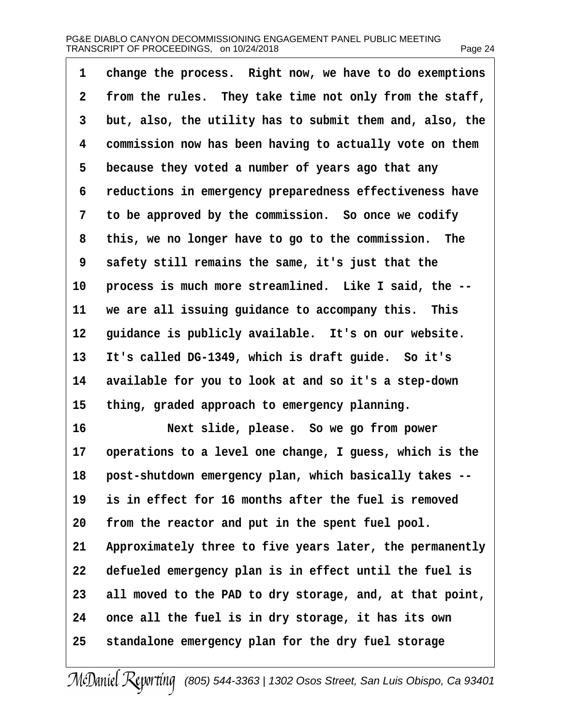| 1  | change the process. Right now, we have to do exemptions  |
|----|----------------------------------------------------------|
| 2  | from the rules. They take time not only from the staff,  |
| 3  | but, also, the utility has to submit them and, also, the |
| 4  | commission now has been having to actually vote on them  |
| 5  | because they voted a number of years ago that any        |
| 6  | reductions in emergency preparedness effectiveness have  |
| 7  | to be approved by the commission. So once we codify      |
| 8  | this, we no longer have to go to the commission. The     |
| 9  | safety still remains the same, it's just that the        |
| 10 | process is much more streamlined. Like I said, the --    |
| 11 | we are all issuing guidance to accompany this. This      |
| 12 | guidance is publicly available. It's on our website.     |
| 13 | It's called DG-1349, which is draft guide. So it's       |
| 14 | available for you to look at and so it's a step-down     |
| 15 | thing, graded approach to emergency planning.            |
| 16 | Next slide, please. So we go from power                  |
| 17 | operations to a level one change, I guess, which is the  |
| 18 | post-shutdown emergency plan, which basically takes --   |
| 19 | is in effect for 16 months after the fuel is removed     |
| 20 | from the reactor and put in the spent fuel pool.         |
| 21 | Approximately three to five years later, the permanently |
| 22 | defueled emergency plan is in effect until the fuel is   |
| 23 | all moved to the PAD to dry storage, and, at that point, |
| 24 | once all the fuel is in dry storage, it has its own      |
| 25 | standalone emergency plan for the dry fuel storage       |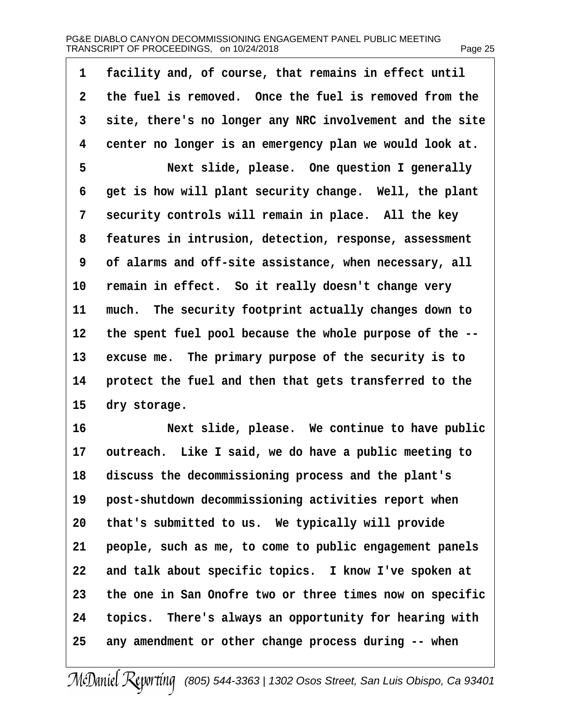| 1  | facility and, of course, that remains in effect until    |
|----|----------------------------------------------------------|
| 2  | the fuel is removed. Once the fuel is removed from the   |
| 3  | site, there's no longer any NRC involvement and the site |
| 4  | center no longer is an emergency plan we would look at.  |
| 5  | Next slide, please. One question I generally             |
| 6  | get is how will plant security change. Well, the plant   |
| 7  | security controls will remain in place. All the key      |
| 8  | features in intrusion, detection, response, assessment   |
| 9  | of alarms and off-site assistance, when necessary, all   |
| 10 | remain in effect. So it really doesn't change very       |
| 11 | much. The security footprint actually changes down to    |
| 12 | the spent fuel pool because the whole purpose of the --  |
| 13 | excuse me. The primary purpose of the security is to     |
| 14 | protect the fuel and then that gets transferred to the   |
| 15 | dry storage.                                             |
| 16 | Next slide, please. We continue to have public           |
| 17 | outreach. Like I said, we do have a public meeting to    |
|    | 18 discuss the decommissioning process and the plant's   |
| 19 | post-shutdown decommissioning activities report when     |
| 20 | that's submitted to us. We typically will provide        |
| 21 | people, such as me, to come to public engagement panels  |
| 22 | and talk about specific topics. I know I've spoken at    |
| 23 | the one in San Onofre two or three times now on specific |
| 24 | topics. There's always an opportunity for hearing with   |
| 25 | any amendment or other change process during -- when     |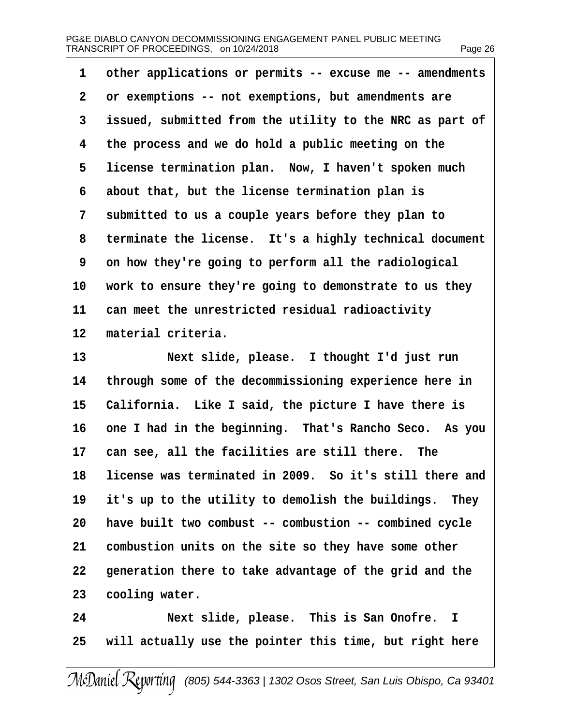| 1  | other applications or permits -- excuse me -- amendments |
|----|----------------------------------------------------------|
| 2  | or exemptions -- not exemptions, but amendments are      |
| 3  | issued, submitted from the utility to the NRC as part of |
| 4  | the process and we do hold a public meeting on the       |
| 5  | license termination plan. Now, I haven't spoken much     |
| 6  | about that, but the license termination plan is          |
| 7  | submitted to us a couple years before they plan to       |
| 8  | terminate the license. It's a highly technical document  |
| 9  | on how they're going to perform all the radiological     |
| 10 | work to ensure they're going to demonstrate to us they   |
| 11 | can meet the unrestricted residual radioactivity         |
| 12 | material criteria.                                       |
| 13 | Next slide, please. I thought I'd just run               |
| 14 | through some of the decommissioning experience here in   |
| 15 | California. Like I said, the picture I have there is     |
| 16 | one I had in the beginning. That's Rancho Seco. As you   |
|    | 17 can see, all the facilities are still there. The      |
| 18 | license was terminated in 2009. So it's still there and  |
| 19 | it's up to the utility to demolish the buildings. They   |
| 20 | have built two combust -- combustion -- combined cycle   |
| 21 | combustion units on the site so they have some other     |
| 22 | generation there to take advantage of the grid and the   |
| 23 | cooling water.                                           |
| 24 | Next slide, please. This is San Onofre. I                |
| 25 | will actually use the pointer this time, but right here  |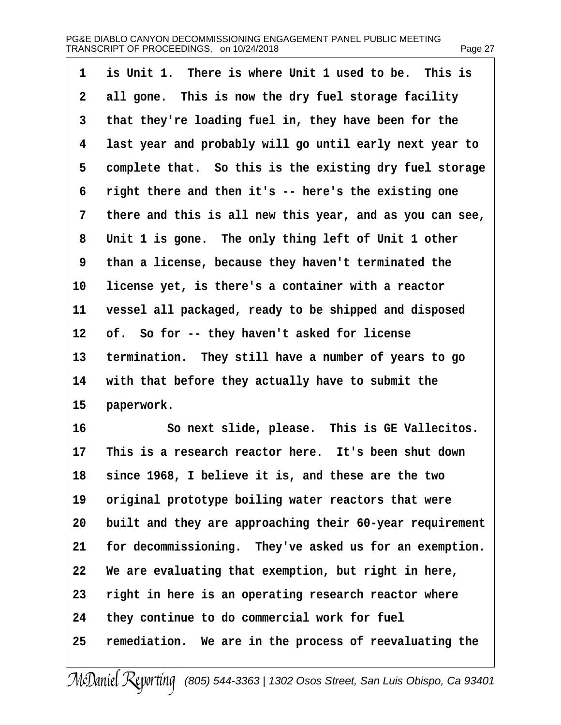| 1  | is Unit 1. There is where Unit 1 used to be. This is     |
|----|----------------------------------------------------------|
| 2  | all gone. This is now the dry fuel storage facility      |
| 3  | that they're loading fuel in, they have been for the     |
| 4  | last year and probably will go until early next year to  |
| 5  | complete that. So this is the existing dry fuel storage  |
| 6  | right there and then it's -- here's the existing one     |
| 7  | there and this is all new this year, and as you can see, |
| 8  | Unit 1 is gone. The only thing left of Unit 1 other      |
| 9  | than a license, because they haven't terminated the      |
| 10 | license yet, is there's a container with a reactor       |
| 11 | vessel all packaged, ready to be shipped and disposed    |
| 12 | of. So for -- they haven't asked for license             |
| 13 | termination. They still have a number of years to go     |
| 14 | with that before they actually have to submit the        |
| 15 | paperwork.                                               |
| 16 | So next slide, please. This is GE Vallecitos.            |
| 17 | This is a research reactor here. It's been shut down     |
| 18 | since 1968, I believe it is, and these are the two       |
| 19 | original prototype boiling water reactors that were      |
| 20 | built and they are approaching their 60-year requirement |
| 21 | for decommissioning. They've asked us for an exemption.  |
| 22 | We are evaluating that exemption, but right in here,     |
| 23 | right in here is an operating research reactor where     |
| 24 | they continue to do commercial work for fuel             |
| 25 | remediation. We are in the process of reevaluating the   |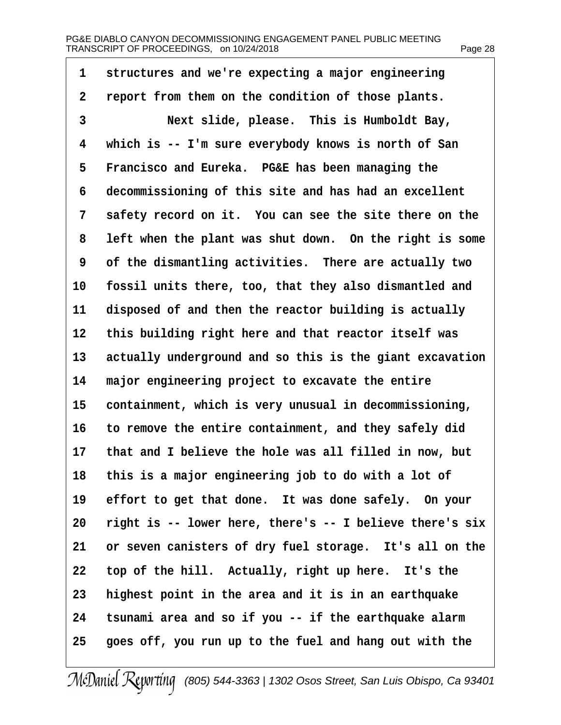| 1               | structures and we're expecting a major engineering       |
|-----------------|----------------------------------------------------------|
| 2               | report from them on the condition of those plants.       |
| 3               | Next slide, please. This is Humboldt Bay,                |
| 4               | which is -- I'm sure everybody knows is north of San     |
| 5               | Francisco and Eureka. PG&E has been managing the         |
| 6               | decommissioning of this site and has had an excellent    |
| 7               | safety record on it. You can see the site there on the   |
| 8               | left when the plant was shut down. On the right is some  |
| 9               | of the dismantling activities. There are actually two    |
| 10              | fossil units there, too, that they also dismantled and   |
| 11              | disposed of and then the reactor building is actually    |
| 12 <sub>2</sub> | this building right here and that reactor itself was     |
| 13              | actually underground and so this is the giant excavation |
| 14              | major engineering project to excavate the entire         |
| 15              | containment, which is very unusual in decommissioning,   |
| 16              | to remove the entire containment, and they safely did    |
| 17              | that and I believe the hole was all filled in now, but   |
|                 | 18 this is a major engineering job to do with a lot of   |
| 19              | effort to get that done. It was done safely. On your     |
| 20              | right is -- lower here, there's -- I believe there's six |
| 21              | or seven canisters of dry fuel storage. It's all on the  |
| 22              | top of the hill. Actually, right up here. It's the       |
| 23              | highest point in the area and it is in an earthquake     |
| 24              | tsunami area and so if you -- if the earthquake alarm    |
| 25              | goes off, you run up to the fuel and hang out with the   |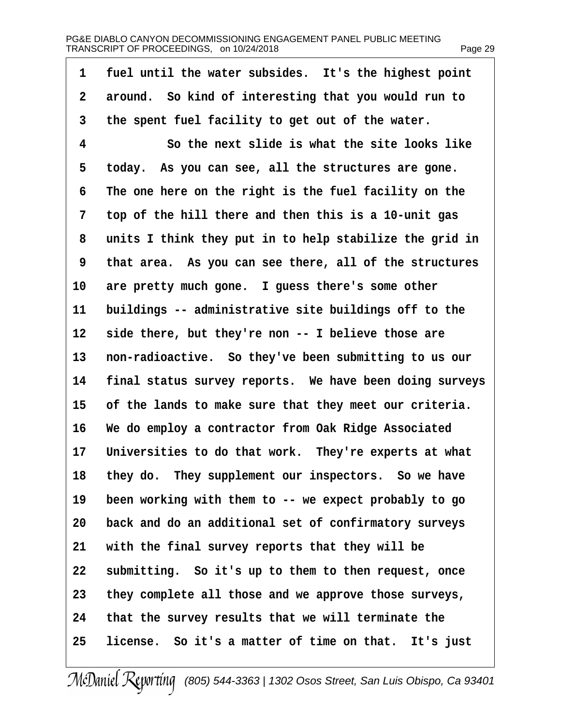| 1              | fuel until the water subsides. It's the highest point    |
|----------------|----------------------------------------------------------|
| $\overline{2}$ | around. So kind of interesting that you would run to     |
| 3              | the spent fuel facility to get out of the water.         |
| 4              | So the next slide is what the site looks like            |
| 5              | today. As you can see, all the structures are gone.      |
| 6              | The one here on the right is the fuel facility on the    |
| 7              | top of the hill there and then this is a 10-unit gas     |
| 8              | units I think they put in to help stabilize the grid in  |
| 9              | that area. As you can see there, all of the structures   |
| 10             | are pretty much gone. I guess there's some other         |
| 11             | buildings -- administrative site buildings off to the    |
| 12             | side there, but they're non -- I believe those are       |
| 13             | non-radioactive. So they've been submitting to us our    |
| 14             | final status survey reports. We have been doing surveys  |
| 15             | of the lands to make sure that they meet our criteria.   |
| 16             | We do employ a contractor from Oak Ridge Associated      |
|                | 17 Universities to do that work. They're experts at what |
| 18             | they do. They supplement our inspectors. So we have      |
| 19             | been working with them to -- we expect probably to go    |
| 20             | back and do an additional set of confirmatory surveys    |
| 21             | with the final survey reports that they will be          |
| 22             | submitting. So it's up to them to then request, once     |
| 23             | they complete all those and we approve those surveys,    |
| 24             | that the survey results that we will terminate the       |
| 25             | license. So it's a matter of time on that. It's just     |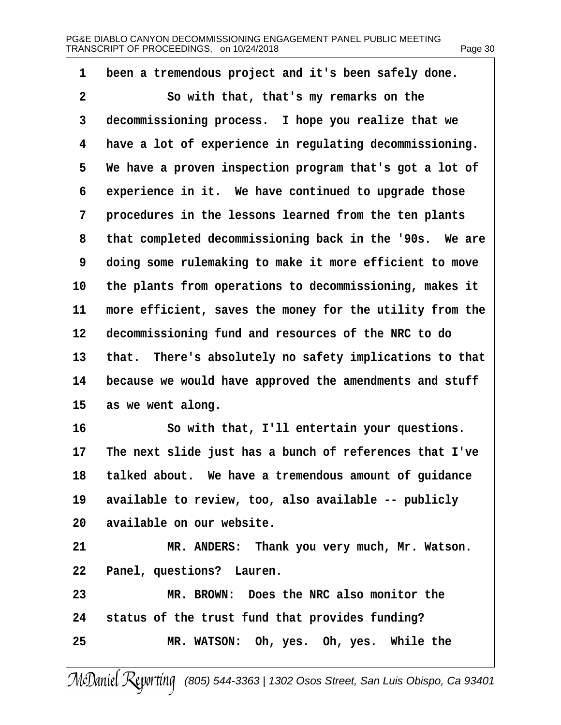| 1  | been a tremendous project and it's been safely done.     |
|----|----------------------------------------------------------|
| 2  | So with that, that's my remarks on the                   |
| 3  | decommissioning process. I hope you realize that we      |
| 4  | have a lot of experience in regulating decommissioning.  |
| 5  | We have a proven inspection program that's got a lot of  |
| 6  | experience in it. We have continued to upgrade those     |
| 7  | procedures in the lessons learned from the ten plants    |
| 8  | that completed decommissioning back in the '90s. We are  |
| 9  | doing some rulemaking to make it more efficient to move  |
| 10 | the plants from operations to decommissioning, makes it  |
| 11 | more efficient, saves the money for the utility from the |
| 12 | decommissioning fund and resources of the NRC to do      |
| 13 | that. There's absolutely no safety implications to that  |
| 14 | because we would have approved the amendments and stuff  |
| 15 | as we went along.                                        |
| 16 | So with that, I'll entertain your questions.             |
| 17 | The next slide just has a bunch of references that I've  |
| 18 | talked about. We have a tremendous amount of guidance    |
| 19 | available to review, too, also available -- publicly     |
| 20 | available on our website.                                |
| 21 | MR. ANDERS: Thank you very much, Mr. Watson.             |
| 22 | Panel, questions? Lauren.                                |
| 23 | MR. BROWN: Does the NRC also monitor the                 |
| 24 | status of the trust fund that provides funding?          |
| 25 | MR. WATSON: Oh, yes. Oh, yes. While the                  |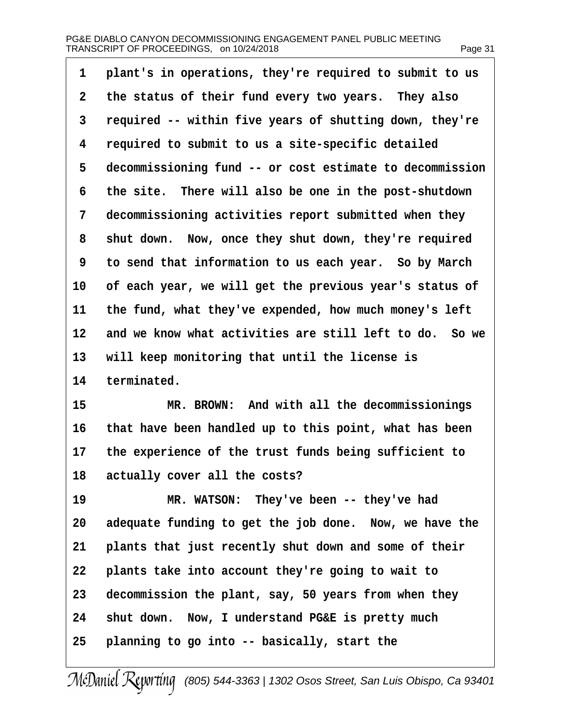| 1              | plant's in operations, they're required to submit to us    |
|----------------|------------------------------------------------------------|
| $\overline{2}$ | the status of their fund every two years. They also        |
| 3              | required -- within five years of shutting down, they're    |
| 4              | required to submit to us a site-specific detailed          |
| 5              | decommissioning fund -- or cost estimate to decommission   |
| 6              | the site. There will also be one in the post-shutdown      |
| 7              | decommissioning activities report submitted when they      |
| 8              | shut down. Now, once they shut down, they're required      |
| 9              | to send that information to us each year. So by March      |
| 10             | of each year, we will get the previous year's status of    |
| 11             | the fund, what they've expended, how much money's left     |
|                | 12 and we know what activities are still left to do. So we |
| 13             | will keep monitoring that until the license is             |
| 14             | terminated.                                                |
| 15             | MR. BROWN: And with all the decommissionings               |
| 16             | that have been handled up to this point, what has been     |
| 17             | the experience of the trust funds being sufficient to      |
| 18             | actually cover all the costs?                              |
| 19             | MR. WATSON: They've been -- they've had                    |
| 20             | adequate funding to get the job done. Now, we have the     |
| 21             | plants that just recently shut down and some of their      |
| 22             | plants take into account they're going to wait to          |
| 23             | decommission the plant, say, 50 years from when they       |
| 24             | shut down. Now, I understand PG&E is pretty much           |
| 25             | planning to go into -- basically, start the                |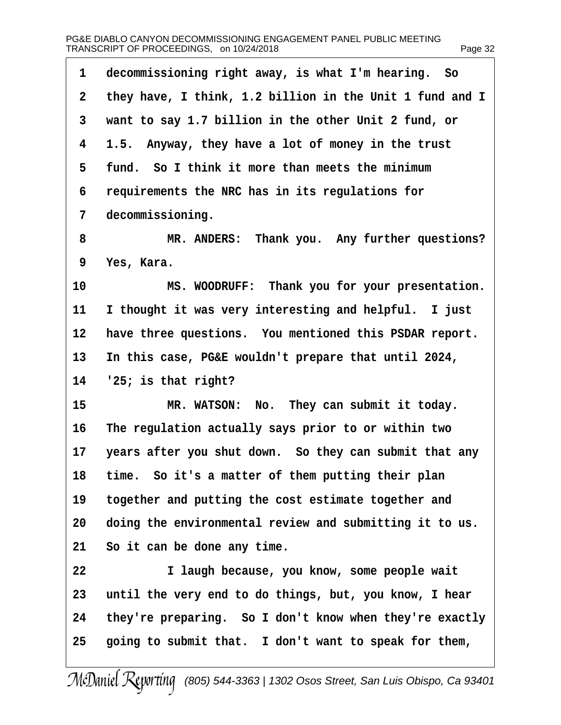| 1  | decommissioning right away, is what I'm hearing. So      |
|----|----------------------------------------------------------|
| 2  | they have, I think, 1.2 billion in the Unit 1 fund and I |
| 3  | want to say 1.7 billion in the other Unit 2 fund, or     |
| 4  | 1.5. Anyway, they have a lot of money in the trust       |
| 5  | fund. So I think it more than meets the minimum          |
| 6  | requirements the NRC has in its regulations for          |
| 7  | decommissioning.                                         |
| 8  | MR. ANDERS: Thank you. Any further questions?            |
| 9  | Yes, Kara.                                               |
| 10 | MS. WOODRUFF: Thank you for your presentation.           |
| 11 | I thought it was very interesting and helpful. I just    |
| 12 | have three questions. You mentioned this PSDAR report.   |
| 13 | In this case, PG&E wouldn't prepare that until 2024,     |
| 14 | '25; is that right?                                      |
| 15 | MR. WATSON: No. They can submit it today.                |
| 16 | The regulation actually says prior to or within two      |
| 17 | years after you shut down. So they can submit that any   |
| 18 | time. So it's a matter of them putting their plan        |
| 19 | together and putting the cost estimate together and      |
| 20 | doing the environmental review and submitting it to us.  |
| 21 | So it can be done any time.                              |
| 22 | I laugh because, you know, some people wait              |
| 23 | until the very end to do things, but, you know, I hear   |
| 24 | they're preparing. So I don't know when they're exactly  |
| 25 | going to submit that. I don't want to speak for them,    |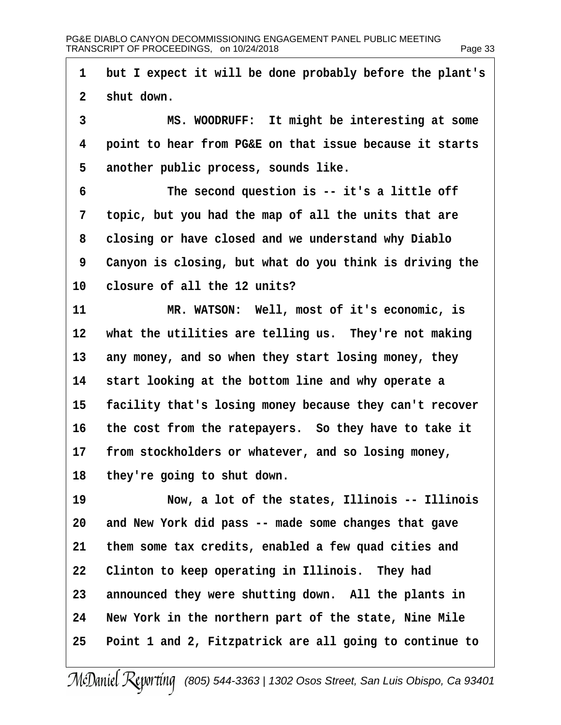| 1              | but I expect it will be done probably before the plant's |
|----------------|----------------------------------------------------------|
| 2 <sup>1</sup> | shut down.                                               |
| 3              | MS. WOODRUFF: It might be interesting at some            |
| 4              | point to hear from PG&E on that issue because it starts  |
| 5              | another public process, sounds like.                     |
| 6              | The second question is -- it's a little off              |
| 7              | topic, but you had the map of all the units that are     |
| 8              | closing or have closed and we understand why Diablo      |
| 9              | Canyon is closing, but what do you think is driving the  |
| 10             | closure of all the 12 units?                             |
| 11             | MR. WATSON: Well, most of it's economic, is              |
| 12             | what the utilities are telling us. They're not making    |
| 13             | any money, and so when they start losing money, they     |
| 14             | start looking at the bottom line and why operate a       |
| 15             | facility that's losing money because they can't recover  |
| 16             | the cost from the ratepayers. So they have to take it    |
| 17             | from stockholders or whatever, and so losing money,      |
|                | 18 they're going to shut down.                           |
| 19             | Now, a lot of the states, Illinois -- Illinois           |
| 20             | and New York did pass -- made some changes that gave     |
| 21             | them some tax credits, enabled a few quad cities and     |
| 22             | Clinton to keep operating in Illinois. They had          |
| 23             | announced they were shutting down. All the plants in     |
| 24             | New York in the northern part of the state, Nine Mile    |
| 25             | Point 1 and 2, Fitzpatrick are all going to continue to  |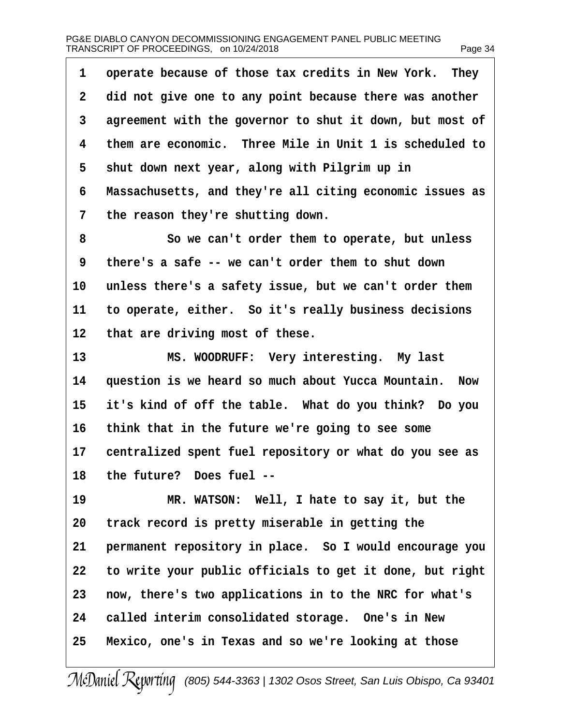| 1               | operate because of those tax credits in New York. They   |
|-----------------|----------------------------------------------------------|
| 2               | did not give one to any point because there was another  |
| 3               | agreement with the governor to shut it down, but most of |
| 4               | them are economic. Three Mile in Unit 1 is scheduled to  |
| 5               | shut down next year, along with Pilgrim up in            |
| 6               | Massachusetts, and they're all citing economic issues as |
| 7               | the reason they're shutting down.                        |
| 8               | So we can't order them to operate, but unless            |
| 9               | there's a safe -- we can't order them to shut down       |
| 10              | unless there's a safety issue, but we can't order them   |
| 11              | to operate, either. So it's really business decisions    |
| 12 <sub>2</sub> | that are driving most of these.                          |
| 13              | MS. WOODRUFF: Very interesting. My last                  |
| 14              | question is we heard so much about Yucca Mountain. Now   |
| 15              | it's kind of off the table. What do you think? Do you    |
| 16              | think that in the future we're going to see some         |
| 17              | centralized spent fuel repository or what do you see as  |
| 18              | the future? Does fuel --                                 |
| 19              | MR. WATSON: Well, I hate to say it, but the              |
| 20              | track record is pretty miserable in getting the          |
| 21              | permanent repository in place. So I would encourage you  |
| 22              | to write your public officials to get it done, but right |
| 23              | now, there's two applications in to the NRC for what's   |
| 24              | called interim consolidated storage. One's in New        |
| 25              | Mexico, one's in Texas and so we're looking at those     |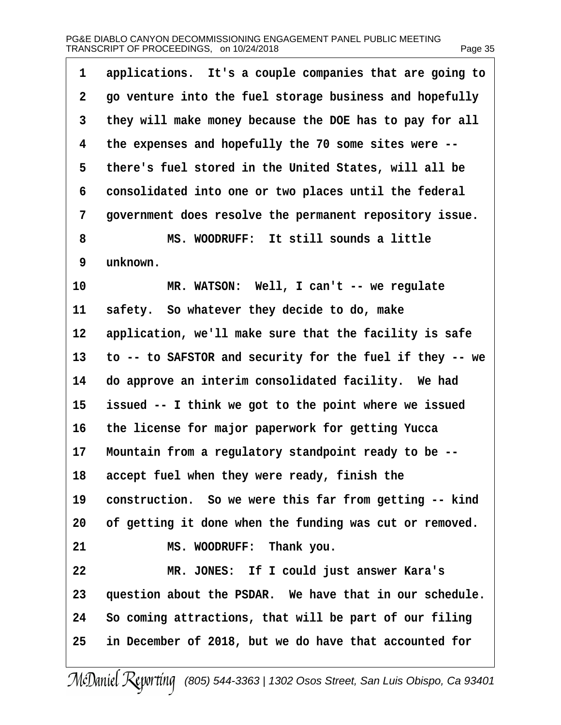| 1               | applications. It's a couple companies that are going to  |
|-----------------|----------------------------------------------------------|
| 2               | go venture into the fuel storage business and hopefully  |
| 3               | they will make money because the DOE has to pay for all  |
| 4               | the expenses and hopefully the 70 some sites were --     |
| 5               | there's fuel stored in the United States, will all be    |
| 6               | consolidated into one or two places until the federal    |
| 7               | government does resolve the permanent repository issue.  |
| 8               | MS. WOODRUFF: It still sounds a little                   |
| 9               | unknown.                                                 |
| 10              | MR. WATSON: Well, I can't -- we regulate                 |
| 11              | safety. So whatever they decide to do, make              |
| 12 <sub>2</sub> | application, we'll make sure that the facility is safe   |
| 13              | to -- to SAFSTOR and security for the fuel if they -- we |
| 14              | do approve an interim consolidated facility. We had      |
| 15              | issued -- I think we got to the point where we issued    |
| 16              | the license for major paperwork for getting Yucca        |
| 17              | Mountain from a regulatory standpoint ready to be --     |
| 18              | accept fuel when they were ready, finish the             |
| 19              | construction. So we were this far from getting -- kind   |
| 20              | of getting it done when the funding was cut or removed.  |
| 21              | MS. WOODRUFF: Thank you.                                 |
| 22              | MR. JONES: If I could just answer Kara's                 |
| 23              | question about the PSDAR. We have that in our schedule.  |
| 24              | So coming attractions, that will be part of our filing   |
| 25              | in December of 2018, but we do have that accounted for   |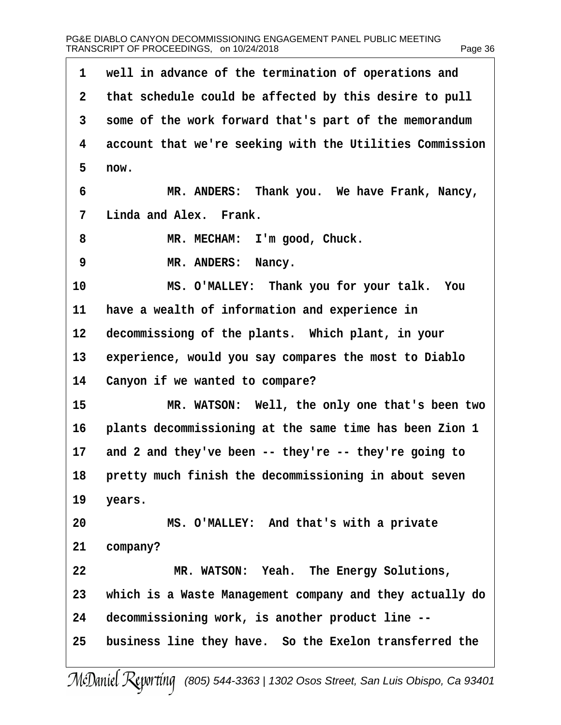| 1            | well in advance of the termination of operations and     |
|--------------|----------------------------------------------------------|
| $\mathbf{2}$ | that schedule could be affected by this desire to pull   |
| 3            | some of the work forward that's part of the memorandum   |
| 4            | account that we're seeking with the Utilities Commission |
| 5            | now.                                                     |
| 6            | MR. ANDERS: Thank you. We have Frank, Nancy,             |
| 7            | Linda and Alex. Frank.                                   |
| 8            | MR. MECHAM: I'm good, Chuck.                             |
| 9            | MR. ANDERS: Nancy.                                       |
| 10           | MS. O'MALLEY: Thank you for your talk. You               |
| 11           | have a wealth of information and experience in           |
| 12           | decommissiong of the plants. Which plant, in your        |
| 13           | experience, would you say compares the most to Diablo    |
| 14           | Canyon if we wanted to compare?                          |
| 15           | MR. WATSON: Well, the only one that's been two           |
| 16           | plants decommissioning at the same time has been Zion 1  |
| 17           | and 2 and they've been -- they're -- they're going to    |
| 18           | pretty much finish the decommissioning in about seven    |
| 19           | years.                                                   |
| 20           | MS. O'MALLEY: And that's with a private                  |
| 21           | company?                                                 |
| 22           | MR. WATSON: Yeah. The Energy Solutions,                  |
| 23           | which is a Waste Management company and they actually do |
| 24           | decommissioning work, is another product line --         |
| 25           | business line they have. So the Exelon transferred the   |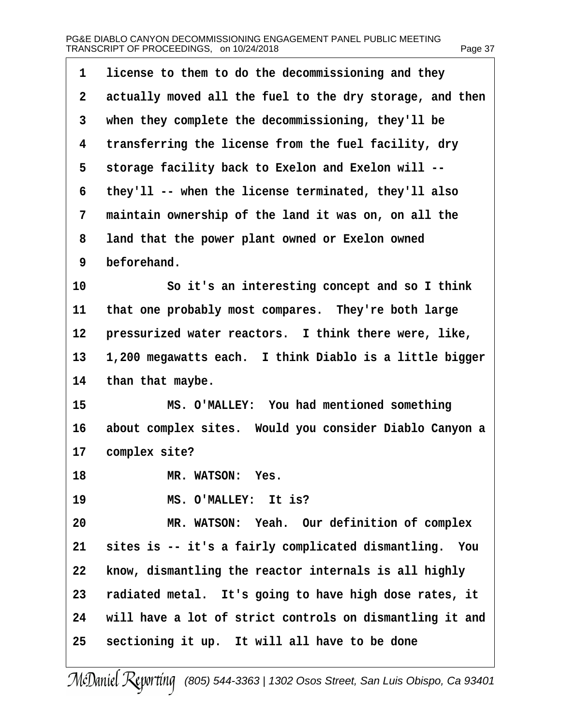| 1              | license to them to do the decommissioning and they       |
|----------------|----------------------------------------------------------|
| $\overline{2}$ | actually moved all the fuel to the dry storage, and then |
| 3              | when they complete the decommissioning, they'll be       |
| 4              | transferring the license from the fuel facility, dry     |
| 5              | storage facility back to Exelon and Exelon will --       |
| 6              | they'll -- when the license terminated, they'll also     |
| 7              | maintain ownership of the land it was on, on all the     |
| 8              | land that the power plant owned or Exelon owned          |
| 9              | beforehand.                                              |
| 10             | So it's an interesting concept and so I think            |
| 11             | that one probably most compares. They're both large      |
| 12             | pressurized water reactors. I think there were, like,    |
| 13             | 1,200 megawatts each. I think Diablo is a little bigger  |
| 14             | than that maybe.                                         |
| 15             | MS. O'MALLEY: You had mentioned something                |
| 16             | about complex sites. Would you consider Diablo Canyon a  |
| 17             | complex site?                                            |
| 18             | MR. WATSON: Yes.                                         |
| 19             | MS. O'MALLEY: It is?                                     |
| 20             | MR. WATSON: Yeah. Our definition of complex              |
| 21             | sites is -- it's a fairly complicated dismantling. You   |
| 22             | know, dismantling the reactor internals is all highly    |
| 23             | radiated metal. It's going to have high dose rates, it   |
| 24             | will have a lot of strict controls on dismantling it and |
| 25             | sectioning it up. It will all have to be done            |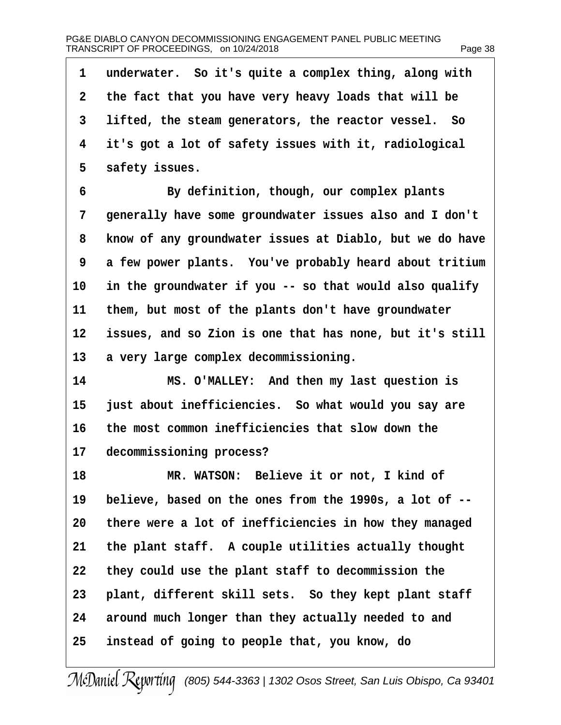## PG&E DIABLO CANYON DECOMMISSIONING ENGAGEMENT PANEL PUBLIC MEETING TRANSCRIPT OF PROCEEDINGS,on 10/24/2018 Page 38

| 1  | underwater. So it's quite a complex thing, along with    |
|----|----------------------------------------------------------|
| 2  | the fact that you have very heavy loads that will be     |
| 3  | lifted, the steam generators, the reactor vessel. So     |
| 4  | it's got a lot of safety issues with it, radiological    |
| 5  | safety issues.                                           |
| 6  | By definition, though, our complex plants                |
| 7  | generally have some groundwater issues also and I don't  |
| 8  | know of any groundwater issues at Diablo, but we do have |
| 9  | a few power plants. You've probably heard about tritium  |
| 10 | in the groundwater if you -- so that would also qualify  |
| 11 | them, but most of the plants don't have groundwater      |
| 12 | issues, and so Zion is one that has none, but it's still |
| 13 | a very large complex decommissioning.                    |
| 14 | MS. O'MALLEY: And then my last question is               |
| 15 | just about inefficiencies. So what would you say are     |
| 16 | the most common inefficiencies that slow down the        |
| 17 | decommissioning process?                                 |
| 18 | MR. WATSON: Believe it or not, I kind of                 |
| 19 | believe, based on the ones from the 1990s, a lot of --   |
| 20 | there were a lot of inefficiencies in how they managed   |
| 21 | the plant staff. A couple utilities actually thought     |
| 22 | they could use the plant staff to decommission the       |
| 23 | plant, different skill sets. So they kept plant staff    |
| 24 | around much longer than they actually needed to and      |
| 25 | instead of going to people that, you know, do            |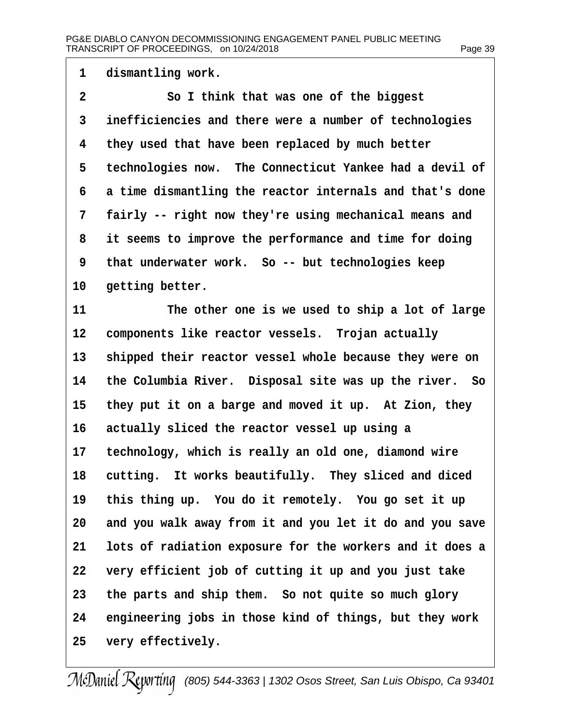| $\overline{A}$ | dismantling work. |  |
|----------------|-------------------|--|
|----------------|-------------------|--|

- 2 **Sol think that was one of the biggest**
- 3 inefficiencies and there were a number of technologies
- 4 they used that have been replaced by much better
- 5 technologies now. The Connecticut Yankee had a devil of
- 6 a time dismantling the reactor internals and that's done
- 7 fairly -- right now they're using mechanical means and
- 8 it seems to improve the performance and time for doing
- 9 that underwater work. So -- but technologies keep
- 10 getting better.
- 11 The other one is we used to ship a lot of large
- 12 components like reactor vessels. Trojan actually
- 13 shipped their reactor vessel whole because they were on
- 14 the Columbia River. Disposal site was up the river. So
- 15 they put it on a barge and moved it up. At Zion, they
- 16 actually sliced the reactor vessel up using a
- 17 technology, which is really an old one, diamond wire
- 18 cutting. It works beautifully. They sliced and diced
- 19 this thing up. You do it remotely. You go set it up
- 20 and you walk away from it and you let it do and you save
- 21 lots of radiation exposure for the workers and it does a
- 22 very efficient job of cutting it up and you just take
- 23 the parts and ship them. So not quite so much glory
- 24 engineering jobs in those kind of things, but they work
- 25 very effectively.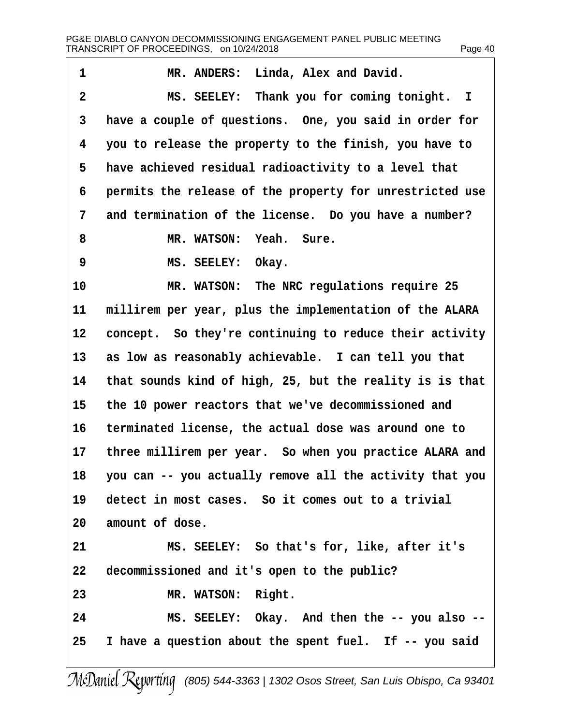| aae | 40 |
|-----|----|
|-----|----|

| 1  | MR. ANDERS: Linda, Alex and David.                       |
|----|----------------------------------------------------------|
| 2  | MS. SEELEY: Thank you for coming tonight. I              |
| 3  | have a couple of questions. One, you said in order for   |
| 4  | you to release the property to the finish, you have to   |
| 5  | have achieved residual radioactivity to a level that     |
| 6  | permits the release of the property for unrestricted use |
| 7  | and termination of the license. Do you have a number?    |
| 8  | MR. WATSON: Yeah. Sure.                                  |
| 9  | MS. SEELEY: Okay.                                        |
| 10 | MR. WATSON: The NRC regulations require 25               |
| 11 | millirem per year, plus the implementation of the ALARA  |
| 12 | concept. So they're continuing to reduce their activity  |
| 13 | as low as reasonably achievable. I can tell you that     |
| 14 | that sounds kind of high, 25, but the reality is is that |
| 15 | the 10 power reactors that we've decommissioned and      |
| 16 | terminated license, the actual dose was around one to    |
| 17 | three millirem per year. So when you practice ALARA and  |
| 18 | you can -- you actually remove all the activity that you |
| 19 | detect in most cases. So it comes out to a trivial       |
| 20 | amount of dose.                                          |
| 21 | MS. SEELEY: So that's for, like, after it's              |
| 22 | decommissioned and it's open to the public?              |
| 23 | MR. WATSON: Right.                                       |
| 24 | MS. SEELEY: Okay. And then the -- you also --            |
| 25 | I have a question about the spent fuel. If -- you said   |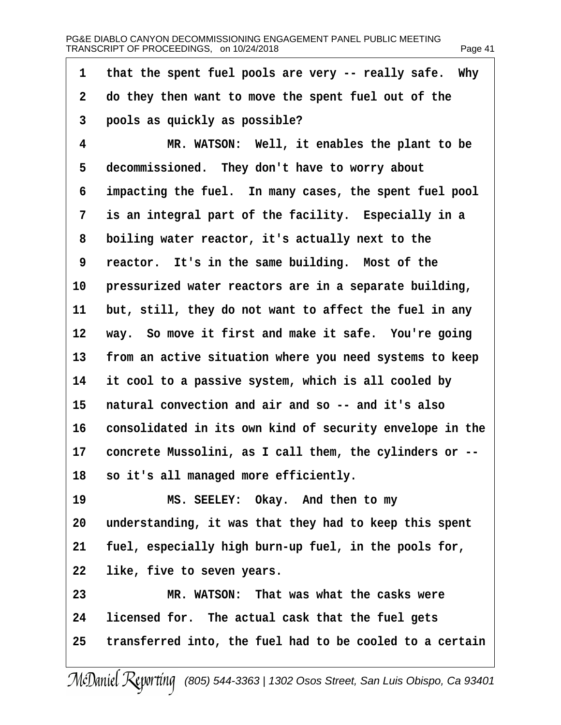| 1              | that the spent fuel pools are very -- really safe. Why   |
|----------------|----------------------------------------------------------|
| $\overline{2}$ | do they then want to move the spent fuel out of the      |
| 3              | pools as quickly as possible?                            |
| 4              | MR. WATSON: Well, it enables the plant to be             |
| 5              | decommissioned. They don't have to worry about           |
| 6              | impacting the fuel. In many cases, the spent fuel pool   |
| 7              | is an integral part of the facility. Especially in a     |
| 8              | boiling water reactor, it's actually next to the         |
| 9              | reactor. It's in the same building. Most of the          |
| 10             | pressurized water reactors are in a separate building,   |
| 11             | but, still, they do not want to affect the fuel in any   |
|                | 12 way. So move it first and make it safe. You're going  |
| 13             | from an active situation where you need systems to keep  |
| 14             | it cool to a passive system, which is all cooled by      |
| 15             | natural convection and air and so -- and it's also       |
| 16             | consolidated in its own kind of security envelope in the |
| 17             | concrete Mussolini, as I call them, the cylinders or --  |
| 18             | so it's all managed more efficiently.                    |
| 19             | MS. SEELEY: Okay. And then to my                         |
| 20             | understanding, it was that they had to keep this spent   |
| 21             | fuel, especially high burn-up fuel, in the pools for,    |
| 22             | like, five to seven years.                               |
| 23             | MR. WATSON: That was what the casks were                 |
| 24             | licensed for. The actual cask that the fuel gets         |
| 25             | transferred into, the fuel had to be cooled to a certain |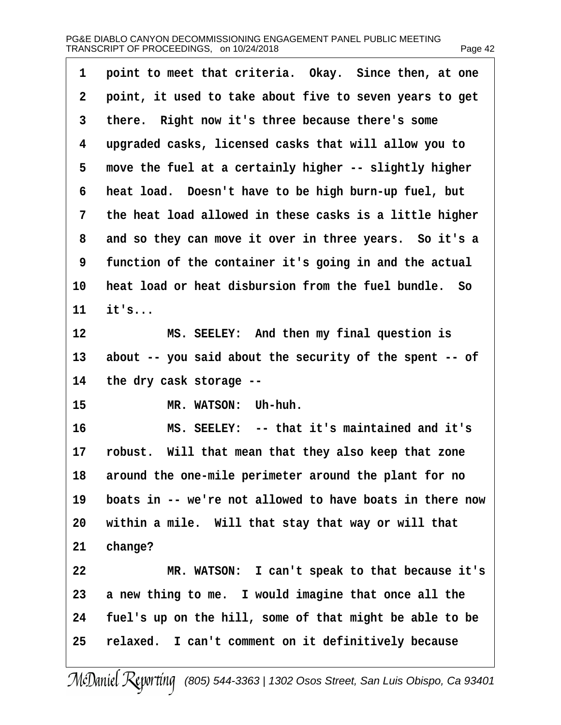## PG&E DIABLO CANYON DECOMMISSIONING ENGAGEMENT PANEL PUBLIC MEETING TRANSCRIPT OF PROCEEDINGS, on 10/24/2018 Page 42

1 point to meet that criteria. Okay. Since then, at one 2 point, it used to take about five to seven years to get 3 there. Right now it's three because there's some ·4· ·upgraded casks, licensed casks that will allow you to 5 move the fuel at a certainly higher -- slightly higher 6 heat load. Doesn't have to be high burn-up fuel, but 7 the heat load allowed in these casks is a little higher 8 and so they can move it over in three years. So it's a 9 function of the container it's going in and the actual 10 heat load or heat disbursion from the fuel bundle. So 11  $\,$  it's... 12 MS. SEELEY: And then my final question is 13 about -- you said about the security of the spent -- of 14 the dry cask storage --15 MR. WATSON: Uh-huh. 16 MS. SEELEY: -- that it's maintained and it's 17 robust. Will that mean that they also keep that zone 18 around the one-mile perimeter around the plant for no 19 boats in -- we're not allowed to have boats in there now 20 within a mile. Will that stay that way or will that 21 change? 22 MR. WATSON: I can't speak to that because it's 23 a new thing to me. I would imagine that once all the 24 fuel's up on the hill, some of that might be able to be 25 relaxed. I can't comment on it definitively because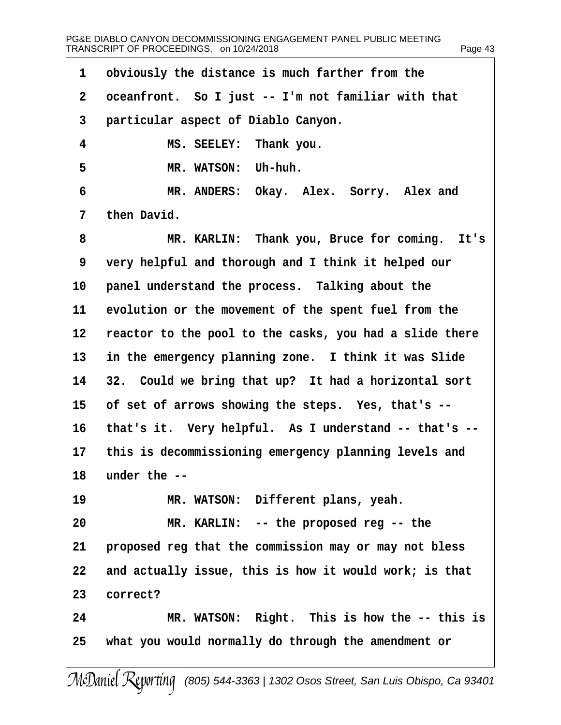| 1               | obviously the distance is much farther from the         |
|-----------------|---------------------------------------------------------|
| $\overline{2}$  | oceanfront. So I just -- I'm not familiar with that     |
| 3               | particular aspect of Diablo Canyon.                     |
| 4               | MS. SEELEY: Thank you.                                  |
| 5               | MR. WATSON: Uh-huh.                                     |
| 6               | MR. ANDERS: Okay. Alex. Sorry. Alex and                 |
| 7               | then David.                                             |
| 8               | MR. KARLIN: Thank you, Bruce for coming. It's           |
| 9               | very helpful and thorough and I think it helped our     |
| 10              | panel understand the process. Talking about the         |
| 11              | evolution or the movement of the spent fuel from the    |
| 12              | reactor to the pool to the casks, you had a slide there |
| 13              | in the emergency planning zone. I think it was Slide    |
|                 | 14 32. Could we bring that up? It had a horizontal sort |
| 15              | of set of arrows showing the steps. Yes, that's --      |
| 16              | that's it. Very helpful. As I understand -- that's --   |
| 17 <sup>1</sup> | this is decommissioning emergency planning levels and   |
|                 | 18 under the --                                         |
| 19              | MR. WATSON: Different plans, yeah.                      |
| 20              | MR. KARLIN: -- the proposed reg -- the                  |
| 21              | proposed reg that the commission may or may not bless   |
| 22              | and actually issue, this is how it would work; is that  |
| 23              | correct?                                                |
| 24              | MR. WATSON: Right. This is how the -- this is           |
| 25              | what you would normally do through the amendment or     |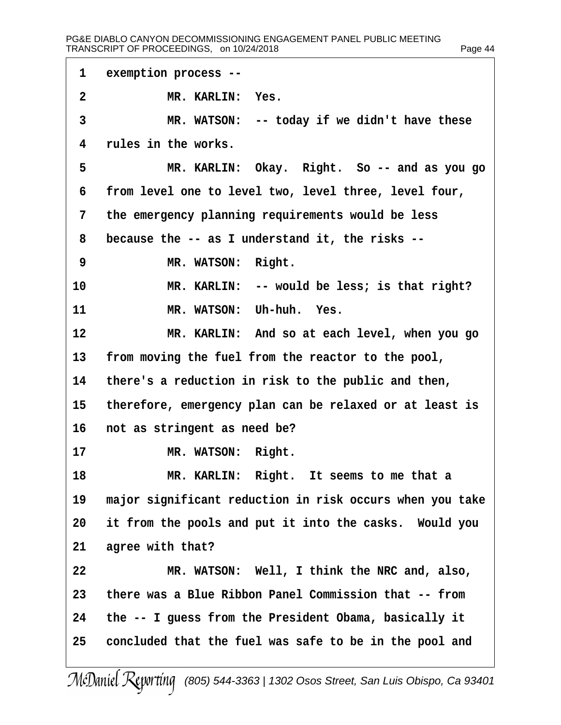| 1            | exemption process --                                     |
|--------------|----------------------------------------------------------|
| $\mathbf{2}$ | MR. KARLIN: Yes.                                         |
| 3            | MR. WATSON: -- today if we didn't have these             |
| 4            | rules in the works.                                      |
| 5            | MR. KARLIN: Okay. Right. So -- and as you go             |
| 6            | from level one to level two, level three, level four,    |
| 7            | the emergency planning requirements would be less        |
| 8            | because the -- as I understand it, the risks --          |
| 9            | MR. WATSON: Right.                                       |
| 10           | MR. KARLIN: -- would be less; is that right?             |
| 11           | MR. WATSON: Uh-huh. Yes.                                 |
| 12           | MR. KARLIN: And so at each level, when you go            |
| 13           | from moving the fuel from the reactor to the pool,       |
| 14           | there's a reduction in risk to the public and then,      |
| 15           | therefore, emergency plan can be relaxed or at least is  |
| 16           | not as stringent as need be?                             |
| 17           | MR. WATSON: Right.                                       |
| 18           | MR. KARLIN: Right. It seems to me that a                 |
| 19           | major significant reduction in risk occurs when you take |
| 20           | it from the pools and put it into the casks. Would you   |
| 21           | agree with that?                                         |
| 22           | MR. WATSON: Well, I think the NRC and, also,             |
| 23           | there was a Blue Ribbon Panel Commission that -- from    |
| 24           | the -- I guess from the President Obama, basically it    |
| 25           | concluded that the fuel was safe to be in the pool and   |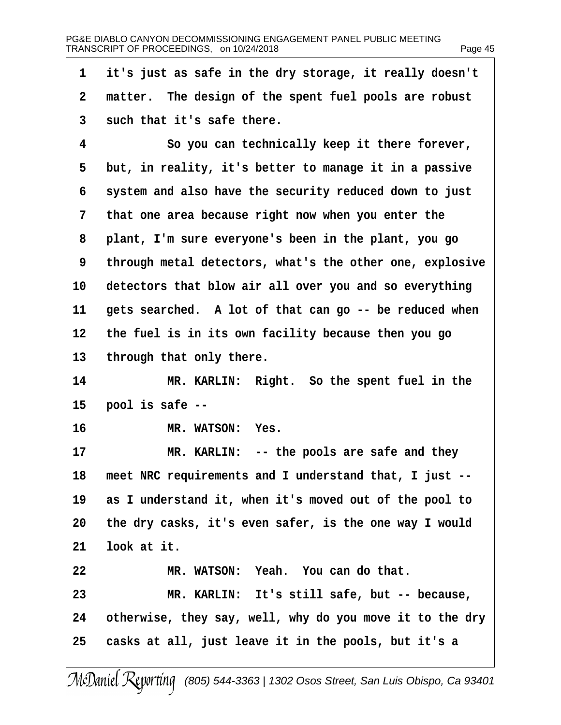| 1  | it's just as safe in the dry storage, it really doesn't  |
|----|----------------------------------------------------------|
| 2  | matter. The design of the spent fuel pools are robust    |
| 3  | such that it's safe there.                               |
| 4  | So you can technically keep it there forever,            |
| 5  | but, in reality, it's better to manage it in a passive   |
| 6  | system and also have the security reduced down to just   |
| 7  | that one area because right now when you enter the       |
| 8  | plant, I'm sure everyone's been in the plant, you go     |
| 9  | through metal detectors, what's the other one, explosive |
| 10 | detectors that blow air all over you and so everything   |
| 11 | gets searched. A lot of that can go -- be reduced when   |
| 12 | the fuel is in its own facility because then you go      |
| 13 | through that only there.                                 |
| 14 | MR. KARLIN: Right. So the spent fuel in the              |
| 15 | pool is safe --                                          |
| 16 | MR. WATSON: Yes.                                         |
| 17 | MR. KARLIN: -- the pools are safe and they               |
| 18 | meet NRC requirements and I understand that, I just --   |
| 19 | as I understand it, when it's moved out of the pool to   |
| 20 | the dry casks, it's even safer, is the one way I would   |
| 21 | look at it.                                              |
| 22 | MR. WATSON: Yeah. You can do that.                       |
| 23 | MR. KARLIN: It's still safe, but -- because,             |
| 24 | otherwise, they say, well, why do you move it to the dry |
| 25 | casks at all, just leave it in the pools, but it's a     |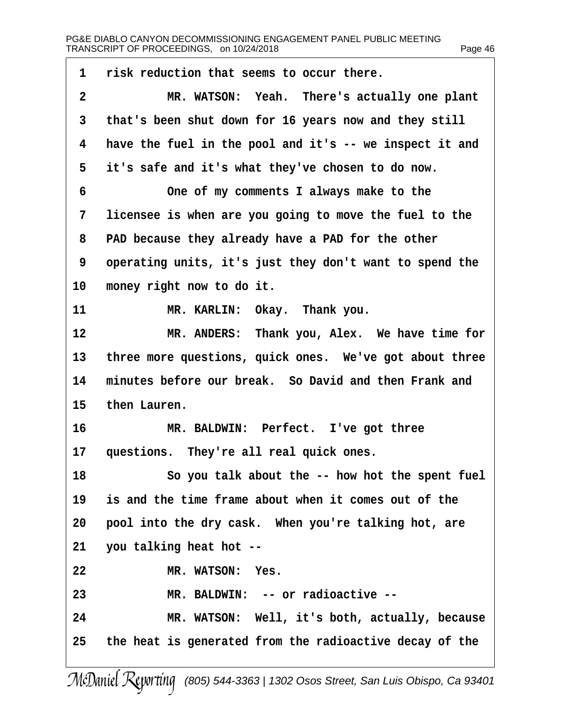1 risk reduction that seems to occur there. 2 MR. WATSON: Yeah. There's actually one plant 3 that's been shut down for 16 years now and they still 4 have the fuel in the pool and it's -- we inspect it and 5 it's safe and it's what they've chosen to do now. 6 **•••** One of my comments I always make to the 7 licensee is when are you going to move the fuel to the 8 PAD because they already have a PAD for the other ·9· ·operating units, it's just they don't want to spend the 10 money right now to do it. 11 MR. KARLIN: Okay. Thank you. 12 MR. ANDERS: Thank you, Alex. We have time for 13 three more questions, quick ones. We've got about three 14 minutes before our break. So David and then Frank and 15 then Lauren. 16 MR. BALDWIN: Perfect. I've got three 17 questions. They're all real quick ones. 18 So you talk about the -- how hot the spent fuel 19 is and the time frame about when it comes out of the 20 pool into the dry cask. When you're talking hot, are 21 you talking heat hot --22 MR. WATSON: Yes. 23 MR. BALDWIN: -- or radioactive --24 MR. WATSON: Well, it's both, actually, because 25 the heat is generated from the radioactive decay of the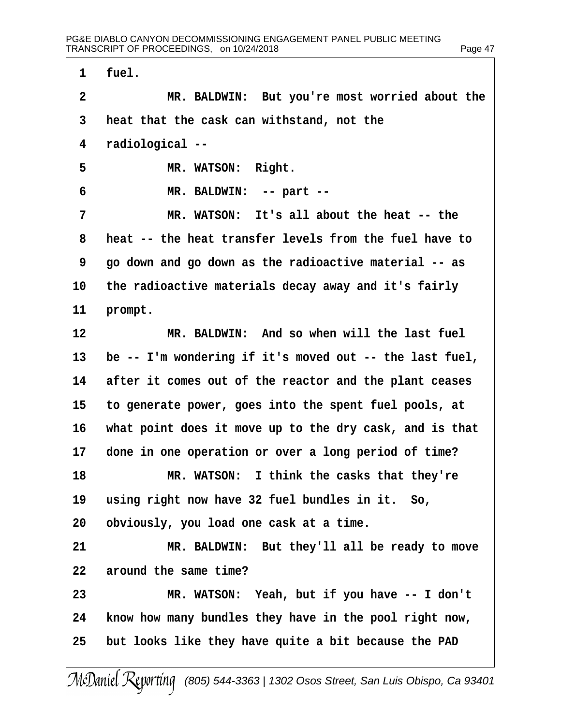1 fuel.

2 MR. BALDWIN: But you're most worried about the 3 heat that the cask can withstand, not the 4 radiological --5 MR. WATSON: Right. 6 MR. BALDWIN: -- part --7 MR. WATSON: It's all about the heat -- the 8 heat -- the heat transfer levels from the fuel have to ·9· ·go down and go down as the radioactive material -- as 10 the radioactive materials decay away and it's fairly 11 prompt. 12 MR. BALDWIN: And so when will the last fuel 13 be -- I'm wondering if it's moved out -- the last fuel, 14 after it comes out of the reactor and the plant ceases 15· ·to generate power, goes into the spent fuel pools, at 16 what point does it move up to the dry cask, and is that 17 done in one operation or over a long period of time? 18 MR. WATSON: I think the casks that they're 19 using right now have 32 fuel bundles in it. So, 20 obviously, you load one cask at a time. 21 MR. BALDWIN: But they'll all be ready to move 22 around the same time? 23 MR. WATSON: Yeah, but if you have -- I don't 24 know how many bundles they have in the pool right now, 25 but looks like they have quite a bit because the PAD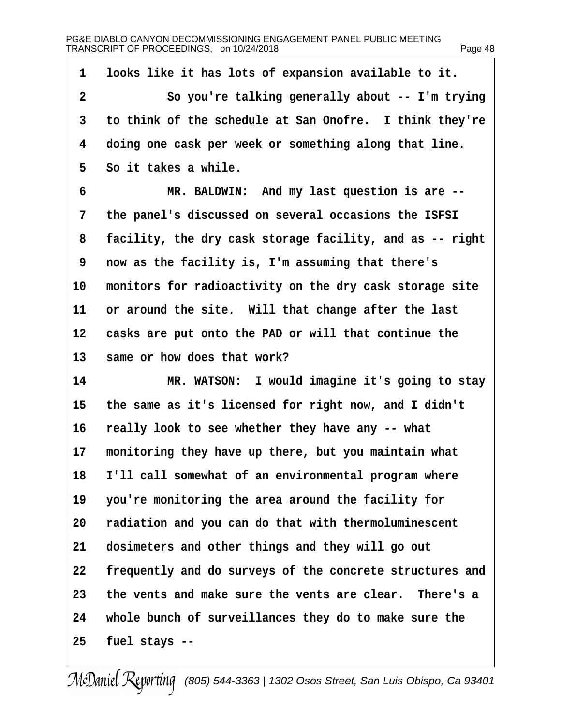1 looks like it has lots of expansion available to it. 2 So you're talking generally about -- I'm trying 3 to think of the schedule at San Onofre. I think they're 4 doing one cask per week or something along that line. 5 So it takes a while. 6 MR. BALDWIN: And my last question is are --7 the panel's discussed on several occasions the ISFSI 8 facility, the dry cask storage facility, and as -- right ·9· ·now as the facility is, I'm assuming that there's 10 monitors for radioactivity on the dry cask storage site 11 or around the site. Will that change after the last 12 casks are put onto the PAD or will that continue the 13 same or how does that work? 14 MR. WATSON: I would imagine it's going to stay 15 the same as it's licensed for right now, and I didn't 16 really look to see whether they have any -- what 17 monitoring they have up there, but you maintain what 18 I'll call somewhat of an environmental program where 19 you're monitoring the area around the facility for 20 radiation and you can do that with thermoluminescent 21 dosimeters and other things and they will go out 22 frequently and do surveys of the concrete structures and 23 the vents and make sure the vents are clear. There's a 24 whole bunch of surveillances they do to make sure the  $25$  fuel stays  $-$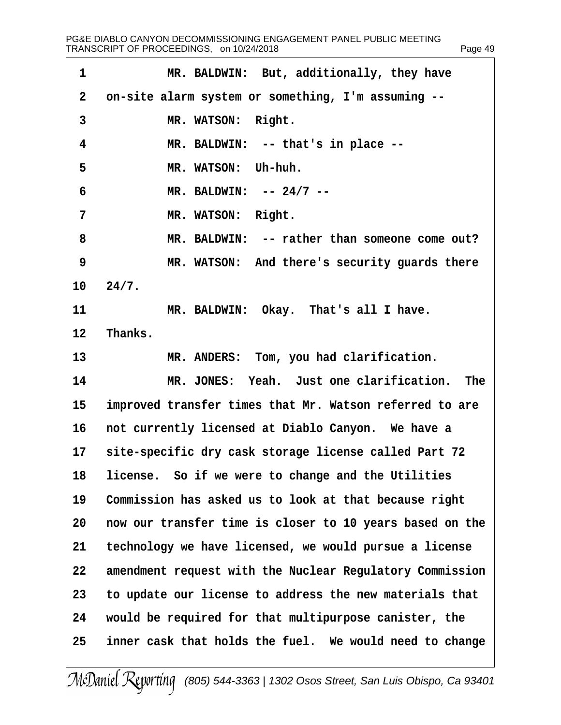| MR. BALDWIN: But, additionally, they have                   |
|-------------------------------------------------------------|
| on-site alarm system or something, I'm assuming --          |
| MR. WATSON: Right.                                          |
| MR. BALDWIN: -- that's in place --                          |
| MR. WATSON: Uh-huh.                                         |
| MR. BALDWIN: -- 24/7 --                                     |
| MR. WATSON: Right.                                          |
| MR. BALDWIN: -- rather than someone come out?               |
| MR. WATSON: And there's security guards there               |
| 10 24/7.                                                    |
| MR. BALDWIN: Okay. That's all I have.                       |
| Thanks.<br>12 <sub>2</sub>                                  |
| MR. ANDERS: Tom, you had clarification.                     |
| MR. JONES: Yeah. Just one clarification. The                |
| improved transfer times that Mr. Watson referred to are     |
| not currently licensed at Diablo Canyon. We have a          |
| 17<br>site-specific dry cask storage license called Part 72 |
| 18 license. So if we were to change and the Utilities       |
| Commission has asked us to look at that because right       |
| now our transfer time is closer to 10 years based on the    |
| technology we have licensed, we would pursue a license      |
| amendment request with the Nuclear Regulatory Commission    |
| to update our license to address the new materials that     |
| would be required for that multipurpose canister, the       |
| inner cask that holds the fuel. We would need to change     |
| 13<br>14<br>15<br>16<br>19<br>20<br>23<br>24<br>25          |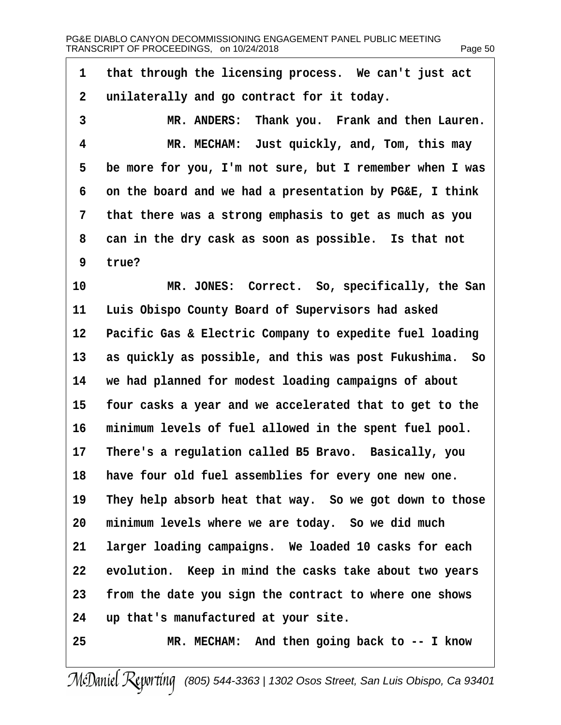1 that through the licensing process. We can't just act 2 unilaterally and go contract for it today. 3 MR. ANDERS: Thank you. Frank and then Lauren. 4 MR. MECHAM: Just quickly, and, Tom, this may 5 be more for you, I'm not sure, but I remember when I was 6 on the board and we had a presentation by PG&E, I think 7 that there was a strong emphasis to get as much as you 8 can in the dry cask as soon as possible. Is that not 9 true? 10 MR. JONES: Correct. So, specifically, the San 11 Luis Obispo County Board of Supervisors had asked 12 Pacific Gas & Electric Company to expedite fuel loading 13 as quickly as possible, and this was post Fukushima. So 14 we had planned for modest loading campaigns of about 15 four casks a year and we accelerated that to get to the 16 minimum levels of fuel allowed in the spent fuel pool. 17 There's a regulation called B5 Bravo. Basically, you 18 have four old fuel assemblies for every one new one. 19 They help absorb heat that way. So we got down to those 20 minimum levels where we are today. So we did much 21 larger loading campaigns. We loaded 10 casks for each 22 evolution. Keep in mind the casks take about two years 23 from the date you sign the contract to where one shows 24 up that's manufactured at your site. 25 MR. MECHAM: And then going back to -- I know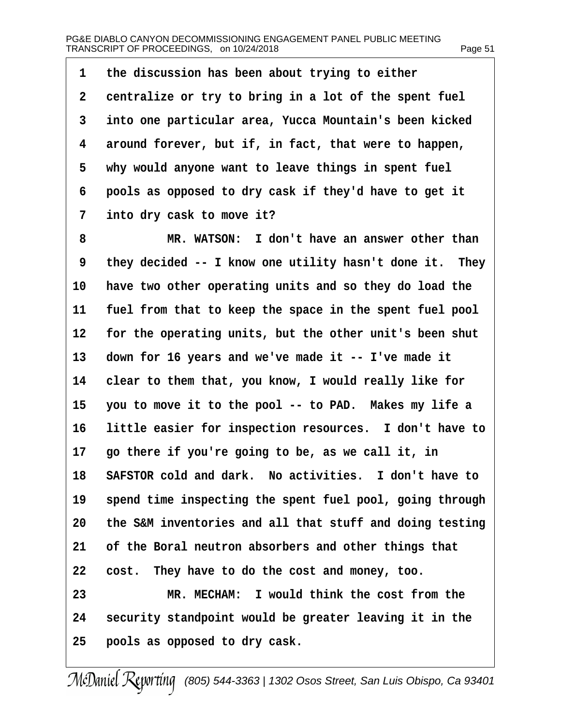1 the discussion has been about trying to either 2 centralize or try to bring in a lot of the spent fuel 3 into one particular area, Yucca Mountain's been kicked 4 around forever, but if, in fact, that were to happen, 5 why would anyone want to leave things in spent fuel ·6· ·pools as opposed to dry cask if they'd have to get it 7 into dry cask to move it? 8 MR. WATSON: I don't have an answer other than 9 they decided -- I know one utility hasn't done it. They 10 have two other operating units and so they do load the 11 fuel from that to keep the space in the spent fuel pool 12 for the operating units, but the other unit's been shut 13 down for 16 years and we've made it -- I've made it 14 clear to them that, you know, I would really like for 15 you to move it to the pool -- to PAD. Makes my life a 16 little easier for inspection resources. I don't have to 17 go there if you're going to be, as we call it, in 18 SAFSTOR cold and dark. No activities. I don't have to 19 spend time inspecting the spent fuel pool, going through 20 the S&M inventories and all that stuff and doing testing 21 of the Boral neutron absorbers and other things that 22 cost. They have to do the cost and money, too. 23 MR. MECHAM: I would think the cost from the 24 security standpoint would be greater leaving it in the 25 pools as opposed to dry cask.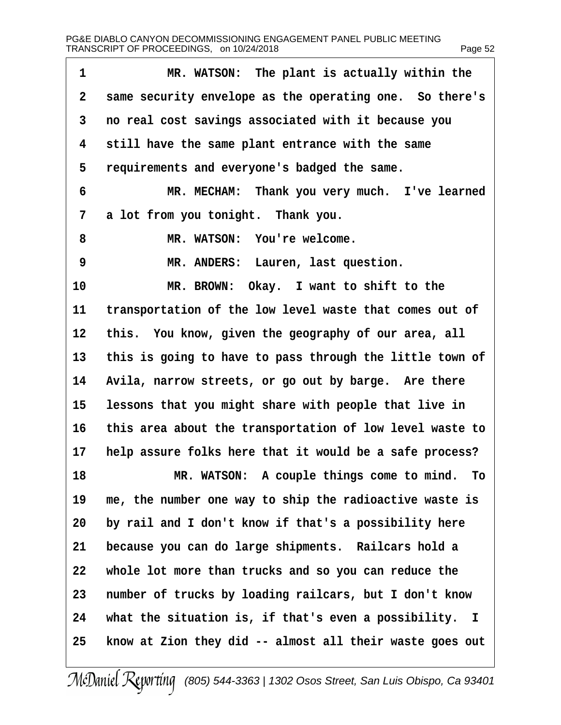| 1              | MR. WATSON: The plant is actually within the             |
|----------------|----------------------------------------------------------|
| $\overline{2}$ | same security envelope as the operating one. So there's  |
| 3              | no real cost savings associated with it because you      |
| 4              | still have the same plant entrance with the same         |
| 5              | requirements and everyone's badged the same.             |
| 6              | MR. MECHAM: Thank you very much. I've learned            |
| 7              | a lot from you tonight. Thank you.                       |
| 8              | MR. WATSON: You're welcome.                              |
| 9              | MR. ANDERS: Lauren, last question.                       |
| 10             | MR. BROWN: Okay. I want to shift to the                  |
| 11             | transportation of the low level waste that comes out of  |
| 12             | this. You know, given the geography of our area, all     |
| 13             | this is going to have to pass through the little town of |
| 14             | Avila, narrow streets, or go out by barge. Are there     |
| 15             | lessons that you might share with people that live in    |
| 16             | this area about the transportation of low level waste to |
| 17             | help assure folks here that it would be a safe process?  |
| 18             | MR. WATSON: A couple things come to mind. To             |
| 19             | me, the number one way to ship the radioactive waste is  |
| 20             | by rail and I don't know if that's a possibility here    |
| 21             | because you can do large shipments. Railcars hold a      |
| 22             | whole lot more than trucks and so you can reduce the     |
| 23             | number of trucks by loading railcars, but I don't know   |
| 24             | what the situation is, if that's even a possibility. I   |
| 25             | know at Zion they did -- almost all their waste goes out |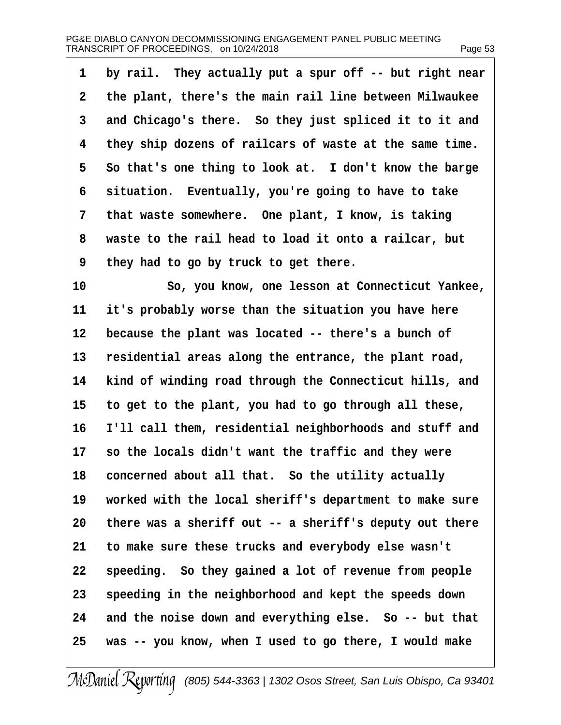| 1  | by rail. They actually put a spur off -- but right near |
|----|---------------------------------------------------------|
| 2  | the plant, there's the main rail line between Milwaukee |
| 3  | and Chicago's there. So they just spliced it to it and  |
| 4  | they ship dozens of railcars of waste at the same time. |
| 5  | So that's one thing to look at. I don't know the barge  |
| 6  | situation. Eventually, you're going to have to take     |
| 7  | that waste somewhere. One plant, I know, is taking      |
| 8  | waste to the rail head to load it onto a railcar, but   |
| 9  | they had to go by truck to get there.                   |
| 10 | So, you know, one lesson at Connecticut Yankee,         |
| 11 | it's probably worse than the situation you have here    |
| 12 | because the plant was located -- there's a bunch of     |
| 13 | residential areas along the entrance, the plant road,   |
| 14 | kind of winding road through the Connecticut hills, and |
| 15 | to get to the plant, you had to go through all these,   |
| 16 | I'll call them, residential neighborhoods and stuff and |
| 17 | so the locals didn't want the traffic and they were     |
| 18 | concerned about all that. So the utility actually       |
| 19 | worked with the local sheriff's department to make sure |
| 20 | there was a sheriff out -- a sheriff's deputy out there |
| 21 | to make sure these trucks and everybody else wasn't     |
| 22 | speeding. So they gained a lot of revenue from people   |
| 23 | speeding in the neighborhood and kept the speeds down   |
| 24 | and the noise down and everything else. So -- but that  |
| 25 | was -- you know, when I used to go there, I would make  |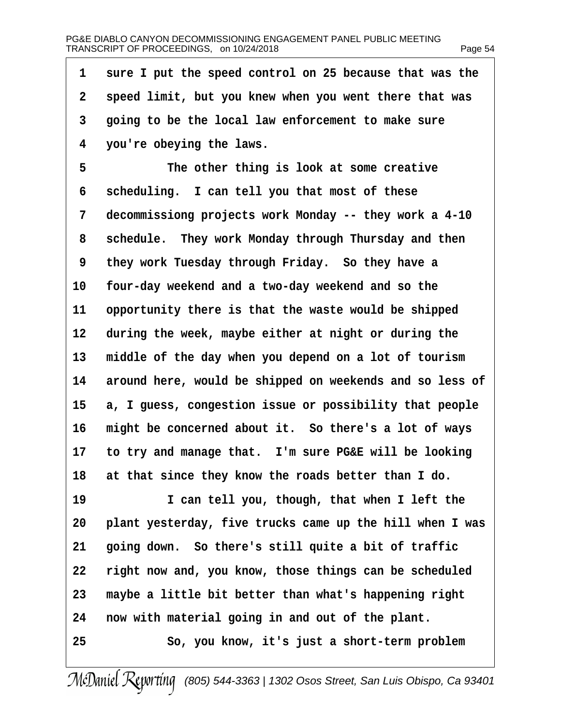| 1               | sure I put the speed control on 25 because that was the  |
|-----------------|----------------------------------------------------------|
| $\overline{2}$  | speed limit, but you knew when you went there that was   |
| 3               | going to be the local law enforcement to make sure       |
| 4               | you're obeying the laws.                                 |
| 5               | The other thing is look at some creative                 |
| 6               | scheduling. I can tell you that most of these            |
| 7               | decommissiong projects work Monday -- they work a 4-10   |
| 8               | schedule. They work Monday through Thursday and then     |
| 9               | they work Tuesday through Friday. So they have a         |
| 10              | four-day weekend and a two-day weekend and so the        |
| 11              | opportunity there is that the waste would be shipped     |
| 12 <sub>2</sub> | during the week, maybe either at night or during the     |
| 13              | middle of the day when you depend on a lot of tourism    |
| 14              | around here, would be shipped on weekends and so less of |
| 15              | a, I guess, congestion issue or possibility that people  |
| 16              | might be concerned about it. So there's a lot of ways    |
| 17              | to try and manage that. I'm sure PG&E will be looking    |
| 18              | at that since they know the roads better than I do.      |
| 19              | I can tell you, though, that when I left the             |
| 20              | plant yesterday, five trucks came up the hill when I was |
| 21              | going down. So there's still quite a bit of traffic      |
| 22              | right now and, you know, those things can be scheduled   |
| 23              | maybe a little bit better than what's happening right    |
| 24              | now with material going in and out of the plant.         |
| 25              | So, you know, it's just a short-term problem             |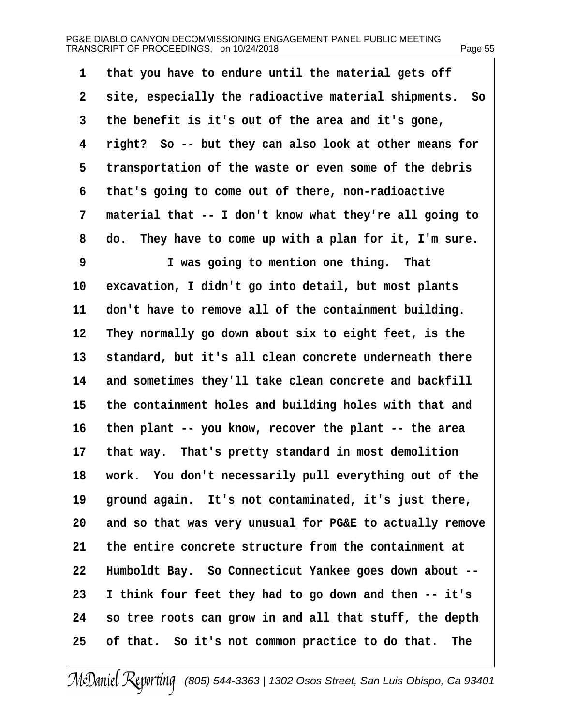| 1              | that you have to endure until the material gets off      |
|----------------|----------------------------------------------------------|
| $\overline{2}$ | site, especially the radioactive material shipments. So  |
| 3              | the benefit is it's out of the area and it's gone,       |
| 4              | right? So -- but they can also look at other means for   |
| 5              | transportation of the waste or even some of the debris   |
| 6              | that's going to come out of there, non-radioactive       |
| 7              | material that -- I don't know what they're all going to  |
| 8              | do. They have to come up with a plan for it, I'm sure.   |
| 9              | I was going to mention one thing. That                   |
| 10             | excavation, I didn't go into detail, but most plants     |
| 11             | don't have to remove all of the containment building.    |
| 12             | They normally go down about six to eight feet, is the    |
| 13             | standard, but it's all clean concrete underneath there   |
| 14             | and sometimes they'll take clean concrete and backfill   |
| 15             | the containment holes and building holes with that and   |
| 16             | then plant -- you know, recover the plant -- the area    |
| 17             | that way. That's pretty standard in most demolition      |
| 18             | work. You don't necessarily pull everything out of the   |
| 19             | ground again. It's not contaminated, it's just there,    |
| 20             | and so that was very unusual for PG&E to actually remove |
| 21             | the entire concrete structure from the containment at    |
| 22             | Humboldt Bay. So Connecticut Yankee goes down about --   |
| 23             | I think four feet they had to go down and then -- it's   |
| 24             | so tree roots can grow in and all that stuff, the depth  |
| 25             | of that. So it's not common practice to do that. The     |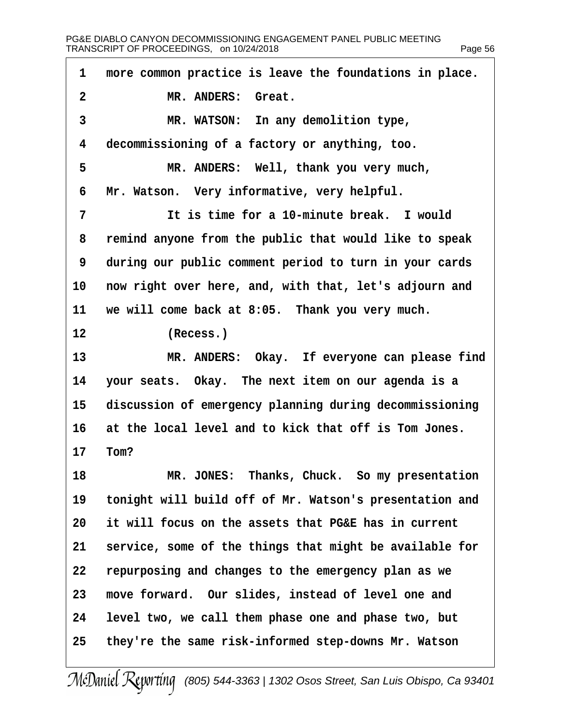| 1               | more common practice is leave the foundations in place. |
|-----------------|---------------------------------------------------------|
| $\overline{2}$  | MR. ANDERS: Great.                                      |
| 3               | MR. WATSON: In any demolition type,                     |
| 4               | decommissioning of a factory or anything, too.          |
| 5               | MR. ANDERS: Well, thank you very much,                  |
| 6               | Mr. Watson. Very informative, very helpful.             |
| $\overline{7}$  | It is time for a 10-minute break. I would               |
| 8               | remind anyone from the public that would like to speak  |
| 9               | during our public comment period to turn in your cards  |
| 10              | now right over here, and, with that, let's adjourn and  |
| 11              | we will come back at 8:05. Thank you very much.         |
| 12              | (Recess.)                                               |
| 13              | MR. ANDERS: Okay. If everyone can please find           |
| 14              | your seats. Okay. The next item on our agenda is a      |
| 15 <sub>2</sub> | discussion of emergency planning during decommissioning |
| 16              | at the local level and to kick that off is Tom Jones.   |
|                 | 17 Tom?                                                 |
| 18              | MR. JONES: Thanks, Chuck. So my presentation            |
| 19              | tonight will build off of Mr. Watson's presentation and |
| 20              | it will focus on the assets that PG&E has in current    |
| 21              | service, some of the things that might be available for |
| 22              | repurposing and changes to the emergency plan as we     |
| 23              | move forward. Our slides, instead of level one and      |
| 24              | level two, we call them phase one and phase two, but    |
| 25              | they're the same risk-informed step-downs Mr. Watson    |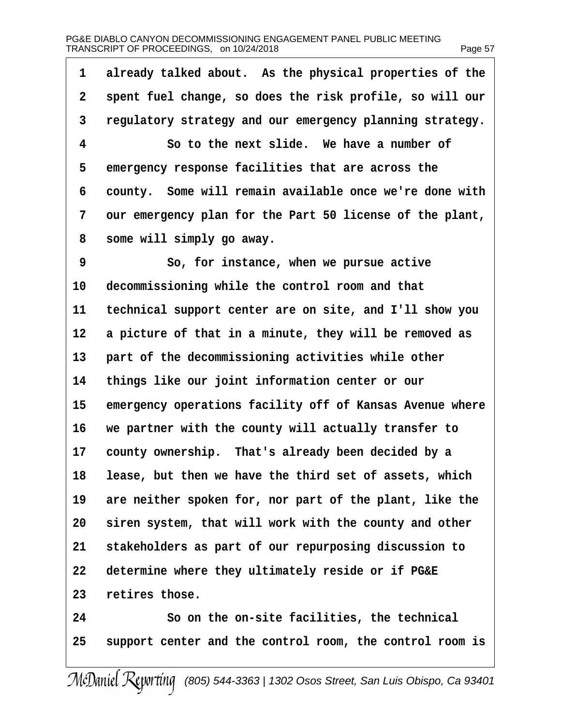## PG&E DIABLO CANYON DECOMMISSIONING ENGAGEMENT PANEL PUBLIC MEETING TRANSCRIPT OF PROCEEDINGS, on 10/24/2018 Page 57

| 1              | already talked about. As the physical properties of the  |
|----------------|----------------------------------------------------------|
| $\overline{2}$ | spent fuel change, so does the risk profile, so will our |
| 3              | regulatory strategy and our emergency planning strategy. |
| 4              | So to the next slide. We have a number of                |
| 5              | emergency response facilities that are across the        |
| 6              | county. Some will remain available once we're done with  |
| 7              | our emergency plan for the Part 50 license of the plant, |
| 8              | some will simply go away.                                |
| 9              | So, for instance, when we pursue active                  |
| 10             | decommissioning while the control room and that          |
| 11             | technical support center are on site, and I'll show you  |
| 12             | a picture of that in a minute, they will be removed as   |
| 13             | part of the decommissioning activities while other       |
| 14             | things like our joint information center or our          |
| 15             | emergency operations facility off of Kansas Avenue where |
| 16             | we partner with the county will actually transfer to     |
| 17             | county ownership. That's already been decided by a       |
| 18             | lease, but then we have the third set of assets, which   |
| 19             | are neither spoken for, nor part of the plant, like the  |
| 20             | siren system, that will work with the county and other   |
| 21             | stakeholders as part of our repurposing discussion to    |
| 22             | determine where they ultimately reside or if PG&E        |
| 23             | retires those.                                           |
| 24             | So on the on-site facilities, the technical              |
| 25             | support center and the control room, the control room is |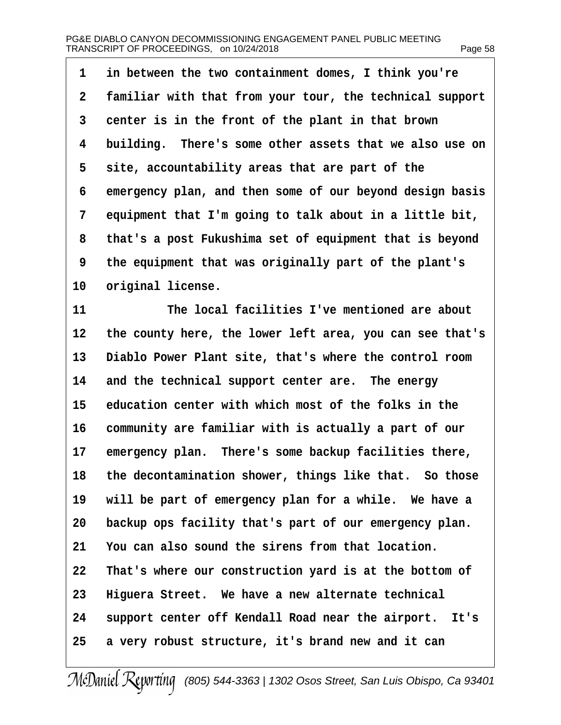·1· ·in between the two containment domes, I think you're 2 familiar with that from your tour, the technical support 3 center is in the front of the plant in that brown 4 building. There's some other assets that we also use on 5 site, accountability areas that are part of the 6 emergency plan, and then some of our beyond design basis 7 equipment that I'm going to talk about in a little bit, 8 that's a post Fukushima set of equipment that is beyond ·9· ·the equipment that was originally part of the plant's 10 original license. 11 The local facilities I've mentioned are about 12 the county here, the lower left area, you can see that's 13 Diablo Power Plant site, that's where the control room 14 and the technical support center are. The energy 15 education center with which most of the folks in the 16 community are familiar with is actually a part of our 17 emergency plan. There's some backup facilities there, 18 the decontamination shower, things like that. So those 19 will be part of emergency plan for a while. We have a 20 backup ops facility that's part of our emergency plan. 21 You can also sound the sirens from that location. 22 That's where our construction yard is at the bottom of 23 Higuera Street. We have a new alternate technical 24 support center off Kendall Road near the airport. It's 25 a very robust structure, it's brand new and it can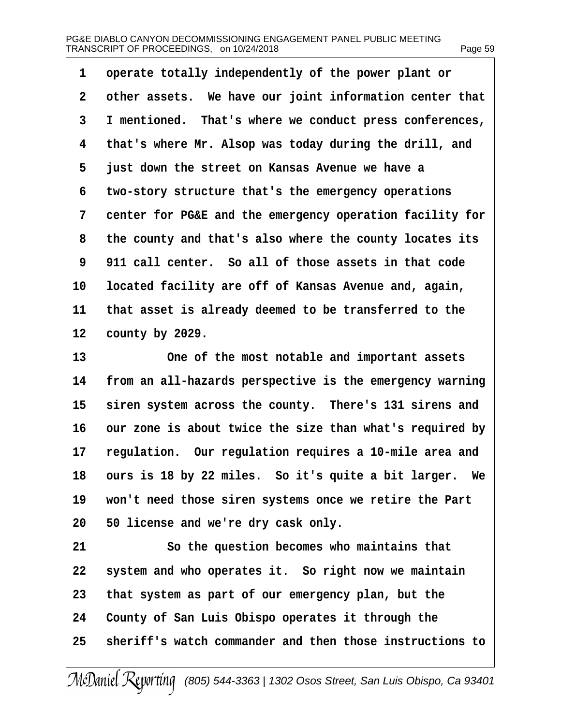| 1              | operate totally independently of the power plant or      |
|----------------|----------------------------------------------------------|
| $\overline{2}$ | other assets. We have our joint information center that  |
| 3              | I mentioned. That's where we conduct press conferences,  |
| 4              | that's where Mr. Alsop was today during the drill, and   |
| 5              | just down the street on Kansas Avenue we have a          |
| 6              | two-story structure that's the emergency operations      |
| 7              | center for PG&E and the emergency operation facility for |
| 8              | the county and that's also where the county locates its  |
| 9              | 911 call center. So all of those assets in that code     |
| 10             | located facility are off of Kansas Avenue and, again,    |
| 11             | that asset is already deemed to be transferred to the    |
| 12             | county by 2029.                                          |
| 13             | One of the most notable and important assets             |
| 14             | from an all-hazards perspective is the emergency warning |
| 15             | siren system across the county. There's 131 sirens and   |
| 16             | our zone is about twice the size than what's required by |
| 17             | regulation. Our regulation requires a 10-mile area and   |
| 18             | ours is 18 by 22 miles. So it's quite a bit larger. We   |
| 19             | won't need those siren systems once we retire the Part   |
| 20             | 50 license and we're dry cask only.                      |
| 21             | So the question becomes who maintains that               |
| 22             | system and who operates it. So right now we maintain     |
| 23             | that system as part of our emergency plan, but the       |
| 24             | County of San Luis Obispo operates it through the        |
| 25             | sheriff's watch commander and then those instructions to |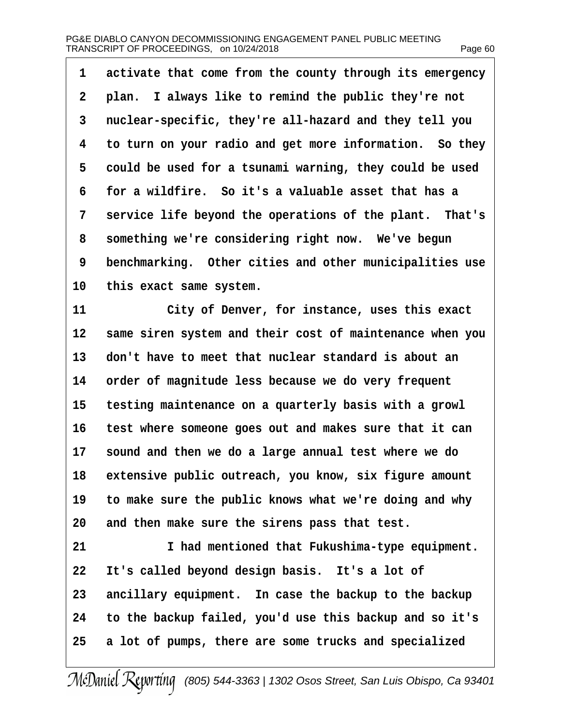| 1         | activate that come from the county through its emergency |
|-----------|----------------------------------------------------------|
| 2         | plan. I always like to remind the public they're not     |
| 3         | nuclear-specific, they're all-hazard and they tell you   |
| 4         | to turn on your radio and get more information. So they  |
| 5         | could be used for a tsunami warning, they could be used  |
| 6         | for a wildfire. So it's a valuable asset that has a      |
| 7         | service life beyond the operations of the plant. That's  |
| 8         | something we're considering right now. We've begun       |
| 9         | benchmarking. Other cities and other municipalities use  |
| 10        | this exact same system.                                  |
| 11        | City of Denver, for instance, uses this exact            |
| 12        | same siren system and their cost of maintenance when you |
| 13        | don't have to meet that nuclear standard is about an     |
| 14        | order of magnitude less because we do very frequent      |
| 15        | testing maintenance on a quarterly basis with a growl    |
| 16        | test where someone goes out and makes sure that it can   |
| 17        | sound and then we do a large annual test where we do     |
| 18        | extensive public outreach, you know, six figure amount   |
| 19        | to make sure the public knows what we're doing and why   |
| 20        | and then make sure the sirens pass that test.            |
| 21        | I had mentioned that Fukushima-type equipment.           |
| <u>22</u> | It's called beyond design basis. It's a lot of           |
| 23        | ancillary equipment. In case the backup to the backup    |
| 24        | to the backup failed, you'd use this backup and so it's  |
| 25        | a lot of pumps, there are some trucks and specialized    |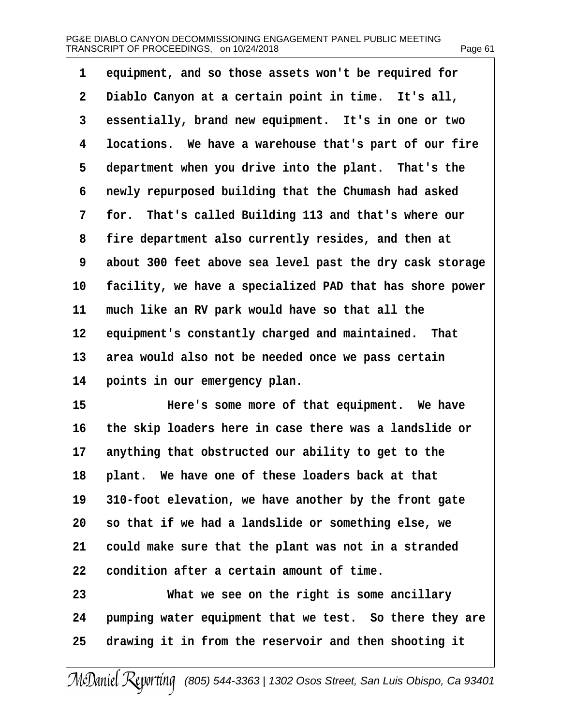| 1              | equipment, and so those assets won't be required for     |
|----------------|----------------------------------------------------------|
| $\overline{2}$ | Diablo Canyon at a certain point in time. It's all,      |
| 3              | essentially, brand new equipment. It's in one or two     |
| 4              | locations. We have a warehouse that's part of our fire   |
| 5              | department when you drive into the plant. That's the     |
| 6              | newly repurposed building that the Chumash had asked     |
| 7              | for. That's called Building 113 and that's where our     |
| 8              | fire department also currently resides, and then at      |
| 9              | about 300 feet above sea level past the dry cask storage |
| 10             | facility, we have a specialized PAD that has shore power |
| 11             | much like an RV park would have so that all the          |
| 12             | equipment's constantly charged and maintained. That      |
| 13             | area would also not be needed once we pass certain       |
| 14             | points in our emergency plan.                            |
| 15             | Here's some more of that equipment. We have              |
| 16             | the skip loaders here in case there was a landslide or   |
| 17             | anything that obstructed our ability to get to the       |
| 18             | plant. We have one of these loaders back at that         |
| 19             | 310-foot elevation, we have another by the front gate    |
| 20             | so that if we had a landslide or something else, we      |
| 21             | could make sure that the plant was not in a stranded     |
| 22             | condition after a certain amount of time.                |
| 23             | What we see on the right is some ancillary               |
| 24             | pumping water equipment that we test. So there they are  |
| 25             | drawing it in from the reservoir and then shooting it    |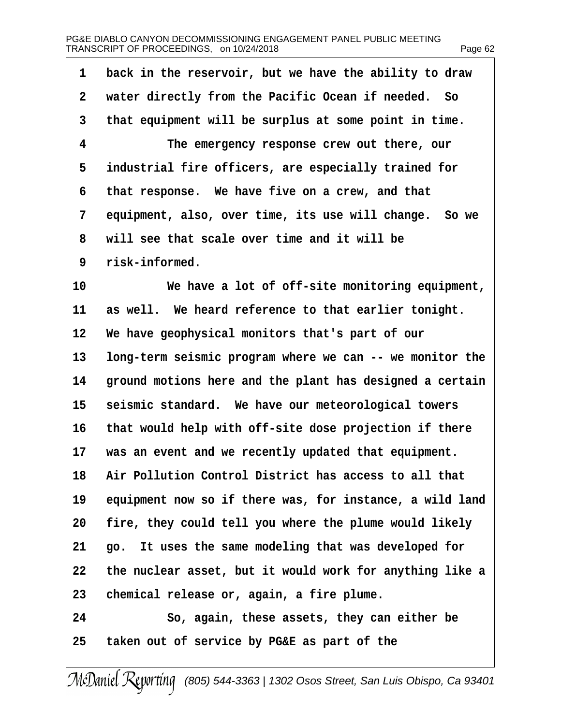| 1               | back in the reservoir, but we have the ability to draw   |
|-----------------|----------------------------------------------------------|
| 2               | water directly from the Pacific Ocean if needed. So      |
| 3               | that equipment will be surplus at some point in time.    |
| 4               | The emergency response crew out there, our               |
| 5               | industrial fire officers, are especially trained for     |
| 6               | that response. We have five on a crew, and that          |
| 7               | equipment, also, over time, its use will change. So we   |
| 8               | will see that scale over time and it will be             |
| 9               | risk-informed.                                           |
| 10              | We have a lot of off-site monitoring equipment,          |
| 11              | as well. We heard reference to that earlier tonight.     |
| 12 <sup>1</sup> | We have geophysical monitors that's part of our          |
| 13              | long-term seismic program where we can -- we monitor the |
| 14              | ground motions here and the plant has designed a certain |
| 15              | seismic standard. We have our meteorological towers      |
| 16              | that would help with off-site dose projection if there   |
| 17              | was an event and we recently updated that equipment.     |
| 18              | Air Pollution Control District has access to all that    |
| 19              | equipment now so if there was, for instance, a wild land |
| 20              | fire, they could tell you where the plume would likely   |
| 21              | go. It uses the same modeling that was developed for     |
| 22              | the nuclear asset, but it would work for anything like a |
| 23              | chemical release or, again, a fire plume.                |
| 24              | So, again, these assets, they can either be              |
| 25              | taken out of service by PG&E as part of the              |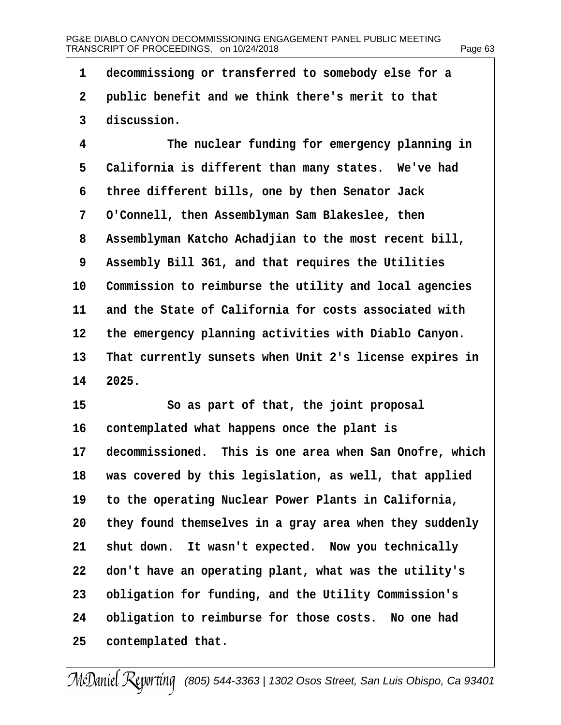| 1  | decommissiong or transferred to somebody else for a     |
|----|---------------------------------------------------------|
| 2  | public benefit and we think there's merit to that       |
| 3  | discussion.                                             |
| 4  | The nuclear funding for emergency planning in           |
| 5  | California is different than many states. We've had     |
| 6  | three different bills, one by then Senator Jack         |
| 7  | O'Connell, then Assemblyman Sam Blakeslee, then         |
| 8  | Assemblyman Katcho Achadjian to the most recent bill,   |
| 9  | Assembly Bill 361, and that requires the Utilities      |
| 10 | Commission to reimburse the utility and local agencies  |
| 11 | and the State of California for costs associated with   |
| 12 | the emergency planning activities with Diablo Canyon.   |
| 13 | That currently sunsets when Unit 2's license expires in |
|    | 14 2025.                                                |
| 15 | So as part of that, the joint proposal                  |
| 16 | contemplated what happens once the plant is             |
| 17 | decommissioned. This is one area when San Onofre, which |
| 18 | was covered by this legislation, as well, that applied  |
| 19 | to the operating Nuclear Power Plants in California,    |
| 20 | they found themselves in a gray area when they suddenly |
| 21 | shut down. It wasn't expected. Now you technically      |
| 22 | don't have an operating plant, what was the utility's   |
| 23 | obligation for funding, and the Utility Commission's    |
| 24 | obligation to reimburse for those costs. No one had     |
| 25 | contemplated that.                                      |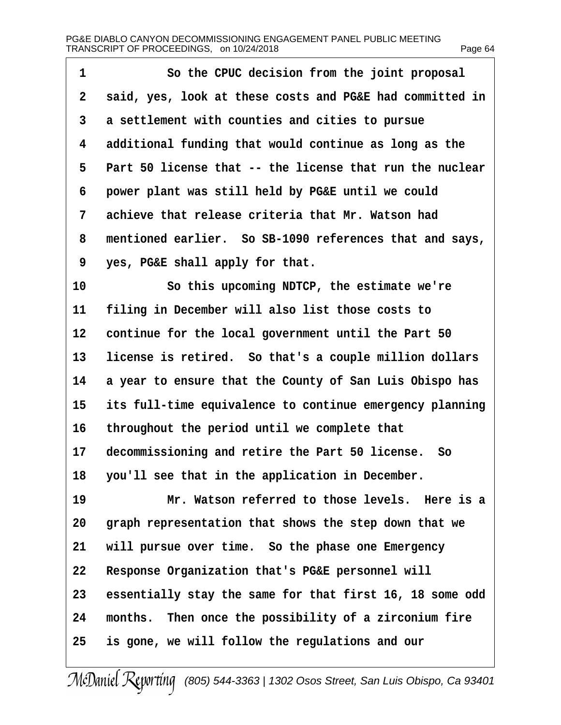| 1  | So the CPUC decision from the joint proposal             |
|----|----------------------------------------------------------|
| 2  | said, yes, look at these costs and PG&E had committed in |
| 3  | a settlement with counties and cities to pursue          |
| 4  | additional funding that would continue as long as the    |
| 5  | Part 50 license that -- the license that run the nuclear |
| 6  | power plant was still held by PG&E until we could        |
| 7  | achieve that release criteria that Mr. Watson had        |
| 8  | mentioned earlier. So SB-1090 references that and says,  |
| 9  | yes, PG&E shall apply for that.                          |
| 10 | So this upcoming NDTCP, the estimate we're               |
| 11 | filing in December will also list those costs to         |
| 12 | continue for the local government until the Part 50      |
| 13 | license is retired. So that's a couple million dollars   |
| 14 | a year to ensure that the County of San Luis Obispo has  |
| 15 | its full-time equivalence to continue emergency planning |
| 16 | throughout the period until we complete that             |
| 17 | decommissioning and retire the Part 50 license. So       |
|    | 18 you'll see that in the application in December.       |
| 19 | Mr. Watson referred to those levels. Here is a           |
| 20 | graph representation that shows the step down that we    |
| 21 | will pursue over time. So the phase one Emergency        |
| 22 | Response Organization that's PG&E personnel will         |
| 23 | essentially stay the same for that first 16, 18 some odd |
| 24 | months. Then once the possibility of a zirconium fire    |
| 25 | is gone, we will follow the regulations and our          |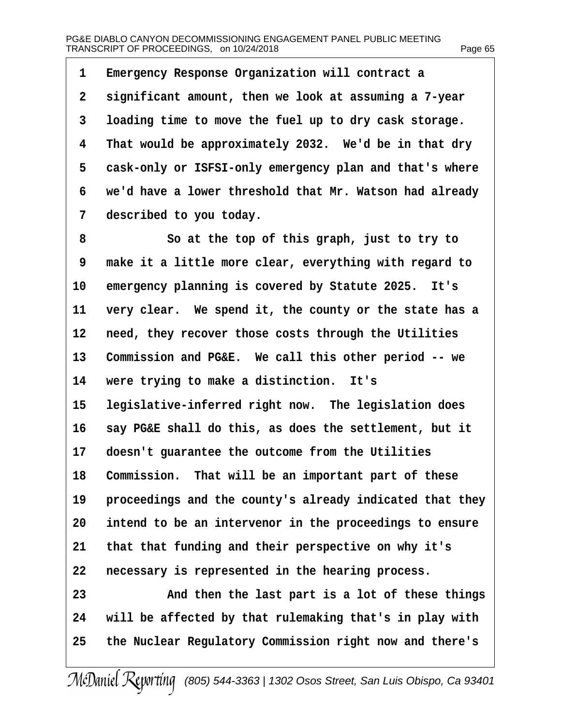| 1              | Emergency Response Organization will contract a          |
|----------------|----------------------------------------------------------|
| $\overline{2}$ | significant amount, then we look at assuming a 7-year    |
| 3              | loading time to move the fuel up to dry cask storage.    |
| 4              | That would be approximately 2032. We'd be in that dry    |
| 5              | cask-only or ISFSI-only emergency plan and that's where  |
| 6              | we'd have a lower threshold that Mr. Watson had already  |
| 7              | described to you today.                                  |
| 8              | So at the top of this graph, just to try to              |
| 9              | make it a little more clear, everything with regard to   |
| 10             | emergency planning is covered by Statute 2025. It's      |
| 11             | very clear. We spend it, the county or the state has a   |
| 12             | need, they recover those costs through the Utilities     |
| 13             | Commission and PG&E. We call this other period -- we     |
| 14             | were trying to make a distinction. It's                  |
| 15             | legislative-inferred right now. The legislation does     |
| 16             | say PG&E shall do this, as does the settlement, but it   |
| 17             | doesn't guarantee the outcome from the Utilities         |
| 18             | Commission. That will be an important part of these      |
| 19             | proceedings and the county's already indicated that they |
| 20             | intend to be an intervenor in the proceedings to ensure  |
| 21             | that that funding and their perspective on why it's      |
| 22             | necessary is represented in the hearing process.         |
| 23             | And then the last part is a lot of these things          |
| 24             | will be affected by that rulemaking that's in play with  |
| 25             | the Nuclear Regulatory Commission right now and there's  |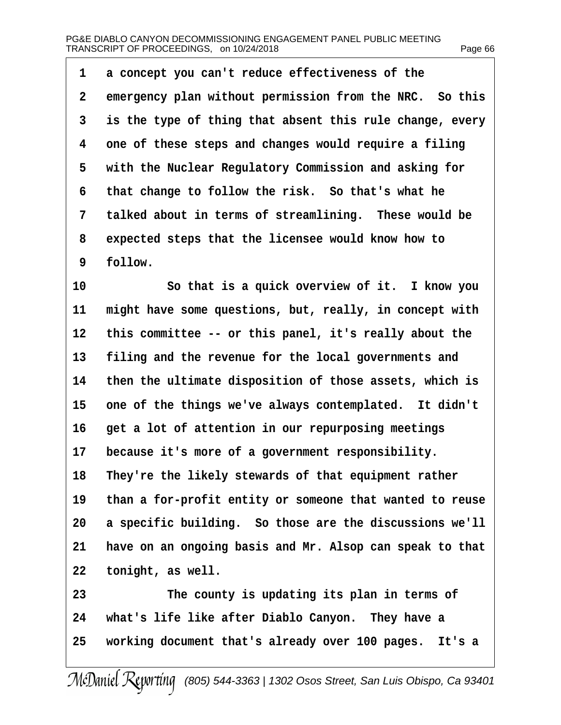| 1              | a concept you can't reduce effectiveness of the          |
|----------------|----------------------------------------------------------|
| $\overline{2}$ | emergency plan without permission from the NRC. So this  |
| 3              | is the type of thing that absent this rule change, every |
| 4              | one of these steps and changes would require a filing    |
| 5              | with the Nuclear Regulatory Commission and asking for    |
| 6              | that change to follow the risk. So that's what he        |
| 7              | talked about in terms of streamlining. These would be    |
| 8              | expected steps that the licensee would know how to       |
| 9              | follow.                                                  |
| 10             | So that is a quick overview of it. I know you            |
| 11             | might have some questions, but, really, in concept with  |
| 12             | this committee -- or this panel, it's really about the   |
| 13             | filing and the revenue for the local governments and     |
| 14             | then the ultimate disposition of those assets, which is  |
| 15             | one of the things we've always contemplated. It didn't   |
| 16             | get a lot of attention in our repurposing meetings       |
| 17             | because it's more of a government responsibility.        |
| 18             | They're the likely stewards of that equipment rather     |
| 19             | than a for-profit entity or someone that wanted to reuse |
| 20             | a specific building. So those are the discussions we'll  |
| 21             | have on an ongoing basis and Mr. Alsop can speak to that |
| 22             | tonight, as well.                                        |
| 23             | The county is updating its plan in terms of              |
| 24             | what's life like after Diablo Canyon. They have a        |
| 25             | working document that's already over 100 pages. It's a   |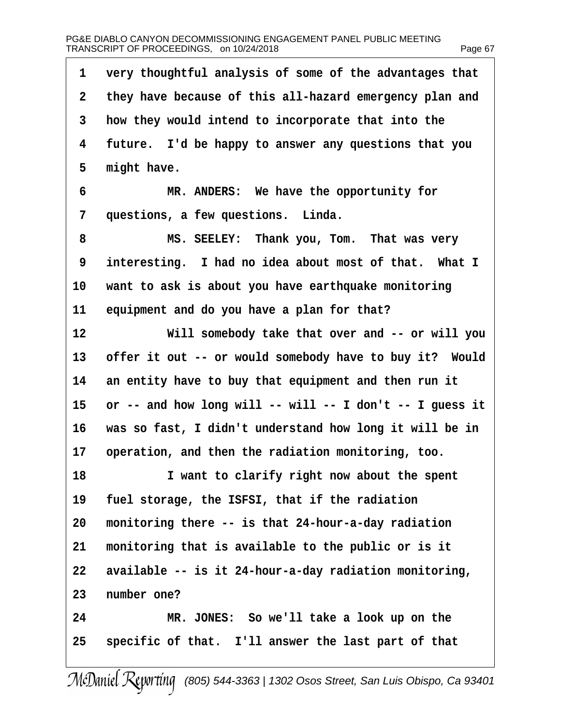| 1              | very thoughtful analysis of some of the advantages that  |
|----------------|----------------------------------------------------------|
| $\overline{2}$ | they have because of this all-hazard emergency plan and  |
| 3              | how they would intend to incorporate that into the       |
| 4              | future. I'd be happy to answer any questions that you    |
| 5              | might have.                                              |
| 6              | MR. ANDERS: We have the opportunity for                  |
| 7              | questions, a few questions. Linda.                       |
| 8              | MS. SEELEY: Thank you, Tom. That was very                |
| 9              | interesting. I had no idea about most of that. What I    |
| 10             | want to ask is about you have earthquake monitoring      |
| 11             | equipment and do you have a plan for that?               |
| 12             | Will somebody take that over and -- or will you          |
| 13             | offer it out -- or would somebody have to buy it? Would  |
| 14             | an entity have to buy that equipment and then run it     |
| 15             | or -- and how long will -- will -- I don't -- I guess it |
| 16             | was so fast, I didn't understand how long it will be in  |
| 17             | operation, and then the radiation monitoring, too.       |
| 18             | I want to clarify right now about the spent              |
| 19             | fuel storage, the ISFSI, that if the radiation           |
| 20             | monitoring there -- is that 24-hour-a-day radiation      |
| 21             | monitoring that is available to the public or is it      |
| 22             | available -- is it 24-hour-a-day radiation monitoring,   |
| 23             | number one?                                              |
| 24             | MR. JONES: So we'll take a look up on the                |
| 25             | specific of that. I'll answer the last part of that      |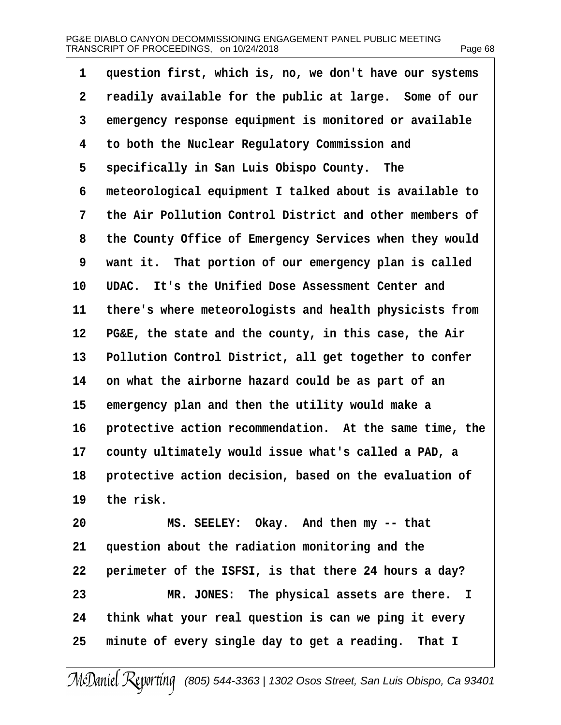| 1  | question first, which is, no, we don't have our systems |
|----|---------------------------------------------------------|
| 2  | readily available for the public at large. Some of our  |
| 3  | emergency response equipment is monitored or available  |
| 4  | to both the Nuclear Regulatory Commission and           |
| 5  | specifically in San Luis Obispo County. The             |
| 6  | meteorological equipment I talked about is available to |
| 7  | the Air Pollution Control District and other members of |
| 8  | the County Office of Emergency Services when they would |
| 9  | want it. That portion of our emergency plan is called   |
| 10 | UDAC. It's the Unified Dose Assessment Center and       |
| 11 | there's where meteorologists and health physicists from |
| 12 | PG&E, the state and the county, in this case, the Air   |
| 13 | Pollution Control District, all get together to confer  |
| 14 | on what the airborne hazard could be as part of an      |
| 15 | emergency plan and then the utility would make a        |
| 16 | protective action recommendation. At the same time, the |
| 17 | county ultimately would issue what's called a PAD, a    |
| 18 | protective action decision, based on the evaluation of  |
| 19 | the risk.                                               |
| 20 | MS. SEELEY: Okay. And then my -- that                   |
| 21 | question about the radiation monitoring and the         |
| 22 | perimeter of the ISFSI, is that there 24 hours a day?   |
| 23 | MR. JONES: The physical assets are there. I             |
| 24 | think what your real question is can we ping it every   |
| 25 | minute of every single day to get a reading. That I     |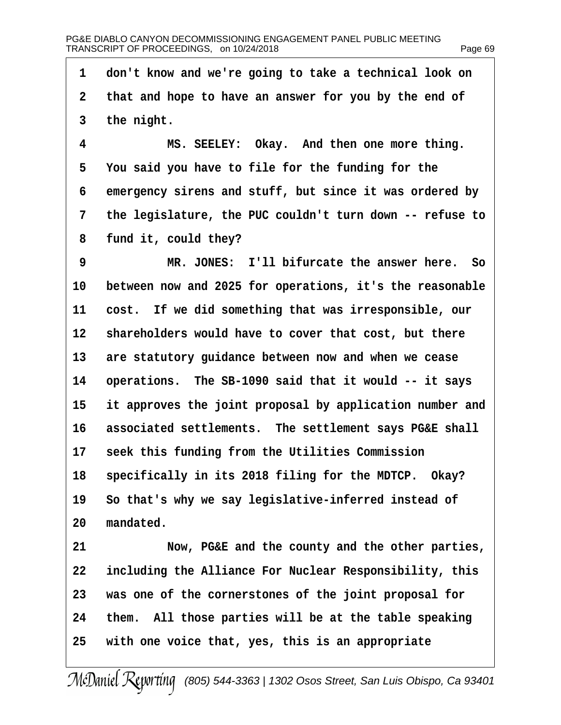1 don't know and we're going to take a technical look on 2 that and hope to have an answer for you by the end of 3 the night. 4 MS. SEELEY: Okay. And then one more thing. 5 You said you have to file for the funding for the 6 emergency sirens and stuff, but since it was ordered by 7 the legislature, the PUC couldn't turn down -- refuse to 8 fund it, could they? 9 MR. JONES: I'll bifurcate the answer here. So 10 between now and 2025 for operations, it's the reasonable 11 cost. If we did something that was irresponsible, our 12 shareholders would have to cover that cost, but there 13 are statutory guidance between now and when we cease 14 operations. The SB-1090 said that it would -- it says 15 it approves the joint proposal by application number and 16 associated settlements. The settlement says PG&E shall 17 seek this funding from the Utilities Commission 18 specifically in its 2018 filing for the MDTCP. Okay? 19 So that's why we say legislative-inferred instead of 20 mandated. 21 Now, PG&E and the county and the other parties, 22 including the Alliance For Nuclear Responsibility, this 23 was one of the cornerstones of the joint proposal for 24 them. All those parties will be at the table speaking 25 with one voice that, yes, this is an appropriate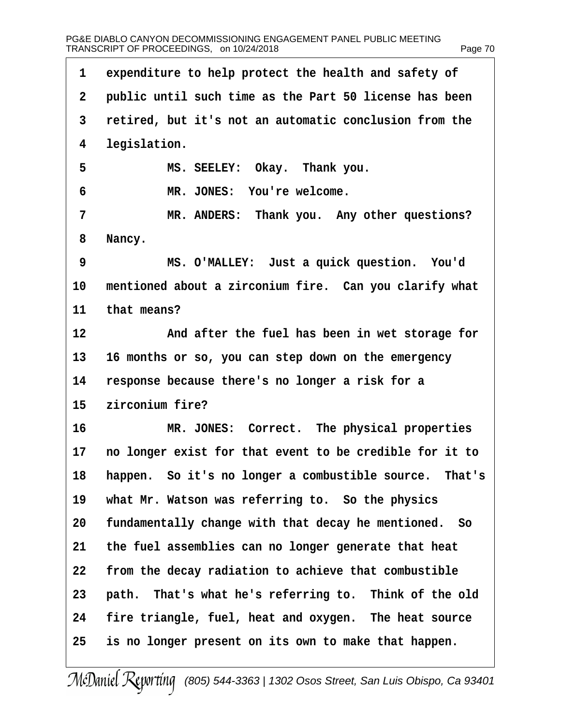| 1               | expenditure to help protect the health and safety of    |
|-----------------|---------------------------------------------------------|
| $\overline{2}$  | public until such time as the Part 50 license has been  |
| 3               | retired, but it's not an automatic conclusion from the  |
| 4               | legislation.                                            |
| 5               | MS. SEELEY: Okay. Thank you.                            |
| 6               | MR. JONES: You're welcome.                              |
| 7               | MR. ANDERS: Thank you. Any other questions?             |
| 8               | Nancy.                                                  |
| 9               | MS. O'MALLEY: Just a quick question. You'd              |
| 10              | mentioned about a zirconium fire. Can you clarify what  |
| 11              | that means?                                             |
| 12 <sup>2</sup> | And after the fuel has been in wet storage for          |
| 13              | 16 months or so, you can step down on the emergency     |
| 14              | response because there's no longer a risk for a         |
| 15              | zirconium fire?                                         |
| 16              | MR. JONES: Correct. The physical properties             |
| 17              | no longer exist for that event to be credible for it to |
| 18              | happen. So it's no longer a combustible source. That's  |
| 19              | what Mr. Watson was referring to. So the physics        |
| 20              | fundamentally change with that decay he mentioned. So   |
| 21              | the fuel assemblies can no longer generate that heat    |
| 22              | from the decay radiation to achieve that combustible    |
| 23              | path. That's what he's referring to. Think of the old   |
| 24              | fire triangle, fuel, heat and oxygen. The heat source   |
| 25              | is no longer present on its own to make that happen.    |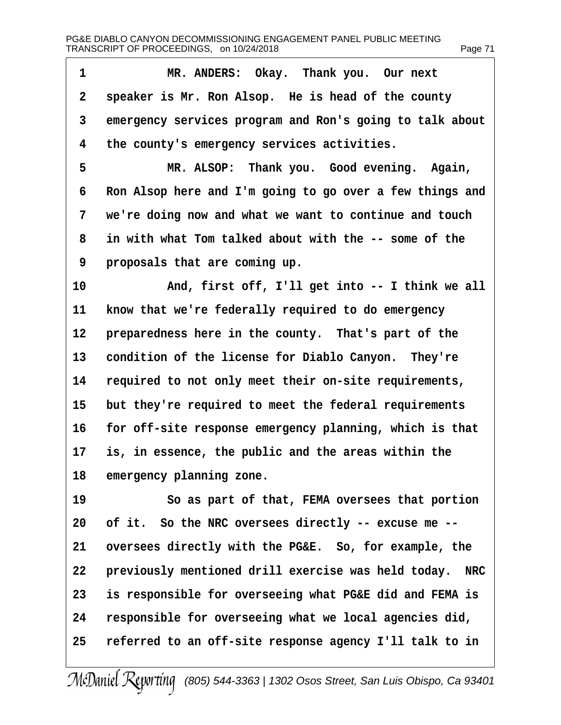| 1  | MR. ANDERS: Okay. Thank you. Our next                    |
|----|----------------------------------------------------------|
| 2  | speaker is Mr. Ron Alsop. He is head of the county       |
| 3  | emergency services program and Ron's going to talk about |
| 4  | the county's emergency services activities.              |
| 5  | MR. ALSOP: Thank you. Good evening. Again,               |
| 6  | Ron Alsop here and I'm going to go over a few things and |
| 7  | we're doing now and what we want to continue and touch   |
| 8  | in with what Tom talked about with the -- some of the    |
| 9  | proposals that are coming up.                            |
| 10 | And, first off, I'll get into -- I think we all          |
| 11 | know that we're federally required to do emergency       |
| 12 | preparedness here in the county. That's part of the      |
| 13 | condition of the license for Diablo Canyon. They're      |
| 14 | required to not only meet their on-site requirements,    |
| 15 | but they're required to meet the federal requirements    |
| 16 | for off-site response emergency planning, which is that  |
| 17 | is, in essence, the public and the areas within the      |
| 18 | emergency planning zone.                                 |
| 19 | So as part of that, FEMA oversees that portion           |
| 20 | of it. So the NRC oversees directly -- excuse me --      |
| 21 | oversees directly with the PG&E. So, for example, the    |
| 22 | previously mentioned drill exercise was held today. NRC  |
| 23 | is responsible for overseeing what PG&E did and FEMA is  |
| 24 | responsible for overseeing what we local agencies did,   |
| 25 | referred to an off-site response agency I'll talk to in  |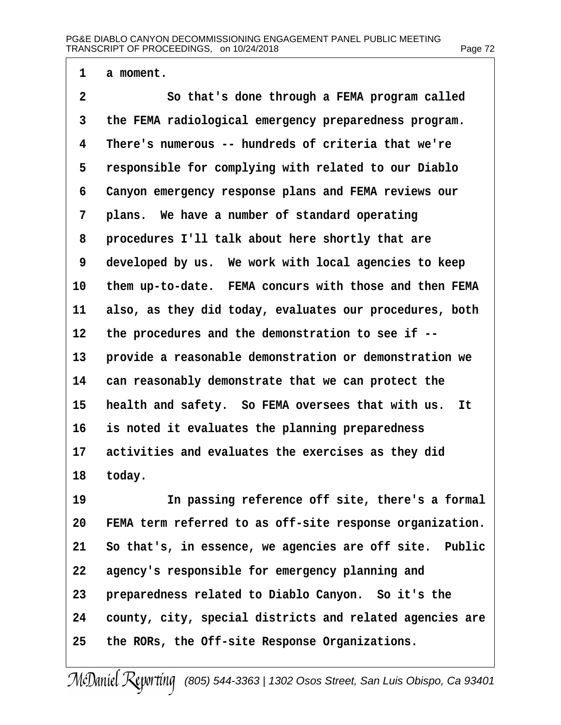- 1 a moment.
- 2 **So that's done through a FEMA program called**
- 3 the FEMA radiological emergency preparedness program.
- 4 There's numerous -- hundreds of criteria that we're
- 5 responsible for complying with related to our Diablo
- 6 Canyon emergency response plans and FEMA reviews our
- 7 plans. We have a number of standard operating
- 8 procedures I'll talk about here shortly that are
- 9 developed by us. We work with local agencies to keep
- 10 them up-to-date. FEMA concurs with those and then FEMA
- 11 also, as they did today, evaluates our procedures, both
- 12 the procedures and the demonstration to see if --
- 13 provide a reasonable demonstration or demonstration we
- 14 can reasonably demonstrate that we can protect the
- 15 health and safety. So FEMA oversees that with us. It
- 16 is noted it evaluates the planning preparedness
- 17 activities and evaluates the exercises as they did
- 18 today.
- 19 **In passing reference off site, there's a formal**
- 20 FEMA term referred to as off-site response organization.
- 21 So that's, in essence, we agencies are off site. Public
- 22 agency's responsible for emergency planning and
- 23 preparedness related to Diablo Canyon. So it's the
- 24 county, city, special districts and related agencies are
- 25 the RORs, the Off-site Response Organizations.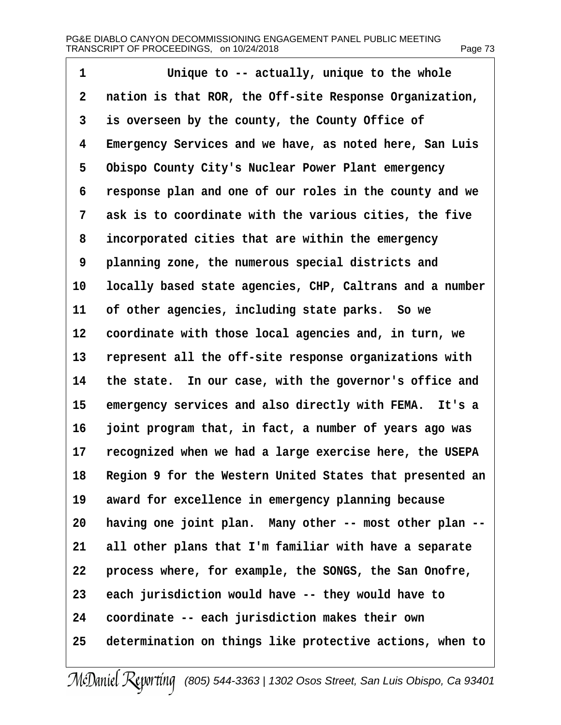| 1         | Unique to -- actually, unique to the whole                  |
|-----------|-------------------------------------------------------------|
| 2         | nation is that ROR, the Off-site Response Organization,     |
| 3         | is overseen by the county, the County Office of             |
| 4         | Emergency Services and we have, as noted here, San Luis     |
| 5         | Obispo County City's Nuclear Power Plant emergency          |
| 6         | response plan and one of our roles in the county and we     |
| 7         | ask is to coordinate with the various cities, the five      |
| 8         | incorporated cities that are within the emergency           |
| 9         | planning zone, the numerous special districts and           |
| 10        | locally based state agencies, CHP, Caltrans and a number    |
| 11        | of other agencies, including state parks. So we             |
| 12        | coordinate with those local agencies and, in turn, we       |
| 13        | represent all the off-site response organizations with      |
| 14        | the state. In our case, with the governor's office and      |
| 15        | emergency services and also directly with FEMA. It's a      |
| 16        | joint program that, in fact, a number of years ago was      |
| 17        | recognized when we had a large exercise here, the USEPA     |
|           | 18 Region 9 for the Western United States that presented an |
| 19        | award for excellence in emergency planning because          |
| 20        | having one joint plan. Many other -- most other plan --     |
| 21        | all other plans that I'm familiar with have a separate      |
| <u>22</u> | process where, for example, the SONGS, the San Onofre,      |
| 23        | each jurisdiction would have -- they would have to          |
| 24        | coordinate -- each jurisdiction makes their own             |
| 25        | determination on things like protective actions, when to    |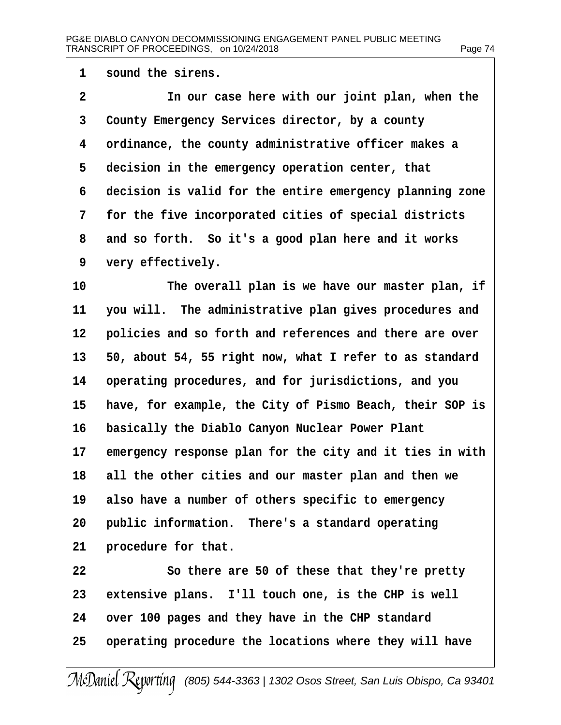| 1              | sound the sirens.                                        |
|----------------|----------------------------------------------------------|
| $\overline{2}$ | In our case here with our joint plan, when the           |
| 3              | County Emergency Services director, by a county          |
| 4              | ordinance, the county administrative officer makes a     |
| 5              | decision in the emergency operation center, that         |
| 6              | decision is valid for the entire emergency planning zone |
| 7              | for the five incorporated cities of special districts    |
| 8              | and so forth. So it's a good plan here and it works      |
| 9              | very effectively.                                        |
| 10             | The overall plan is we have our master plan, if          |
| 11             | you will. The administrative plan gives procedures and   |
| 12             | policies and so forth and references and there are over  |
| 13             | 50, about 54, 55 right now, what I refer to as standard  |
| 14             | operating procedures, and for jurisdictions, and you     |
| 15             | have, for example, the City of Pismo Beach, their SOP is |
| 16             | basically the Diablo Canyon Nuclear Power Plant          |
| 17             | emergency response plan for the city and it ties in with |
| 18             | all the other cities and our master plan and then we     |
| 19             | also have a number of others specific to emergency       |
| 20             | public information. There's a standard operating         |
| 21             | procedure for that.                                      |
| 22             | So there are 50 of these that they're pretty             |
| 23             | extensive plans. I'll touch one, is the CHP is well      |
| 24             | over 100 pages and they have in the CHP standard         |
| 25             | operating procedure the locations where they will have   |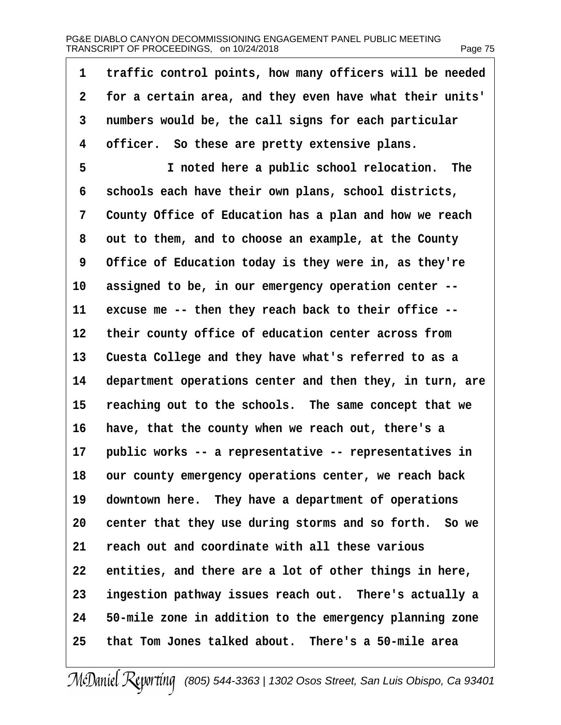| 1              | traffic control points, how many officers will be needed |
|----------------|----------------------------------------------------------|
| $\overline{2}$ | for a certain area, and they even have what their units' |
| 3              | numbers would be, the call signs for each particular     |
| 4              | officer. So these are pretty extensive plans.            |
| 5              | I noted here a public school relocation. The             |
| 6              | schools each have their own plans, school districts,     |
| 7              | County Office of Education has a plan and how we reach   |
| 8              | out to them, and to choose an example, at the County     |
| 9              | Office of Education today is they were in, as they're    |
| 10             | assigned to be, in our emergency operation center --     |
| 11             | excuse me -- then they reach back to their office --     |
| 12             | their county office of education center across from      |
| 13             | Cuesta College and they have what's referred to as a     |
| 14             | department operations center and then they, in turn, are |
| 15             | reaching out to the schools. The same concept that we    |
| 16             | have, that the county when we reach out, there's a       |
| 17             | public works -- a representative -- representatives in   |
| 18             | our county emergency operations center, we reach back    |
| 19             | downtown here. They have a department of operations      |
| 20             | center that they use during storms and so forth. So we   |
| 21             | reach out and coordinate with all these various          |
| 22             | entities, and there are a lot of other things in here,   |
| 23             | ingestion pathway issues reach out. There's actually a   |
| 24             | 50-mile zone in addition to the emergency planning zone  |
| 25             | that Tom Jones talked about. There's a 50-mile area      |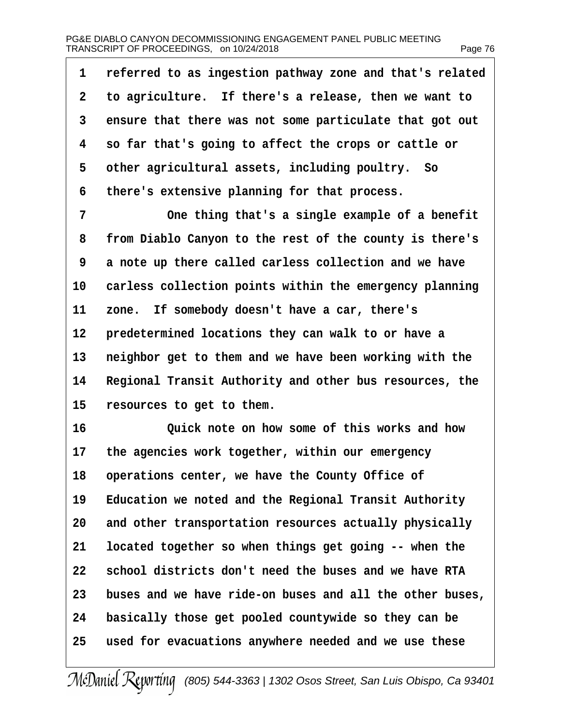| 1              | referred to as ingestion pathway zone and that's related |
|----------------|----------------------------------------------------------|
| $\overline{2}$ | to agriculture. If there's a release, then we want to    |
| 3              | ensure that there was not some particulate that got out  |
| 4              | so far that's going to affect the crops or cattle or     |
| 5              | other agricultural assets, including poultry. So         |
| 6              | there's extensive planning for that process.             |
| 7              | One thing that's a single example of a benefit           |
| 8              | from Diablo Canyon to the rest of the county is there's  |
| 9              | a note up there called carless collection and we have    |
| 10             | carless collection points within the emergency planning  |
| 11             | zone. If somebody doesn't have a car, there's            |
| 12             | predetermined locations they can walk to or have a       |
| 13             | neighbor get to them and we have been working with the   |
| 14             | Regional Transit Authority and other bus resources, the  |
| 15             | resources to get to them.                                |
| 16             | Quick note on how some of this works and how             |
| 17             | the agencies work together, within our emergency         |
| 18             | operations center, we have the County Office of          |
| 19             | Education we noted and the Regional Transit Authority    |
| 20             | and other transportation resources actually physically   |
| 21             | located together so when things get going -- when the    |
| 22             | school districts don't need the buses and we have RTA    |
| 23             | buses and we have ride-on buses and all the other buses, |
| 24             | basically those get pooled countywide so they can be     |
| 25             | used for evacuations anywhere needed and we use these    |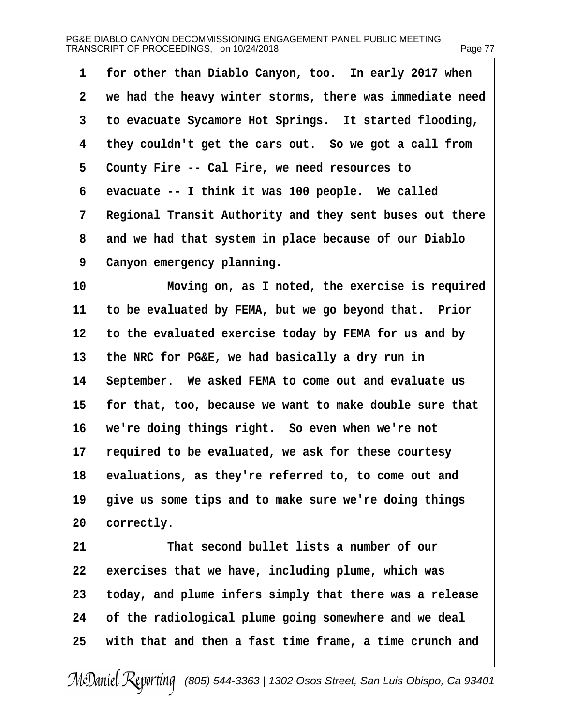# PG&E DIABLO CANYON DECOMMISSIONING ENGAGEMENT PANEL PUBLIC MEETING TRANSCRIPT OF PROCEEDINGS, on 10/24/2018 Page 77 Page 77

| 1               | for other than Diablo Canyon, too. In early 2017 when    |
|-----------------|----------------------------------------------------------|
| $\overline{2}$  | we had the heavy winter storms, there was immediate need |
| 3               | to evacuate Sycamore Hot Springs. It started flooding,   |
| 4               | they couldn't get the cars out. So we got a call from    |
| 5               | County Fire -- Cal Fire, we need resources to            |
| 6               | evacuate -- I think it was 100 people. We called         |
| 7               | Regional Transit Authority and they sent buses out there |
| 8               | and we had that system in place because of our Diablo    |
| 9               | Canyon emergency planning.                               |
| 10 <sup>1</sup> | Moving on, as I noted, the exercise is required          |
| 11              | to be evaluated by FEMA, but we go beyond that. Prior    |
|                 | 12 to the evaluated exercise today by FEMA for us and by |
| 13 <sup>°</sup> | the NRC for PG&E, we had basically a dry run in          |
| 14              | September. We asked FEMA to come out and evaluate us     |
| 15              | for that, too, because we want to make double sure that  |
| 16              | we're doing things right. So even when we're not         |
| 17              | required to be evaluated, we ask for these courtesy      |
| 18              | evaluations, as they're referred to, to come out and     |
| 19              | give us some tips and to make sure we're doing things    |
| 20              | correctly.                                               |
| 21              | That second bullet lists a number of our                 |
| 22              | exercises that we have, including plume, which was       |
| 23              | today, and plume infers simply that there was a release  |
| 24              | of the radiological plume going somewhere and we deal    |
| 25              | with that and then a fast time frame, a time crunch and  |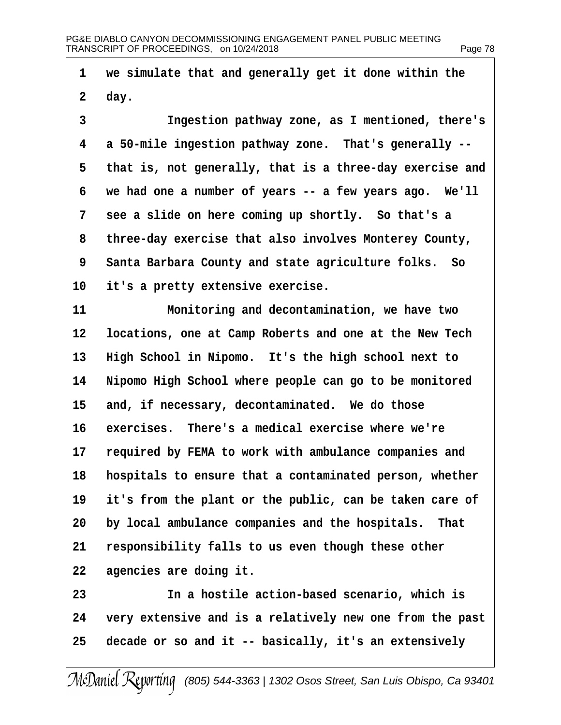| 1              | we simulate that and generally get it done within the      |
|----------------|------------------------------------------------------------|
| $\overline{2}$ | day.                                                       |
| 3              | Ingestion pathway zone, as I mentioned, there's            |
| 4              | a 50-mile ingestion pathway zone. That's generally --      |
| 5              | that is, not generally, that is a three-day exercise and   |
| 6              | we had one a number of years -- a few years ago. We'll     |
| 7              | see a slide on here coming up shortly. So that's a         |
| 8              | three-day exercise that also involves Monterey County,     |
| 9              | Santa Barbara County and state agriculture folks. So       |
| 10             | it's a pretty extensive exercise.                          |
| 11             | Monitoring and decontamination, we have two                |
| 12             | locations, one at Camp Roberts and one at the New Tech     |
| 13             | High School in Nipomo. It's the high school next to        |
| 14             | Nipomo High School where people can go to be monitored     |
| 15             | and, if necessary, decontaminated. We do those             |
| 16             | exercises. There's a medical exercise where we're          |
| 17             | required by FEMA to work with ambulance companies and      |
|                | 18 hospitals to ensure that a contaminated person, whether |
| 19             | it's from the plant or the public, can be taken care of    |
|                | 20 by local ambulance companies and the hospitals. That    |
| 21             | responsibility falls to us even though these other         |
| 22             | agencies are doing it.                                     |
| 23             | In a hostile action-based scenario, which is               |
| 24             | very extensive and is a relatively new one from the past   |
| 25             | decade or so and it -- basically, it's an extensively      |
|                | (805) 544-3363   1302 Osos Street, San L                   |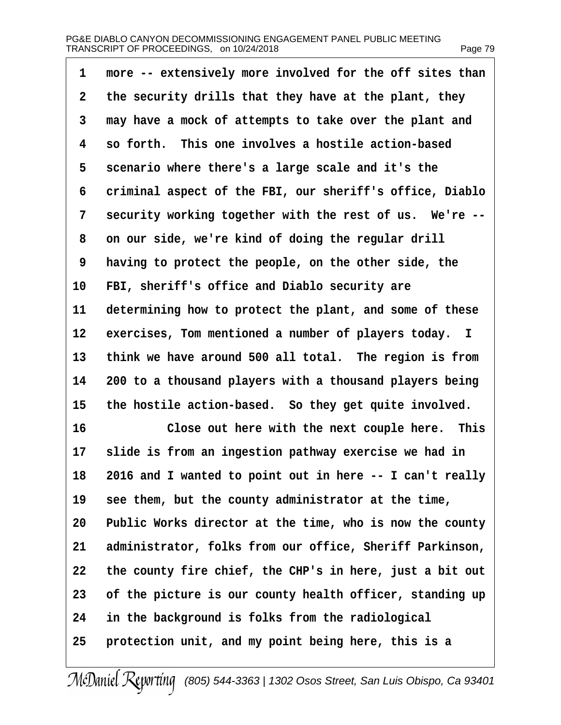| 1  | more -- extensively more involved for the off sites than    |
|----|-------------------------------------------------------------|
| 2  | the security drills that they have at the plant, they       |
| 3  | may have a mock of attempts to take over the plant and      |
| 4  | so forth. This one involves a hostile action-based          |
| 5  | scenario where there's a large scale and it's the           |
| 6  | criminal aspect of the FBI, our sheriff's office, Diablo    |
| 7  | security working together with the rest of us. We're --     |
| 8  | on our side, we're kind of doing the regular drill          |
| 9  | having to protect the people, on the other side, the        |
| 10 | FBI, sheriff's office and Diablo security are               |
| 11 | determining how to protect the plant, and some of these     |
| 12 | exercises, Tom mentioned a number of players today. I       |
| 13 | think we have around 500 all total. The region is from      |
| 14 | 200 to a thousand players with a thousand players being     |
| 15 | the hostile action-based. So they get quite involved.       |
| 16 | Close out here with the next couple here. This              |
| 17 | slide is from an ingestion pathway exercise we had in       |
|    | 18 2016 and I wanted to point out in here -- I can't really |
| 19 | see them, but the county administrator at the time,         |
| 20 | Public Works director at the time, who is now the county    |
| 21 | administrator, folks from our office, Sheriff Parkinson,    |
| 22 | the county fire chief, the CHP's in here, just a bit out    |
| 23 | of the picture is our county health officer, standing up    |
| 24 | in the background is folks from the radiological            |
| 25 | protection unit, and my point being here, this is a         |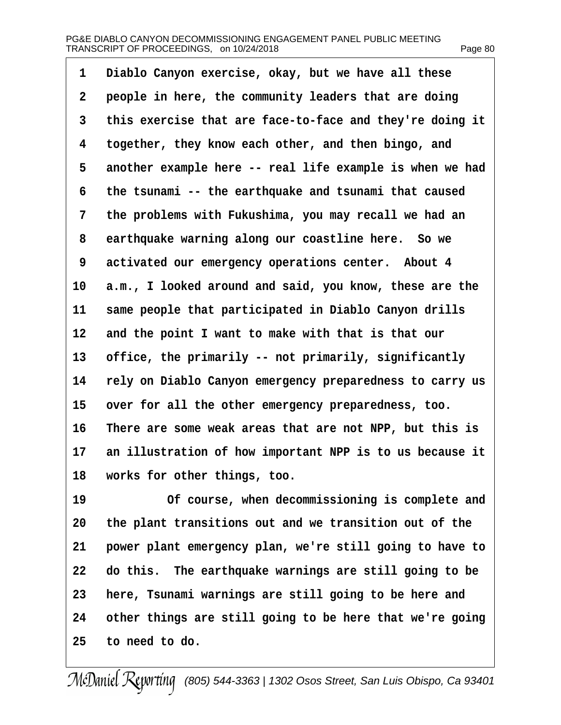| 1  | Diablo Canyon exercise, okay, but we have all these      |
|----|----------------------------------------------------------|
| 2  | people in here, the community leaders that are doing     |
| 3  | this exercise that are face-to-face and they're doing it |
| 4  | together, they know each other, and then bingo, and      |
| 5  | another example here -- real life example is when we had |
| 6  | the tsunami -- the earthquake and tsunami that caused    |
| 7  | the problems with Fukushima, you may recall we had an    |
| 8  | earthquake warning along our coastline here. So we       |
| 9  | activated our emergency operations center. About 4       |
| 10 | a.m., I looked around and said, you know, these are the  |
| 11 | same people that participated in Diablo Canyon drills    |
| 12 | and the point I want to make with that is that our       |
| 13 | office, the primarily -- not primarily, significantly    |
| 14 | rely on Diablo Canyon emergency preparedness to carry us |
| 15 | over for all the other emergency preparedness, too.      |
| 16 | There are some weak areas that are not NPP, but this is  |
| 17 | an illustration of how important NPP is to us because it |
| 18 | works for other things, too.                             |
| 19 | Of course, when decommissioning is complete and          |
| 20 | the plant transitions out and we transition out of the   |
| 21 | power plant emergency plan, we're still going to have to |
| 22 | do this. The earthquake warnings are still going to be   |
| 23 | here, Tsunami warnings are still going to be here and    |
| 24 | other things are still going to be here that we're going |
| 25 | to need to do.                                           |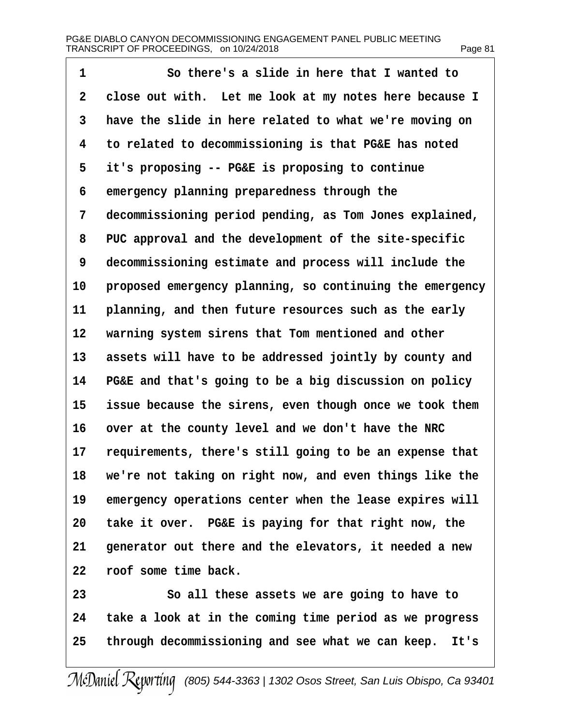| 1              | So there's a slide in here that I wanted to              |
|----------------|----------------------------------------------------------|
| $\overline{2}$ | close out with. Let me look at my notes here because I   |
| 3              | have the slide in here related to what we're moving on   |
| 4              | to related to decommissioning is that PG&E has noted     |
| 5              | it's proposing -- PG&E is proposing to continue          |
| 6              | emergency planning preparedness through the              |
| 7              | decommissioning period pending, as Tom Jones explained,  |
| 8              | PUC approval and the development of the site-specific    |
| 9              | decommissioning estimate and process will include the    |
| 10             | proposed emergency planning, so continuing the emergency |
| 11             | planning, and then future resources such as the early    |
| 12             | warning system sirens that Tom mentioned and other       |
| 13             | assets will have to be addressed jointly by county and   |
| 14             | PG&E and that's going to be a big discussion on policy   |
| 15             | issue because the sirens, even though once we took them  |
| 16             | over at the county level and we don't have the NRC       |
| 17             | requirements, there's still going to be an expense that  |
| 18             | we're not taking on right now, and even things like the  |
| 19             | emergency operations center when the lease expires will  |
| 20             | take it over. PG&E is paying for that right now, the     |
| 21             | generator out there and the elevators, it needed a new   |
| 22             | roof some time back.                                     |
| 23             | So all these assets we are going to have to              |
| 24             | take a look at in the coming time period as we progress  |
| 25             | through decommissioning and see what we can keep. It's   |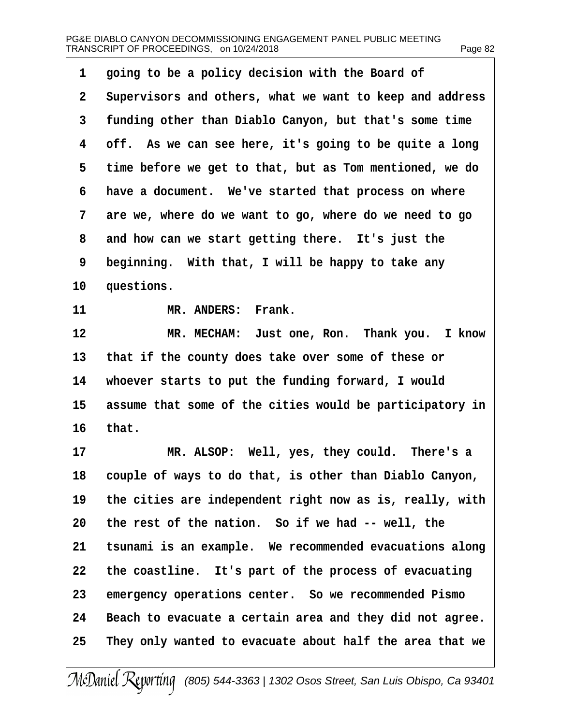| 1               | going to be a policy decision with the Board of          |
|-----------------|----------------------------------------------------------|
| $\mathbf{2}$    | Supervisors and others, what we want to keep and address |
| 3               | funding other than Diablo Canyon, but that's some time   |
| 4               | off. As we can see here, it's going to be quite a long   |
| 5               | time before we get to that, but as Tom mentioned, we do  |
| 6               | have a document. We've started that process on where     |
| 7               | are we, where do we want to go, where do we need to go   |
| 8               | and how can we start getting there. It's just the        |
| 9               | beginning. With that, I will be happy to take any        |
| 10 <sup>°</sup> | questions.                                               |
| 11              | MR. ANDERS: Frank.                                       |
| 12              | MR. MECHAM: Just one, Ron. Thank you. I know             |
| 13              | that if the county does take over some of these or       |
| 14              | whoever starts to put the funding forward, I would       |
| 15              | assume that some of the cities would be participatory in |
| 16              | that.                                                    |
| 17              | MR. ALSOP: Well, yes, they could. There's a              |
| 18              | couple of ways to do that, is other than Diablo Canyon,  |
| 19              | the cities are independent right now as is, really, with |
| 20              | the rest of the nation. So if we had -- well, the        |
| 21              | tsunami is an example. We recommended evacuations along  |
| 22              | the coastline. It's part of the process of evacuating    |
| 23              | emergency operations center. So we recommended Pismo     |
| 24              | Beach to evacuate a certain area and they did not agree. |
| 25              | They only wanted to evacuate about half the area that we |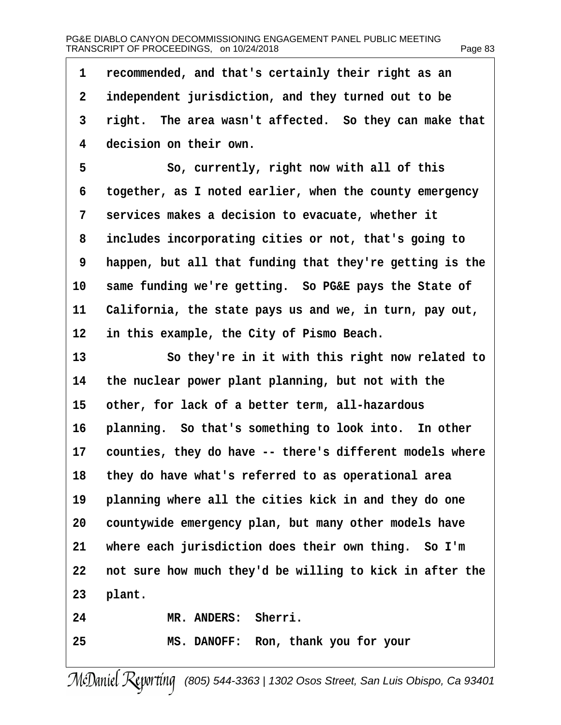| 1              | recommended, and that's certainly their right as an      |
|----------------|----------------------------------------------------------|
| $\overline{2}$ | independent jurisdiction, and they turned out to be      |
| 3              | right. The area wasn't affected. So they can make that   |
| 4              | decision on their own.                                   |
| 5              | So, currently, right now with all of this                |
| 6              | together, as I noted earlier, when the county emergency  |
| 7              | services makes a decision to evacuate, whether it        |
| 8              | includes incorporating cities or not, that's going to    |
| 9              | happen, but all that funding that they're getting is the |
| 10             | same funding we're getting. So PG&E pays the State of    |
| 11             | California, the state pays us and we, in turn, pay out,  |
| 12             | in this example, the City of Pismo Beach.                |
| 13             | So they're in it with this right now related to          |
| 14             | the nuclear power plant planning, but not with the       |
| 15             | other, for lack of a better term, all-hazardous          |
| 16             | planning. So that's something to look into. In other     |
| 17             | counties, they do have -- there's different models where |
| 18             | they do have what's referred to as operational area      |
| 19             | planning where all the cities kick in and they do one    |
| 20             | countywide emergency plan, but many other models have    |
| 21             | where each jurisdiction does their own thing. So I'm     |
| 22             | not sure how much they'd be willing to kick in after the |
| 23             | plant.                                                   |
| 24             | MR. ANDERS: Sherri.                                      |
| 25             | MS. DANOFF: Ron, thank you for your                      |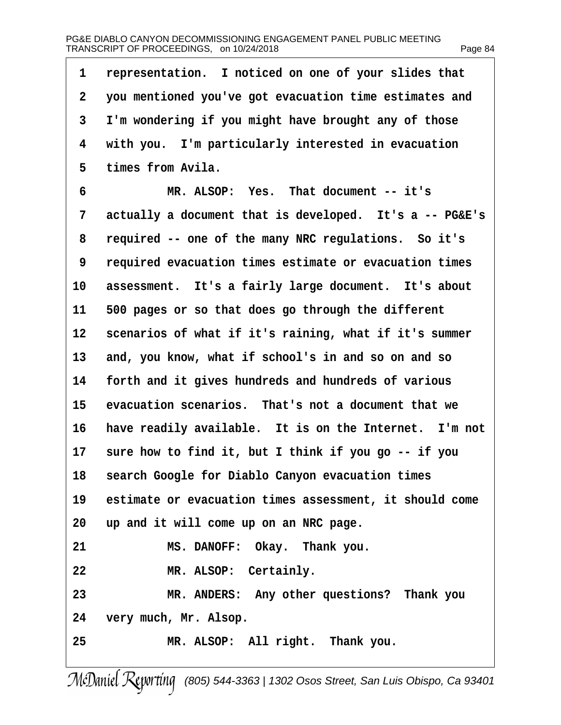| 1               | representation. I noticed on one of your slides that    |
|-----------------|---------------------------------------------------------|
| $\overline{2}$  | you mentioned you've got evacuation time estimates and  |
| 3               | I'm wondering if you might have brought any of those    |
| 4               | with you. I'm particularly interested in evacuation     |
| 5               | times from Avila.                                       |
| 6               | MR. ALSOP: Yes. That document -- it's                   |
| 7               | actually a document that is developed. It's a -- PG&E's |
| 8               | required -- one of the many NRC regulations. So it's    |
| 9               | required evacuation times estimate or evacuation times  |
| 10              | assessment. It's a fairly large document. It's about    |
| 11              | 500 pages or so that does go through the different      |
| 12 <sub>2</sub> | scenarios of what if it's raining, what if it's summer  |
| 13              | and, you know, what if school's in and so on and so     |
| 14              | forth and it gives hundreds and hundreds of various     |
| 15              | evacuation scenarios. That's not a document that we     |
| 16              | have readily available. It is on the Internet. I'm not  |
| 17              | sure how to find it, but I think if you go -- if you    |
| 18              | search Google for Diablo Canyon evacuation times        |
| 19              | estimate or evacuation times assessment, it should come |
| 20              | up and it will come up on an NRC page.                  |
| 21              | MS. DANOFF: Okay. Thank you.                            |
| 22              | MR. ALSOP: Certainly.                                   |
| 23              | MR. ANDERS: Any other questions? Thank you              |
| 24              | very much, Mr. Alsop.                                   |
| 25              | MR. ALSOP: All right. Thank you.                        |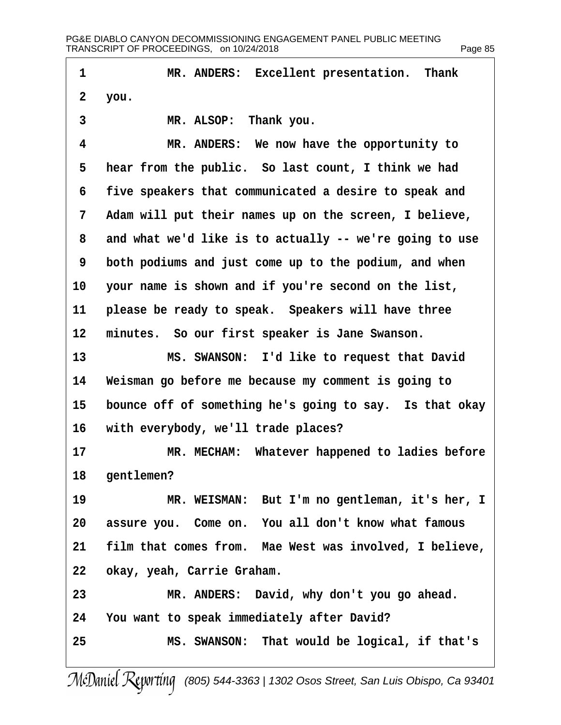| 1               | MR. ANDERS: Excellent presentation. Thank               |
|-----------------|---------------------------------------------------------|
| $\overline{2}$  | you.                                                    |
| 3               | MR. ALSOP: Thank you.                                   |
| 4               | MR. ANDERS: We now have the opportunity to              |
| 5               | hear from the public. So last count, I think we had     |
| 6               | five speakers that communicated a desire to speak and   |
| 7               | Adam will put their names up on the screen, I believe,  |
| 8               | and what we'd like is to actually -- we're going to use |
| 9               | both podiums and just come up to the podium, and when   |
| 10              | your name is shown and if you're second on the list,    |
| 11              | please be ready to speak. Speakers will have three      |
| 12 <sub>2</sub> | minutes. So our first speaker is Jane Swanson.          |
| 13              | MS. SWANSON: I'd like to request that David             |
| 14              | Weisman go before me because my comment is going to     |
| 15              | bounce off of something he's going to say. Is that okay |
| 16              | with everybody, we'll trade places?                     |
| 17              | MR. MECHAM: Whatever happened to ladies before          |
| 18              | gentlemen?                                              |
| 19              | MR. WEISMAN: But I'm no gentleman, it's her, I          |
| 20              | assure you. Come on. You all don't know what famous     |
| 21              | film that comes from. Mae West was involved, I believe, |
| 22              | okay, yeah, Carrie Graham.                              |
| 23              | MR. ANDERS: David, why don't you go ahead.              |
| 24              | You want to speak immediately after David?              |
| 25              | MS. SWANSON: That would be logical, if that's           |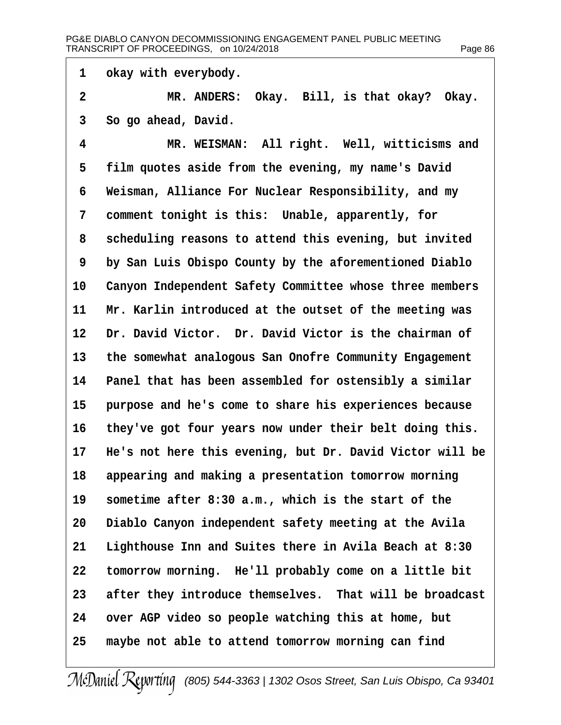1 okay with everybody.

- 2 MR. ANDERS: Okay. Bill, is that okay? Okay.
- 3 So go ahead, David.
- 4 MR. WEISMAN: All right. Well, witticisms and
- 5 film quotes aside from the evening, my name's David
- 6 Weisman, Alliance For Nuclear Responsibility, and my
- 7 comment tonight is this: Unable, apparently, for
- 8 scheduling reasons to attend this evening, but invited
- 9 by San Luis Obispo County by the aforementioned Diablo
- 10 Canyon Independent Safety Committee whose three members
- 11 Mr. Karlin introduced at the outset of the meeting was
- 12 Dr. David Victor. Dr. David Victor is the chairman of
- 13 the somewhat analogous San Onofre Community Engagement
- 14 Panel that has been assembled for ostensibly a similar
- 15 purpose and he's come to share his experiences because
- 16 they've got four years now under their belt doing this.
- 17 He's not here this evening, but Dr. David Victor will be
- 18 appearing and making a presentation tomorrow morning
- 19 sometime after 8:30 a.m., which is the start of the
- 20 Diablo Canyon independent safety meeting at the Avila
- 21 Lighthouse Inn and Suites there in Avila Beach at 8:30
- 22 tomorrow morning. He'll probably come on a little bit
- 23 after they introduce themselves. That will be broadcast
- 24 over AGP video so people watching this at home, but
- 25 maybe not able to attend tomorrow morning can find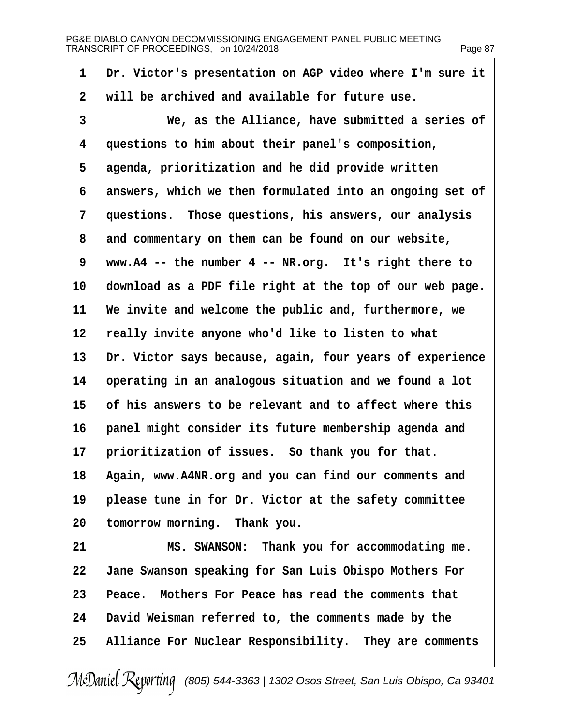| 1  | Dr. Victor's presentation on AGP video where I'm sure it |
|----|----------------------------------------------------------|
| 2  | will be archived and available for future use.           |
| 3  | We, as the Alliance, have submitted a series of          |
| 4  | questions to him about their panel's composition,        |
| 5  | agenda, prioritization and he did provide written        |
| 6  | answers, which we then formulated into an ongoing set of |
| 7  | questions. Those questions, his answers, our analysis    |
| 8  | and commentary on them can be found on our website,      |
| 9  | www.A4 -- the number 4 -- NR.org. It's right there to    |
| 10 | download as a PDF file right at the top of our web page. |
| 11 | We invite and welcome the public and, furthermore, we    |
| 12 | really invite anyone who'd like to listen to what        |
| 13 | Dr. Victor says because, again, four years of experience |
| 14 | operating in an analogous situation and we found a lot   |
| 15 | of his answers to be relevant and to affect where this   |
| 16 | panel might consider its future membership agenda and    |
| 17 | prioritization of issues. So thank you for that.         |
| 18 | Again, www.A4NR.org and you can find our comments and    |
| 19 | please tune in for Dr. Victor at the safety committee    |
| 20 | tomorrow morning. Thank you.                             |
| 21 | MS. SWANSON: Thank you for accommodating me.             |
| 22 | Jane Swanson speaking for San Luis Obispo Mothers For    |
| 23 | Peace. Mothers For Peace has read the comments that      |
| 24 | David Weisman referred to, the comments made by the      |
| 25 | Alliance For Nuclear Responsibility. They are comments   |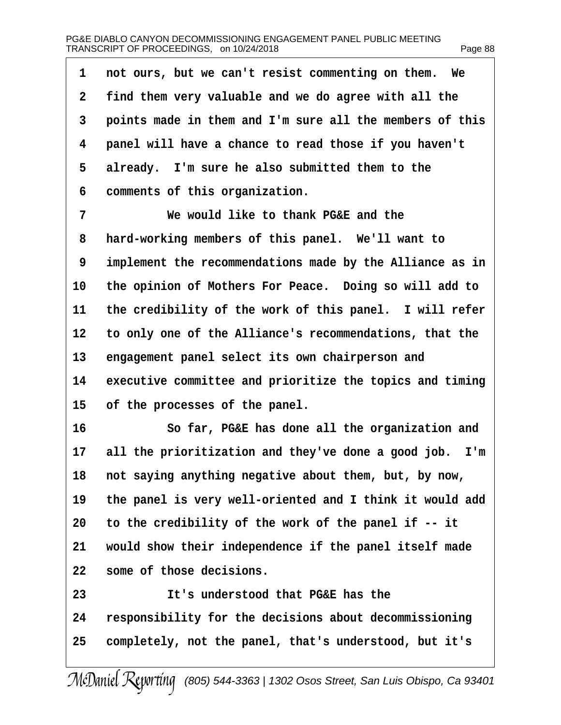| 1               | not ours, but we can't resist commenting on them. We     |
|-----------------|----------------------------------------------------------|
| $\overline{2}$  | find them very valuable and we do agree with all the     |
| 3               | points made in them and I'm sure all the members of this |
| 4               | panel will have a chance to read those if you haven't    |
| 5               | already. I'm sure he also submitted them to the          |
| 6               | comments of this organization.                           |
| 7               | We would like to thank PG&E and the                      |
| 8               | hard-working members of this panel. We'll want to        |
| 9               | implement the recommendations made by the Alliance as in |
| 10              | the opinion of Mothers For Peace. Doing so will add to   |
| 11              | the credibility of the work of this panel. I will refer  |
| 12 <sub>2</sub> | to only one of the Alliance's recommendations, that the  |
| 13              | engagement panel select its own chairperson and          |
| 14              | executive committee and prioritize the topics and timing |
| 15              | of the processes of the panel.                           |
| 16              | So far, PG&E has done all the organization and           |
| 17              | all the prioritization and they've done a good job. I'm  |
| 18              | not saying anything negative about them, but, by now,    |
| 19              | the panel is very well-oriented and I think it would add |
| 20              | to the credibility of the work of the panel if -- it     |
| 21              | would show their independence if the panel itself made   |
| 22              | some of those decisions.                                 |
| 23              | It's understood that PG&E has the                        |
| 24              | responsibility for the decisions about decommissioning   |
| 25              | completely, not the panel, that's understood, but it's   |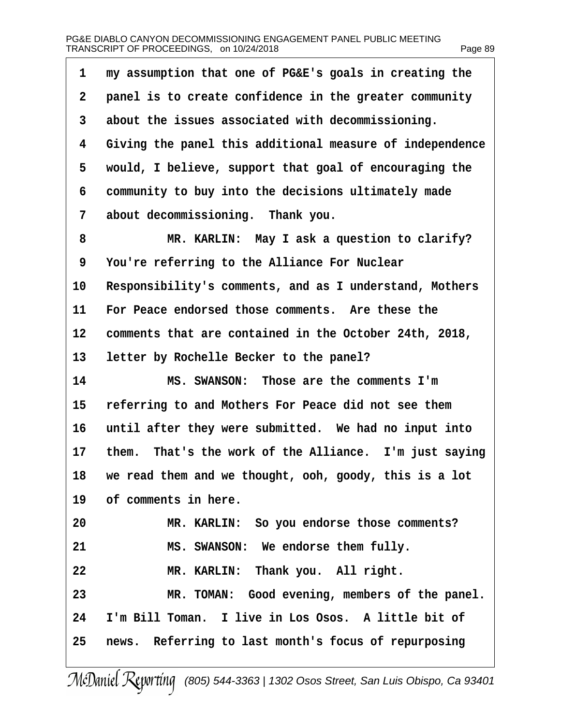| 1  | my assumption that one of PG&E's goals in creating the   |
|----|----------------------------------------------------------|
| 2  | panel is to create confidence in the greater community   |
| 3  | about the issues associated with decommissioning.        |
| 4  | Giving the panel this additional measure of independence |
| 5  | would, I believe, support that goal of encouraging the   |
| 6  | community to buy into the decisions ultimately made      |
| 7  | about decommissioning. Thank you.                        |
| 8  | MR. KARLIN: May I ask a question to clarify?             |
| 9  | You're referring to the Alliance For Nuclear             |
| 10 | Responsibility's comments, and as I understand, Mothers  |
| 11 | For Peace endorsed those comments. Are these the         |
| 12 | comments that are contained in the October 24th, 2018,   |
| 13 | letter by Rochelle Becker to the panel?                  |
| 14 | MS. SWANSON: Those are the comments I'm                  |
| 15 | referring to and Mothers For Peace did not see them      |
| 16 | until after they were submitted. We had no input into    |
| 17 | them. That's the work of the Alliance. I'm just saying   |
| 18 | we read them and we thought, ooh, goody, this is a lot   |
| 19 | of comments in here.                                     |
| 20 | MR. KARLIN: So you endorse those comments?               |
| 21 | MS. SWANSON: We endorse them fully.                      |
| 22 | MR. KARLIN: Thank you. All right.                        |
| 23 | MR. TOMAN: Good evening, members of the panel.           |
| 24 | I'm Bill Toman. I live in Los Osos. A little bit of      |
| 25 | news. Referring to last month's focus of repurposing     |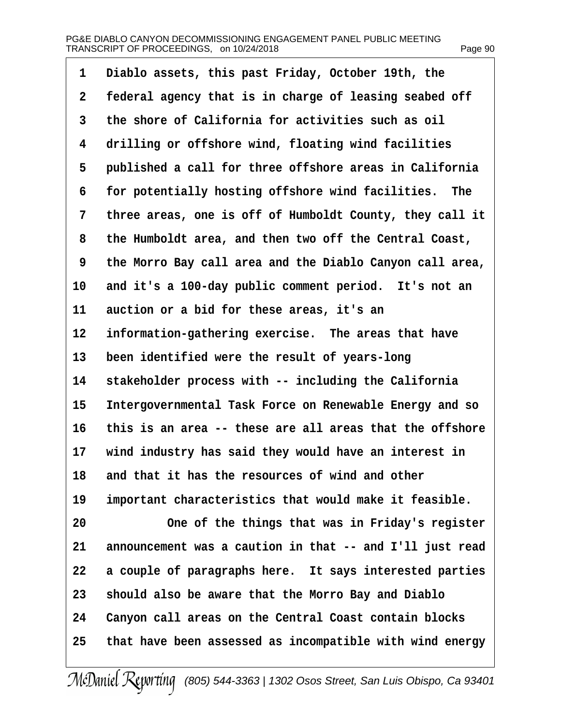| 1  | Diablo assets, this past Friday, October 19th, the       |
|----|----------------------------------------------------------|
| 2  | federal agency that is in charge of leasing seabed off   |
| 3  | the shore of California for activities such as oil       |
| 4  | drilling or offshore wind, floating wind facilities      |
| 5  | published a call for three offshore areas in California  |
| 6  | for potentially hosting offshore wind facilities. The    |
| 7  | three areas, one is off of Humboldt County, they call it |
| 8  | the Humboldt area, and then two off the Central Coast,   |
| 9  | the Morro Bay call area and the Diablo Canyon call area, |
| 10 | and it's a 100-day public comment period. It's not an    |
| 11 | auction or a bid for these areas, it's an                |
| 12 | information-gathering exercise. The areas that have      |
| 13 | been identified were the result of years-long            |
| 14 | stakeholder process with -- including the California     |
| 15 | Intergovernmental Task Force on Renewable Energy and so  |
| 16 | this is an area -- these are all areas that the offshore |
| 17 | wind industry has said they would have an interest in    |
| 18 | and that it has the resources of wind and other          |
| 19 | important characteristics that would make it feasible.   |
| 20 | One of the things that was in Friday's register          |
| 21 | announcement was a caution in that -- and I'll just read |
| 22 | a couple of paragraphs here. It says interested parties  |
| 23 | should also be aware that the Morro Bay and Diablo       |
| 24 | Canyon call areas on the Central Coast contain blocks    |
| 25 | that have been assessed as incompatible with wind energy |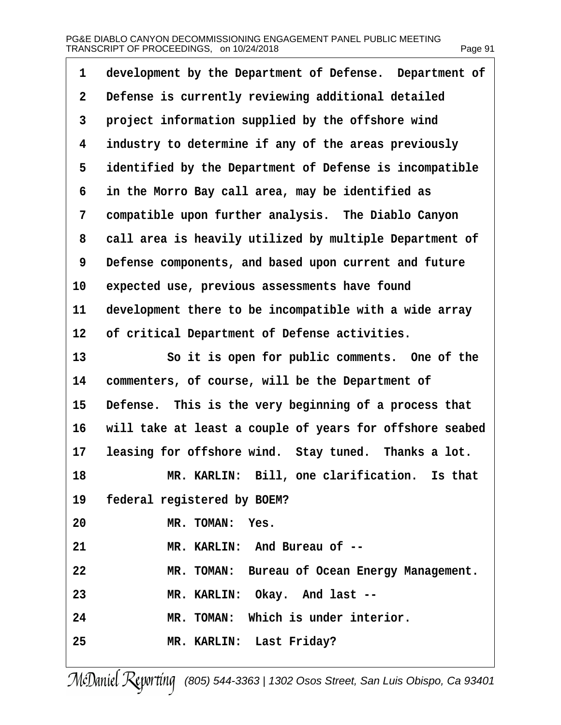| development by the Department of Defense. Department of<br>1         |
|----------------------------------------------------------------------|
| Defense is currently reviewing additional detailed<br>$\overline{2}$ |
| project information supplied by the offshore wind<br>3               |
| industry to determine if any of the areas previously<br>4            |
| identified by the Department of Defense is incompatible<br>5         |
| in the Morro Bay call area, may be identified as<br>6                |
| compatible upon further analysis. The Diablo Canyon<br>7             |
| call area is heavily utilized by multiple Department of<br>8         |
| Defense components, and based upon current and future<br>9           |
| 10<br>expected use, previous assessments have found                  |
| 11<br>development there to be incompatible with a wide array         |
| 12 <sub>2</sub><br>of critical Department of Defense activities.     |
| 13<br>So it is open for public comments. One of the                  |
| commenters, of course, will be the Department of<br>14               |
| 15<br>Defense. This is the very beginning of a process that          |
| will take at least a couple of years for offshore seabed<br>16       |
| leasing for offshore wind. Stay tuned. Thanks a lot.<br>17           |
| 18<br>MR. KARLIN: Bill, one clarification. Is that                   |
| federal registered by BOEM?<br>19                                    |
| MR. TOMAN: Yes.<br>20                                                |
| MR. KARLIN: And Bureau of --<br>21                                   |
| 22<br>MR. TOMAN: Bureau of Ocean Energy Management.                  |
| MR. KARLIN: Okay. And last --<br>23                                  |
| MR. TOMAN: Which is under interior.<br>24                            |
| 25<br>MR. KARLIN: Last Friday?                                       |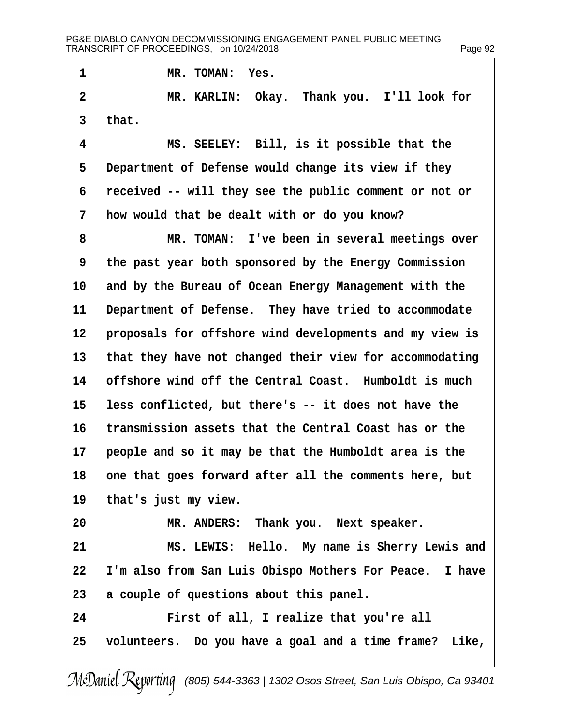1 MR. TOMAN: Yes.

2 MR. KARLIN: Okay. Thank you. I'll look for 3 that.

4 MS. SEELEY: Bill, is it possible that the 5 Department of Defense would change its view if they 6 received -- will they see the public comment or not or 7 how would that be dealt with or do you know? 8 MR. TOMAN: I've been in several meetings over 9 the past year both sponsored by the Energy Commission 10 and by the Bureau of Ocean Energy Management with the 11 Department of Defense. They have tried to accommodate 12 proposals for offshore wind developments and my view is 13 that they have not changed their view for accommodating 14 offshore wind off the Central Coast. Humboldt is much 15 less conflicted, but there's -- it does not have the 16 transmission assets that the Central Coast has or the 17 people and so it may be that the Humboldt area is the 18 one that goes forward after all the comments here, but 19 that's just my view. 20 MR. ANDERS: Thank you. Next speaker. 21 MS. LEWIS: Hello. My name is Sherry Lewis and 22 I'm also from San Luis Obispo Mothers For Peace. I have 23 a couple of questions about this panel. 24 First of all, I realize that you're all 25 volunteers. Do you have a goal and a time frame? Like,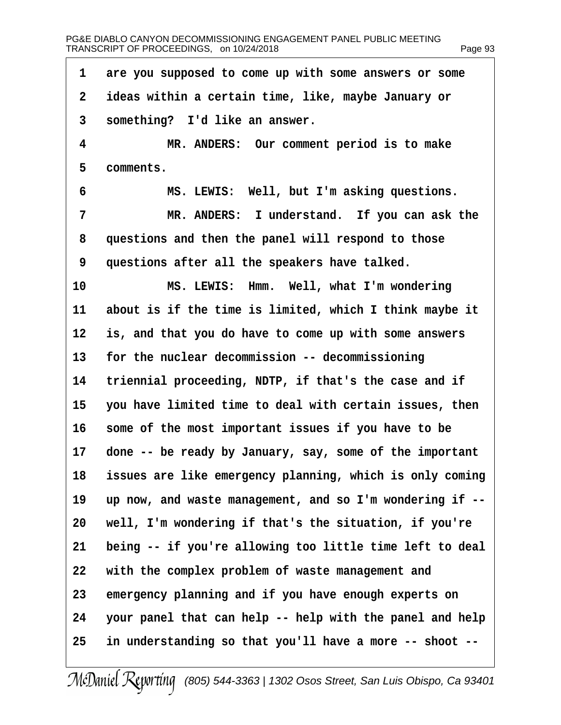| 1  | are you supposed to come up with some answers or some    |
|----|----------------------------------------------------------|
| 2  | ideas within a certain time, like, maybe January or      |
| 3  | something? I'd like an answer.                           |
| 4  | MR. ANDERS: Our comment period is to make                |
| 5  | comments.                                                |
| 6  | MS. LEWIS: Well, but I'm asking questions.               |
| 7  | MR. ANDERS: I understand. If you can ask the             |
| 8  | questions and then the panel will respond to those       |
| 9  | questions after all the speakers have talked.            |
| 10 | MS. LEWIS: Hmm. Well, what I'm wondering                 |
| 11 | about is if the time is limited, which I think maybe it  |
| 12 | is, and that you do have to come up with some answers    |
| 13 | for the nuclear decommission -- decommissioning          |
| 14 | triennial proceeding, NDTP, if that's the case and if    |
| 15 | you have limited time to deal with certain issues, then  |
| 16 | some of the most important issues if you have to be      |
| 17 | done -- be ready by January, say, some of the important  |
| 18 | issues are like emergency planning, which is only coming |
| 19 | up now, and waste management, and so I'm wondering if -- |
| 20 | well, I'm wondering if that's the situation, if you're   |
| 21 | being -- if you're allowing too little time left to deal |
| 22 | with the complex problem of waste management and         |
| 23 | emergency planning and if you have enough experts on     |
| 24 | your panel that can help -- help with the panel and help |
| 25 | in understanding so that you'll have a more -- shoot --  |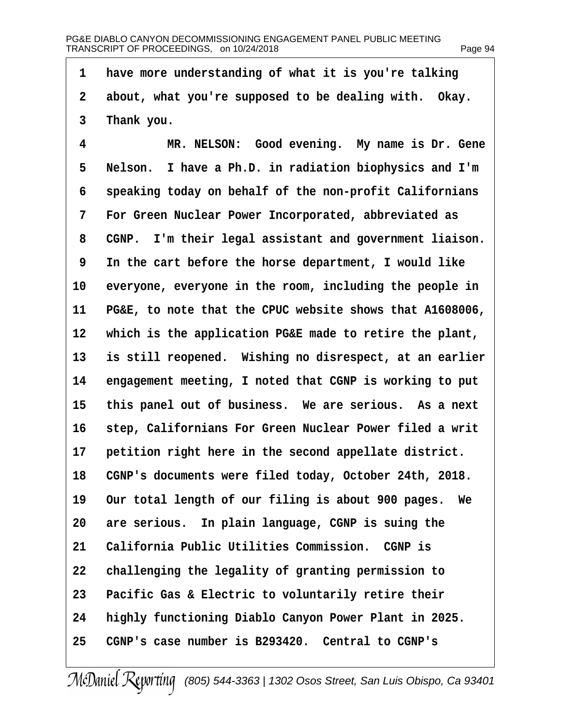1 have more understanding of what it is you're talking 2 about, what you're supposed to be dealing with. Okay. 3 Thank you. 4 MR. NELSON: Good evening. My name is Dr. Gene 5 Nelson. I have a Ph.D. in radiation biophysics and I'm 6 speaking today on behalf of the non-profit Californians 7 For Green Nuclear Power Incorporated, abbreviated as 8 CGNP. I'm their legal assistant and government liaison. 9 In the cart before the horse department, I would like 10 everyone, everyone in the room, including the people in 11 PG&E, to note that the CPUC website shows that A1608006, 12 which is the application PG&E made to retire the plant, 13 is still reopened. Wishing no disrespect, at an earlier 14 engagement meeting, I noted that CGNP is working to put 15 this panel out of business. We are serious. As a next 16 step, Californians For Green Nuclear Power filed a writ 17 petition right here in the second appellate district. 18 CGNP's documents were filed today, October 24th, 2018. 19 Our total length of our filing is about 900 pages. We 20 are serious. In plain language, CGNP is suing the 21 California Public Utilities Commission. CGNP is 22 challenging the legality of granting permission to 23 Pacific Gas & Electric to voluntarily retire their 24 highly functioning Diablo Canyon Power Plant in 2025. 25 CGNP's case number is B293420. Central to CGNP's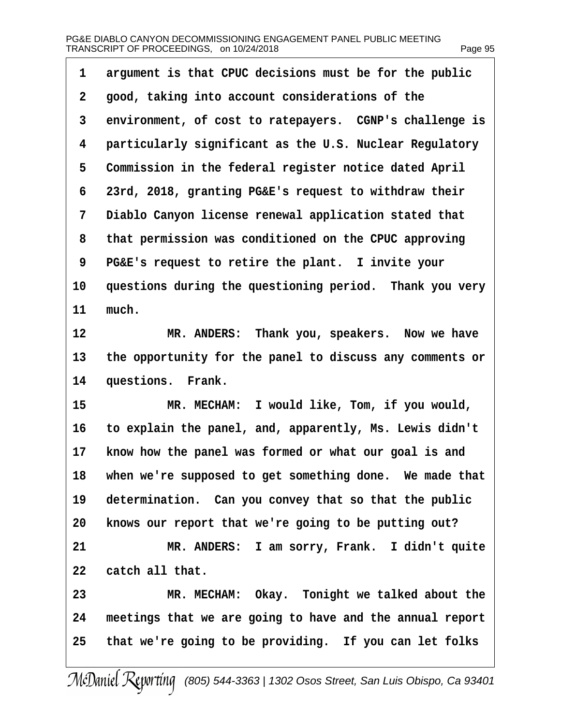| 1              | argument is that CPUC decisions must be for the public   |
|----------------|----------------------------------------------------------|
| $\overline{2}$ | good, taking into account considerations of the          |
| 3              | environment, of cost to ratepayers. CGNP's challenge is  |
| 4              | particularly significant as the U.S. Nuclear Regulatory  |
| 5              | Commission in the federal register notice dated April    |
| 6              | 23rd, 2018, granting PG&E's request to withdraw their    |
| 7              | Diablo Canyon license renewal application stated that    |
| 8              | that permission was conditioned on the CPUC approving    |
| 9              | PG&E's request to retire the plant. I invite your        |
| 10             | questions during the questioning period. Thank you very  |
| 11             | much.                                                    |
| 12             | MR. ANDERS: Thank you, speakers. Now we have             |
| 13             | the opportunity for the panel to discuss any comments or |
| 14             | questions. Frank.                                        |
| 15             | MR. MECHAM: I would like, Tom, if you would,             |
| 16             | to explain the panel, and, apparently, Ms. Lewis didn't  |
| 17             | know how the panel was formed or what our goal is and    |
| 18             | when we're supposed to get something done. We made that  |
| 19             | determination. Can you convey that so that the public    |
| 20             | knows our report that we're going to be putting out?     |
| 21             | MR. ANDERS: I am sorry, Frank. I didn't quite            |
| 22             | catch all that.                                          |
| 23             | MR. MECHAM: Okay. Tonight we talked about the            |
| 24             | meetings that we are going to have and the annual report |
| 25             | that we're going to be providing. If you can let folks   |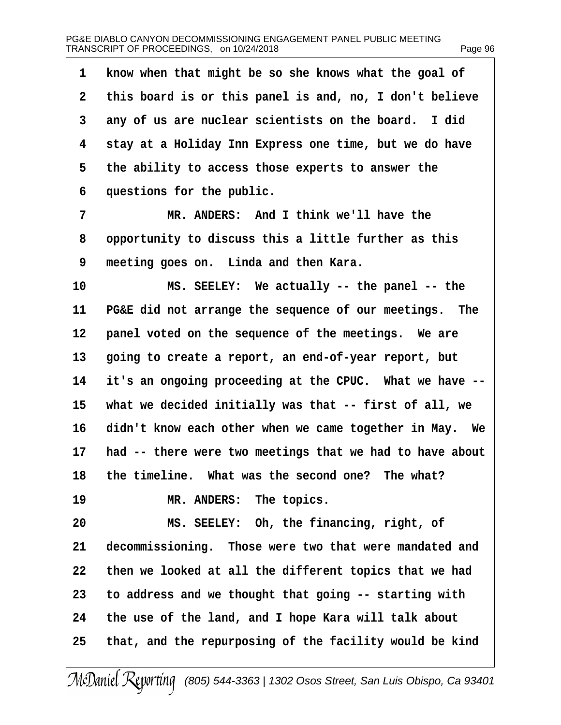| 1               | know when that might be so she knows what the goal of    |
|-----------------|----------------------------------------------------------|
| $\overline{2}$  | this board is or this panel is and, no, I don't believe  |
| 3               | any of us are nuclear scientists on the board. I did     |
| 4               | stay at a Holiday Inn Express one time, but we do have   |
| 5               | the ability to access those experts to answer the        |
| 6               | questions for the public.                                |
| 7               | MR. ANDERS: And I think we'll have the                   |
| 8               | opportunity to discuss this a little further as this     |
| 9               | meeting goes on. Linda and then Kara.                    |
| 10              | MS. SEELEY: We actually -- the panel -- the              |
| 11              | PG&E did not arrange the sequence of our meetings. The   |
| 12 <sub>2</sub> | panel voted on the sequence of the meetings. We are      |
| 13              | going to create a report, an end-of-year report, but     |
| 14              | it's an ongoing proceeding at the CPUC. What we have --  |
| 15              | what we decided initially was that -- first of all, we   |
| 16              | didn't know each other when we came together in May. We  |
| 17              | had -- there were two meetings that we had to have about |
| 18              | the timeline. What was the second one? The what?         |
| 19              | MR. ANDERS: The topics.                                  |
| 20              | MS. SEELEY: Oh, the financing, right, of                 |
| 21              | decommissioning. Those were two that were mandated and   |
| 22              | then we looked at all the different topics that we had   |
| 23              | to address and we thought that going -- starting with    |
| 24              | the use of the land, and I hope Kara will talk about     |
| 25              | that, and the repurposing of the facility would be kind  |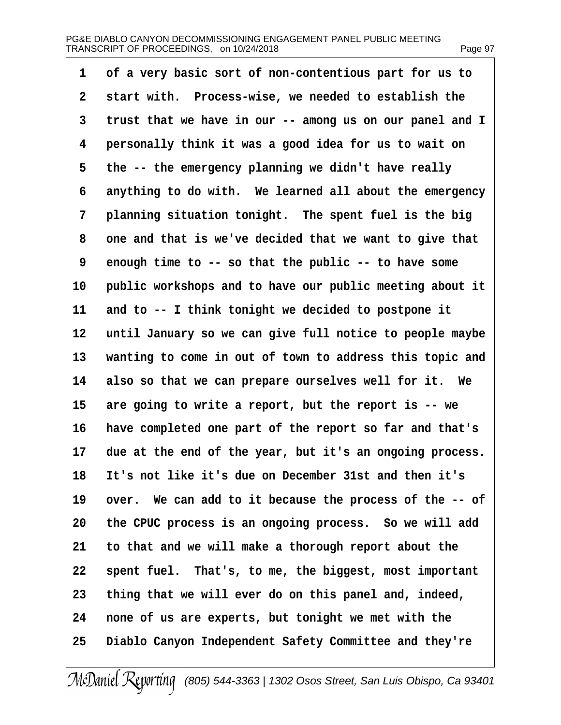1 of a very basic sort of non-contentious part for us to 2 start with. Process-wise, we needed to establish the 3 trust that we have in our -- among us on our panel and I 4 personally think it was a good idea for us to wait on 5 the -- the emergency planning we didn't have really 6 anything to do with. We learned all about the emergency 7 planning situation tonight. The spent fuel is the big 8 one and that is we've decided that we want to give that 9 enough time to -- so that the public -- to have some 10 public workshops and to have our public meeting about it 11 and to -- I think tonight we decided to postpone it 12 until January so we can give full notice to people maybe 13 wanting to come in out of town to address this topic and 14 also so that we can prepare ourselves well for it. We 15 are going to write a report, but the report is -- we 16 have completed one part of the report so far and that's 17 due at the end of the year, but it's an ongoing process. 18 It's not like it's due on December 31st and then it's 19 over. We can add to it because the process of the -- of 20 the CPUC process is an ongoing process. So we will add 21 to that and we will make a thorough report about the 22 spent fuel. That's, to me, the biggest, most important 23 thing that we will ever do on this panel and, indeed, 24 none of us are experts, but tonight we met with the 25 Diablo Canyon Independent Safety Committee and they're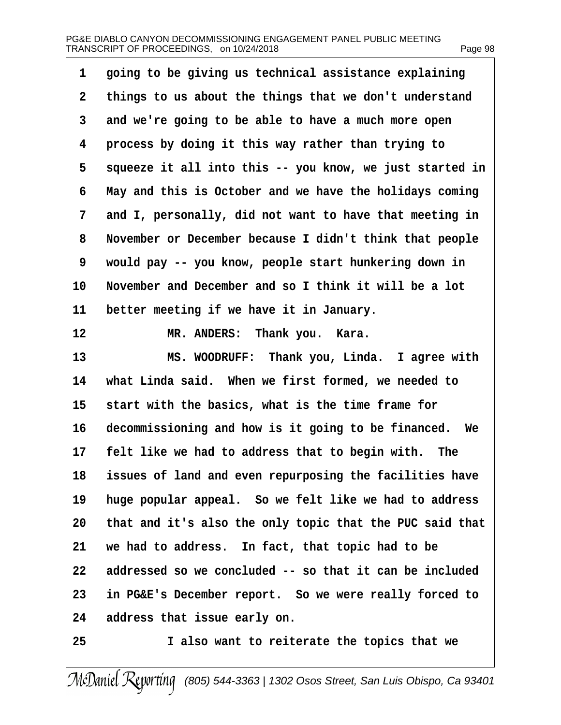| 1  | going to be giving us technical assistance explaining    |
|----|----------------------------------------------------------|
| 2  | things to us about the things that we don't understand   |
| 3  | and we're going to be able to have a much more open      |
| 4  | process by doing it this way rather than trying to       |
| 5  | squeeze it all into this -- you know, we just started in |
| 6  | May and this is October and we have the holidays coming  |
| 7  | and I, personally, did not want to have that meeting in  |
| 8  | November or December because I didn't think that people  |
| 9  | would pay -- you know, people start hunkering down in    |
| 10 | November and December and so I think it will be a lot    |
| 11 | better meeting if we have it in January.                 |
| 12 | MR. ANDERS: Thank you. Kara.                             |
| 13 | MS. WOODRUFF: Thank you, Linda. I agree with             |
| 14 | what Linda said. When we first formed, we needed to      |
| 15 | start with the basics, what is the time frame for        |
| 16 | decommissioning and how is it going to be financed. We   |
| 17 | felt like we had to address that to begin with. The      |
| 18 | issues of land and even repurposing the facilities have  |
| 19 | huge popular appeal. So we felt like we had to address   |
| 20 | that and it's also the only topic that the PUC said that |
| 21 | we had to address. In fact, that topic had to be         |
| 22 | addressed so we concluded -- so that it can be included  |
| 23 | in PG&E's December report. So we were really forced to   |
| 24 | address that issue early on.                             |
| 25 | I also want to reiterate the topics that we              |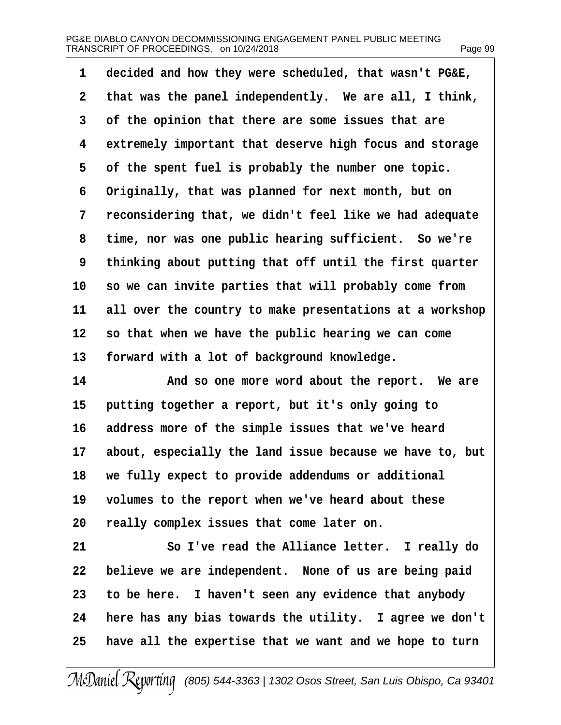| 1               | decided and how they were scheduled, that wasn't PG&E,   |
|-----------------|----------------------------------------------------------|
| 2               | that was the panel independently. We are all, I think,   |
| 3               | of the opinion that there are some issues that are       |
| 4               | extremely important that deserve high focus and storage  |
| 5               | of the spent fuel is probably the number one topic.      |
| 6               | Originally, that was planned for next month, but on      |
| 7               | reconsidering that, we didn't feel like we had adequate  |
| 8               | time, nor was one public hearing sufficient. So we're    |
| 9               | thinking about putting that off until the first quarter  |
| 10              | so we can invite parties that will probably come from    |
| 11              | all over the country to make presentations at a workshop |
| 12 <sub>2</sub> | so that when we have the public hearing we can come      |
| 13              | forward with a lot of background knowledge.              |
| 14              | And so one more word about the report. We are            |
| 15              | putting together a report, but it's only going to        |
| 16              | address more of the simple issues that we've heard       |
| 17              | about, especially the land issue because we have to, but |
| 18              | we fully expect to provide addendums or additional       |
| 19              | volumes to the report when we've heard about these       |
| 20              | really complex issues that come later on.                |
| 21              | So I've read the Alliance letter. I really do            |
| 22              | believe we are independent. None of us are being paid    |
| 23              | to be here. I haven't seen any evidence that anybody     |
| 24              | here has any bias towards the utility. I agree we don't  |
| 25              | have all the expertise that we want and we hope to turn  |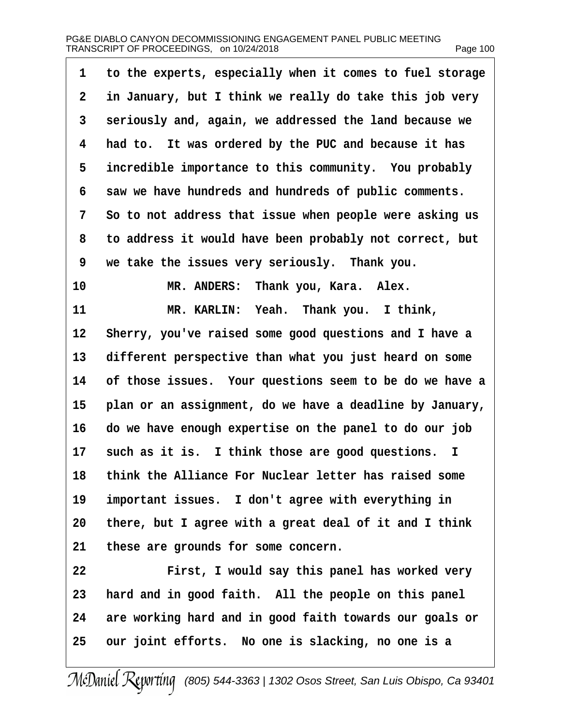| 1               | to the experts, especially when it comes to fuel storage |
|-----------------|----------------------------------------------------------|
| $\overline{2}$  | in January, but I think we really do take this job very  |
| 3               | seriously and, again, we addressed the land because we   |
| 4               | had to. It was ordered by the PUC and because it has     |
| 5               | incredible importance to this community. You probably    |
| 6               | saw we have hundreds and hundreds of public comments.    |
| 7               | So to not address that issue when people were asking us  |
| 8               | to address it would have been probably not correct, but  |
| 9               | we take the issues very seriously. Thank you.            |
| 10              | MR. ANDERS: Thank you, Kara. Alex.                       |
| 11              | MR. KARLIN: Yeah. Thank you. I think,                    |
| 12 <sub>2</sub> | Sherry, you've raised some good questions and I have a   |
| 13              | different perspective than what you just heard on some   |
| 14              | of those issues. Your questions seem to be do we have a  |
| 15              | plan or an assignment, do we have a deadline by January, |
| 16              | do we have enough expertise on the panel to do our job   |
| 17              | such as it is. I think those are good questions. I       |
| 18              | think the Alliance For Nuclear letter has raised some    |
| 19              | important issues. I don't agree with everything in       |
| 20              | there, but I agree with a great deal of it and I think   |
| 21              | these are grounds for some concern.                      |
| 22              | First, I would say this panel has worked very            |
| 23              | hard and in good faith. All the people on this panel     |
| 24              | are working hard and in good faith towards our goals or  |
| 25              | our joint efforts. No one is slacking, no one is a       |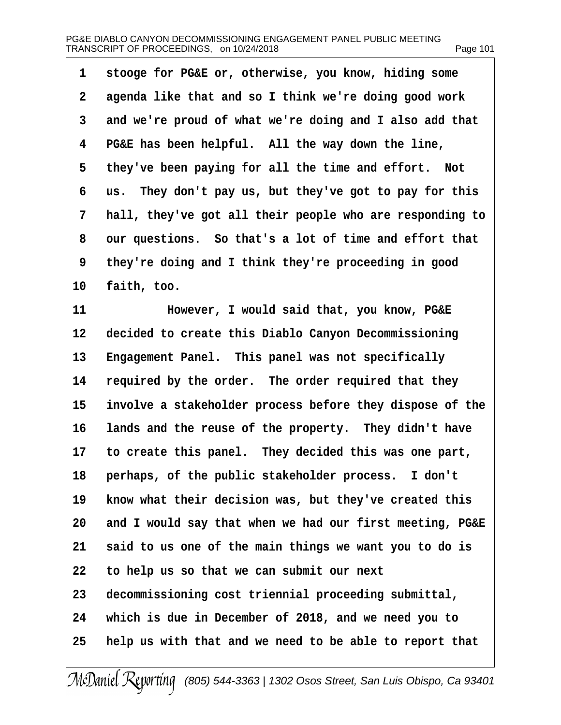1 stooge for PG&E or, otherwise, you know, hiding some 2 agenda like that and so I think we're doing good work 3 and we're proud of what we're doing and I also add that 4 PG&E has been helpful. All the way down the line, 5 they've been paying for all the time and effort. Not 6 us. They don't pay us, but they've got to pay for this 7 hall, they've got all their people who are responding to 8 our questions. So that's a lot of time and effort that 9 they're doing and I think they're proceeding in good 10 faith, too. 11 • However, I would said that, you know, PG&E 12 decided to create this Diablo Canyon Decommissioning 13 Engagement Panel. This panel was not specifically 14 required by the order. The order required that they 15 involve a stakeholder process before they dispose of the 16 lands and the reuse of the property. They didn't have 17 to create this panel. They decided this was one part, 18 perhaps, of the public stakeholder process. I don't 19 know what their decision was, but they've created this 20 and I would say that when we had our first meeting, PG&E 21 said to us one of the main things we want you to do is 22 to help us so that we can submit our next 23 decommissioning cost triennial proceeding submittal, 24 which is due in December of 2018, and we need you to 25 help us with that and we need to be able to report that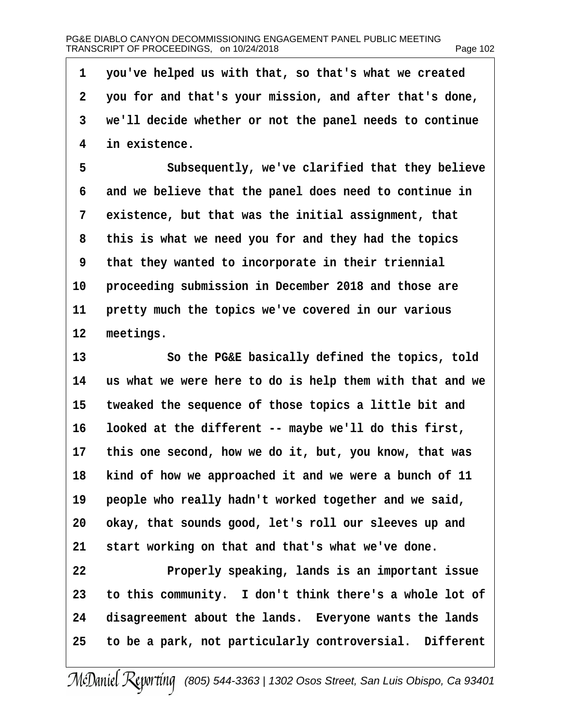·1· ·you've helped us with that, so that's what we created ·2· ·you for and that's your mission, and after that's done, 3 we'll decide whether or not the panel needs to continue 4 in existence. 5 Subsequently, we've clarified that they believe 6 and we believe that the panel does need to continue in 7 existence, but that was the initial assignment, that 8 this is what we need you for and they had the topics 9 that they wanted to incorporate in their triennial 10 proceeding submission in December 2018 and those are 11 pretty much the topics we've covered in our various 12 meetings. 13 **So the PG&E basically defined the topics, told** 14 us what we were here to do is help them with that and we 15 tweaked the sequence of those topics a little bit and 16 looked at the different -- maybe we'll do this first, 17 this one second, how we do it, but, you know, that was 18 kind of how we approached it and we were a bunch of 11 19 people who really hadn't worked together and we said, 20 okay, that sounds good, let's roll our sleeves up and 21 start working on that and that's what we've done. 22 Properly speaking, lands is an important issue 23 to this community. I don't think there's a whole lot of 24 disagreement about the lands. Everyone wants the lands 25 to be a park, not particularly controversial. Different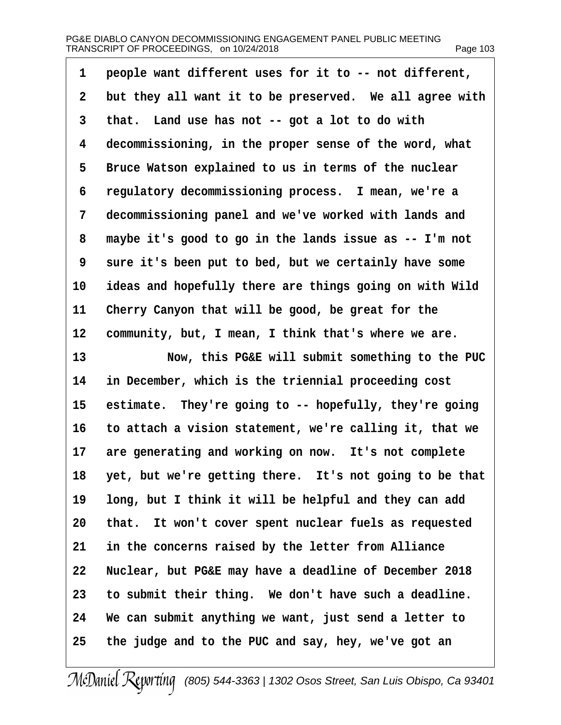| 1              | people want different uses for it to -- not different,     |
|----------------|------------------------------------------------------------|
| $\overline{2}$ | but they all want it to be preserved. We all agree with    |
| 3              | that. Land use has not -- got a lot to do with             |
| 4              | decommissioning, in the proper sense of the word, what     |
| 5              | Bruce Watson explained to us in terms of the nuclear       |
| 6              | regulatory decommissioning process. I mean, we're a        |
| 7              | decommissioning panel and we've worked with lands and      |
| 8              | maybe it's good to go in the lands issue as -- I'm not     |
| 9              | sure it's been put to bed, but we certainly have some      |
| 10             | ideas and hopefully there are things going on with Wild    |
| 11             | Cherry Canyon that will be good, be great for the          |
| 12             | community, but, I mean, I think that's where we are.       |
| 13             | Now, this PG&E will submit something to the PUC            |
| 14             | in December, which is the triennial proceeding cost        |
| 15             | estimate. They're going to -- hopefully, they're going     |
| 16             | to attach a vision statement, we're calling it, that we    |
| 17             | are generating and working on now. It's not complete       |
|                | 18 yet, but we're getting there. It's not going to be that |
| 19             | long, but I think it will be helpful and they can add      |
| 20             | that. It won't cover spent nuclear fuels as requested      |
| 21             | in the concerns raised by the letter from Alliance         |
| 22             | Nuclear, but PG&E may have a deadline of December 2018     |
| 23             | to submit their thing. We don't have such a deadline.      |
| 24             | We can submit anything we want, just send a letter to      |
| 25             | the judge and to the PUC and say, hey, we've got an        |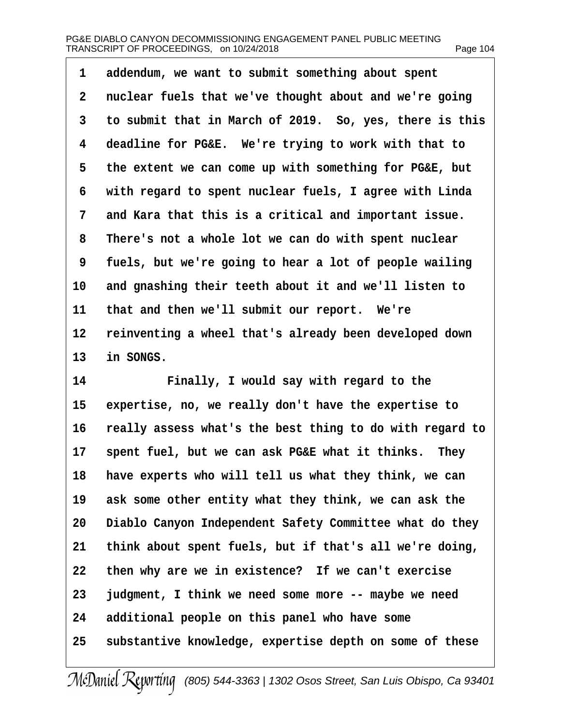| 1              | addendum, we want to submit something about spent        |
|----------------|----------------------------------------------------------|
| $\overline{2}$ | nuclear fuels that we've thought about and we're going   |
| 3              | to submit that in March of 2019. So, yes, there is this  |
| 4              | deadline for PG&E. We're trying to work with that to     |
| 5              | the extent we can come up with something for PG&E, but   |
| 6              | with regard to spent nuclear fuels, I agree with Linda   |
| 7              | and Kara that this is a critical and important issue.    |
| 8              | There's not a whole lot we can do with spent nuclear     |
| 9              | fuels, but we're going to hear a lot of people wailing   |
| 10             | and gnashing their teeth about it and we'll listen to    |
| 11             | that and then we'll submit our report. We're             |
| 12             | reinventing a wheel that's already been developed down   |
| 13             | in SONGS.                                                |
| 14             | Finally, I would say with regard to the                  |
| 15             | expertise, no, we really don't have the expertise to     |
| 16             | really assess what's the best thing to do with regard to |
| 17             | spent fuel, but we can ask PG&E what it thinks. They     |
| 18             | have experts who will tell us what they think, we can    |
| 19             | ask some other entity what they think, we can ask the    |
| 20             | Diablo Canyon Independent Safety Committee what do they  |
| 21             | think about spent fuels, but if that's all we're doing,  |
| 22             | then why are we in existence? If we can't exercise       |
| 23             | judgment, I think we need some more -- maybe we need     |
| 24             | additional people on this panel who have some            |
| 25             | substantive knowledge, expertise depth on some of these  |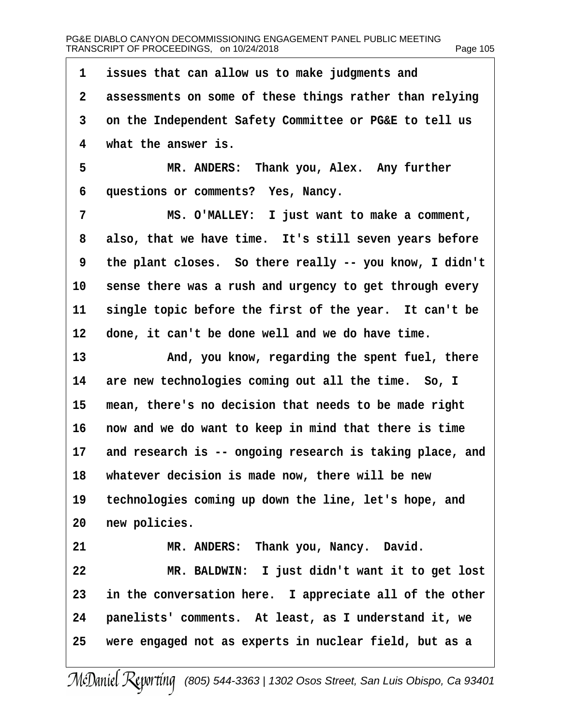1 issues that can allow us to make judgments and 2 assessments on some of these things rather than relying 3 on the Independent Safety Committee or PG&E to tell us 4 what the answer is. 5 MR. ANDERS: Thank you, Alex. Any further 6 questions or comments? Yes, Nancy. 7 MS. O'MALLEY: I just want to make a comment, 8 also, that we have time. It's still seven years before 9 the plant closes. So there really -- you know, I didn't 10 sense there was a rush and urgency to get through every 11 single topic before the first of the year. It can't be 12 done, it can't be done well and we do have time. 13 • And, you know, regarding the spent fuel, there 14 are new technologies coming out all the time. So, I 15 mean, there's no decision that needs to be made right 16 now and we do want to keep in mind that there is time 17 and research is -- ongoing research is taking place, and 18 whatever decision is made now, there will be new 19 technologies coming up down the line, let's hope, and 20 new policies. 21 MR. ANDERS: Thank you, Nancy. David. 22 MR. BALDWIN: I just didn't want it to get lost 23 in the conversation here. I appreciate all of the other 24 panelists' comments. At least, as I understand it, we 25 were engaged not as experts in nuclear field, but as a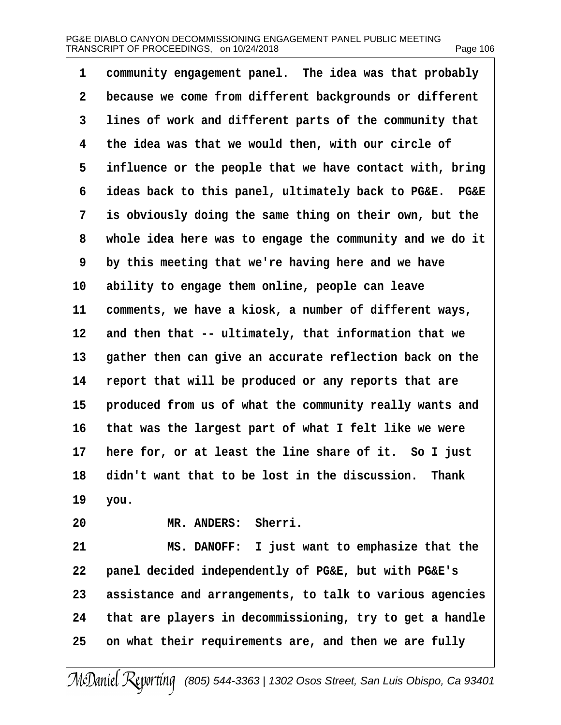| 1  | community engagement panel. The idea was that probably   |
|----|----------------------------------------------------------|
| 2  | because we come from different backgrounds or different  |
| 3  | lines of work and different parts of the community that  |
| 4  | the idea was that we would then, with our circle of      |
| 5  | influence or the people that we have contact with, bring |
| 6  | ideas back to this panel, ultimately back to PG&E. PG&E  |
| 7  | is obviously doing the same thing on their own, but the  |
| 8  | whole idea here was to engage the community and we do it |
| 9  | by this meeting that we're having here and we have       |
| 10 | ability to engage them online, people can leave          |
| 11 | comments, we have a kiosk, a number of different ways,   |
| 12 | and then that -- ultimately, that information that we    |
| 13 | gather then can give an accurate reflection back on the  |
| 14 | report that will be produced or any reports that are     |
| 15 | produced from us of what the community really wants and  |
| 16 | that was the largest part of what I felt like we were    |
| 17 | here for, or at least the line share of it. So I just    |
|    | 18 didn't want that to be lost in the discussion. Thank  |
| 19 | you.                                                     |
| 20 | MR. ANDERS: Sherri.                                      |
| 21 | MS. DANOFF: I just want to emphasize that the            |
| 22 | panel decided independently of PG&E, but with PG&E's     |
| 23 | assistance and arrangements, to talk to various agencies |
| 24 | that are players in decommissioning, try to get a handle |
| 25 | on what their requirements are, and then we are fully    |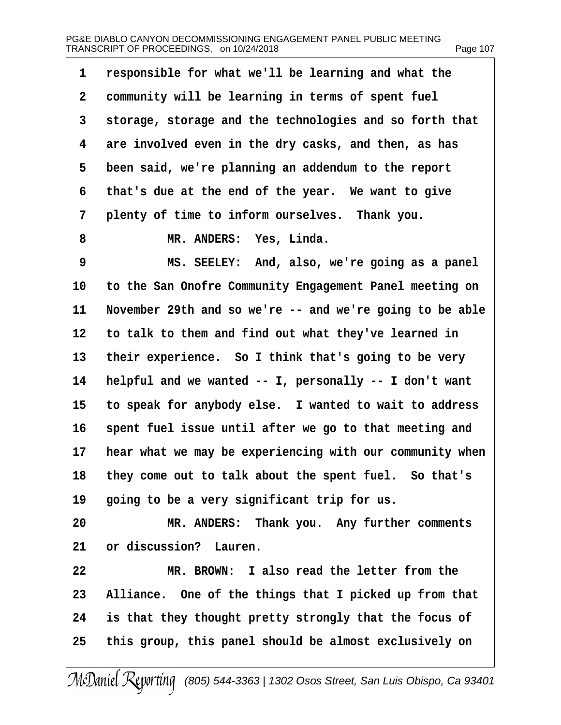| 1              | responsible for what we'll be learning and what the      |
|----------------|----------------------------------------------------------|
| $\overline{2}$ | community will be learning in terms of spent fuel        |
| 3              | storage, storage and the technologies and so forth that  |
| 4              | are involved even in the dry casks, and then, as has     |
| 5              | been said, we're planning an addendum to the report      |
| 6              | that's due at the end of the year. We want to give       |
| 7              | plenty of time to inform ourselves. Thank you.           |
| 8              | MR. ANDERS: Yes, Linda.                                  |
| 9              | MS. SEELEY: And, also, we're going as a panel            |
| 10             | to the San Onofre Community Engagement Panel meeting on  |
| 11             | November 29th and so we're -- and we're going to be able |
| 12             | to talk to them and find out what they've learned in     |
| 13             | their experience. So I think that's going to be very     |
| 14             | helpful and we wanted -- I, personally -- I don't want   |
| 15             | to speak for anybody else. I wanted to wait to address   |
| 16             | spent fuel issue until after we go to that meeting and   |
| 17             | hear what we may be experiencing with our community when |
| 18             | they come out to talk about the spent fuel. So that's    |
| 19             | going to be a very significant trip for us.              |
| 20             | MR. ANDERS: Thank you. Any further comments              |
| 21             | or discussion? Lauren.                                   |
| 22             | MR. BROWN: I also read the letter from the               |
| 23             | Alliance. One of the things that I picked up from that   |
| 24             | is that they thought pretty strongly that the focus of   |
| 25             | this group, this panel should be almost exclusively on   |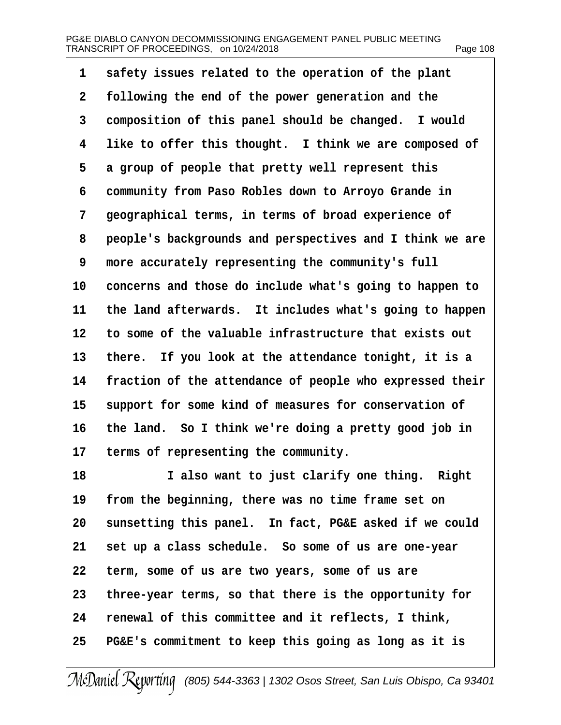| 1  | safety issues related to the operation of the plant      |
|----|----------------------------------------------------------|
| 2  | following the end of the power generation and the        |
| 3  | composition of this panel should be changed. I would     |
| 4  | like to offer this thought. I think we are composed of   |
| 5  | a group of people that pretty well represent this        |
| 6  | community from Paso Robles down to Arroyo Grande in      |
| 7  | geographical terms, in terms of broad experience of      |
| 8  | people's backgrounds and perspectives and I think we are |
| 9  | more accurately representing the community's full        |
| 10 | concerns and those do include what's going to happen to  |
| 11 | the land afterwards. It includes what's going to happen  |
| 12 | to some of the valuable infrastructure that exists out   |
| 13 | there. If you look at the attendance tonight, it is a    |
| 14 | fraction of the attendance of people who expressed their |
| 15 | support for some kind of measures for conservation of    |
| 16 | the land. So I think we're doing a pretty good job in    |
| 17 | terms of representing the community.                     |
| 18 | I also want to just clarify one thing. Right             |
| 19 | from the beginning, there was no time frame set on       |
| 20 | sunsetting this panel. In fact, PG&E asked if we could   |
| 21 | set up a class schedule. So some of us are one-year      |
| 22 | term, some of us are two years, some of us are           |
| 23 | three-year terms, so that there is the opportunity for   |
| 24 | renewal of this committee and it reflects, I think,      |
| 25 | PG&E's commitment to keep this going as long as it is    |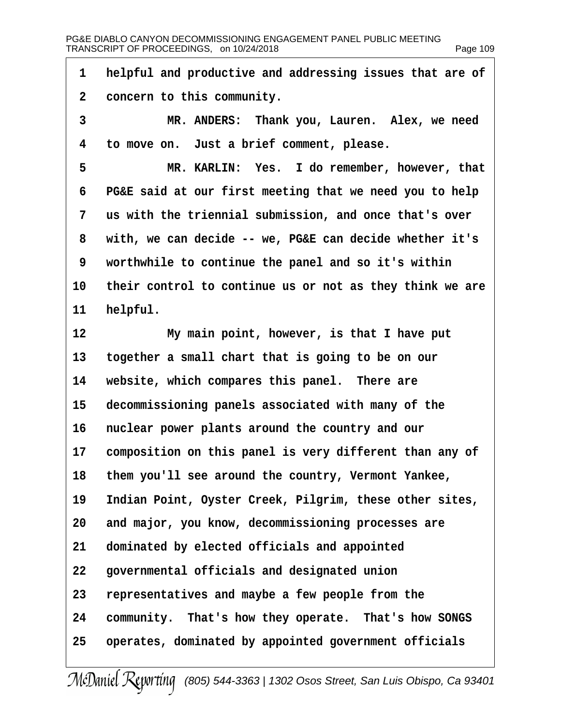1 helpful and productive and addressing issues that are of 2 concern to this community. 3 MR. ANDERS: Thank you, Lauren. Alex, we need 4 to move on. Just a brief comment, please. 5 MR. KARLIN: Yes. I do remember, however, that 6 PG&E said at our first meeting that we need you to help 7 us with the triennial submission, and once that's over 8 with, we can decide -- we, PG&E can decide whether it's 9 worthwhile to continue the panel and so it's within 10 their control to continue us or not as they think we are 11 helpful. 12 My main point, however, is that I have put 13 together a small chart that is going to be on our 14 website, which compares this panel. There are 15 decommissioning panels associated with many of the 16 nuclear power plants around the country and our 17 composition on this panel is very different than any of 18 them you'll see around the country, Vermont Yankee, 19 Indian Point, Oyster Creek, Pilgrim, these other sites, 20 and major, you know, decommissioning processes are 21 dominated by elected officials and appointed 22 governmental officials and designated union 23 representatives and maybe a few people from the 24 community. That's how they operate. That's how SONGS 25 operates, dominated by appointed government officials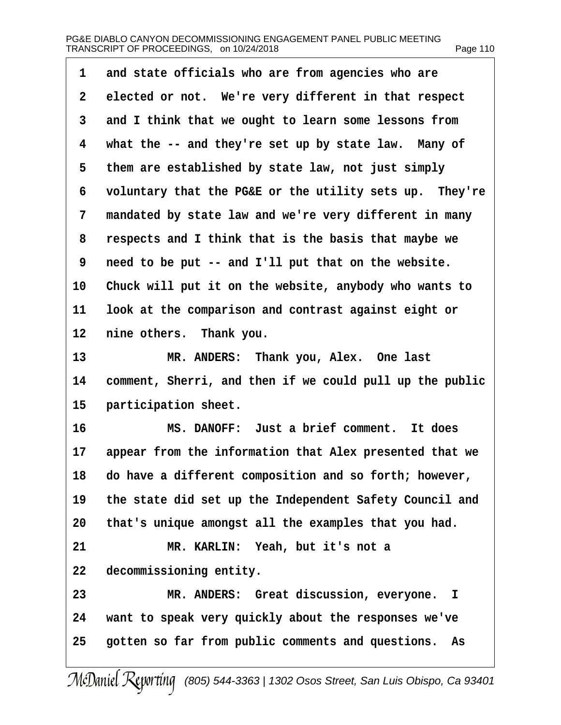| 1              | and state officials who are from agencies who are        |
|----------------|----------------------------------------------------------|
| $\overline{2}$ | elected or not. We're very different in that respect     |
| 3              | and I think that we ought to learn some lessons from     |
| 4              | what the -- and they're set up by state law. Many of     |
| 5              | them are established by state law, not just simply       |
| 6              | voluntary that the PG&E or the utility sets up. They're  |
| 7              | mandated by state law and we're very different in many   |
| 8              | respects and I think that is the basis that maybe we     |
| 9              | need to be put -- and I'll put that on the website.      |
| 10             | Chuck will put it on the website, anybody who wants to   |
| 11             | look at the comparison and contrast against eight or     |
| 12             | nine others. Thank you.                                  |
| 13             | MR. ANDERS: Thank you, Alex. One last                    |
| 14             | comment, Sherri, and then if we could pull up the public |
| 15             | participation sheet.                                     |
| 16             | MS. DANOFF: Just a brief comment. It does                |
| 17             | appear from the information that Alex presented that we  |
| 18             | do have a different composition and so forth; however,   |
| 19             | the state did set up the Independent Safety Council and  |
| 20             | that's unique amongst all the examples that you had.     |
| 21             | MR. KARLIN: Yeah, but it's not a                         |
| 22             | decommissioning entity.                                  |
| 23             | MR. ANDERS: Great discussion, everyone. I                |
| 24             | want to speak very quickly about the responses we've     |
| 25             | gotten so far from public comments and questions. As     |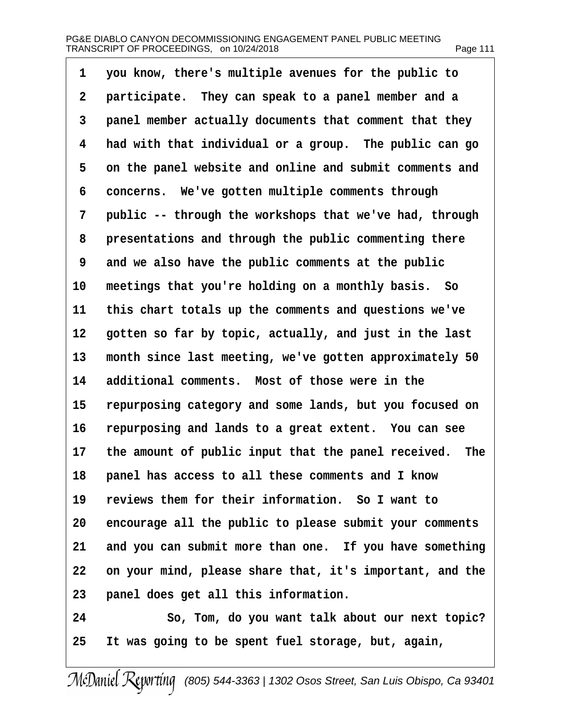## PG&E DIABLO CANYON DECOMMISSIONING ENGAGEMENT PANEL PUBLIC MEETING TRANSCRIPT OF PROCEEDINGS, on 10/24/2018 example the state of the Page 111

·1· ·you know, there's multiple avenues for the public to 2 participate. They can speak to a panel member and a 3 panel member actually documents that comment that they 4 had with that individual or a group. The public can go 5 on the panel website and online and submit comments and 6 concerns. We've gotten multiple comments through 7 public -- through the workshops that we've had, through 8 presentations and through the public commenting there 9 and we also have the public comments at the public 10 meetings that you're holding on a monthly basis. So 11 this chart totals up the comments and questions we've 12 gotten so far by topic, actually, and just in the last 13 month since last meeting, we've gotten approximately 50 14 additional comments. Most of those were in the 15 repurposing category and some lands, but you focused on 16 repurposing and lands to a great extent. You can see 17 the amount of public input that the panel received. The 18 panel has access to all these comments and I know 19 reviews them for their information. So I want to 20 encourage all the public to please submit your comments 21 and you can submit more than one. If you have something 22 on your mind, please share that, it's important, and the 23 panel does get all this information. 24 · · · So, Tom, do you want talk about our next topic? 25 It was going to be spent fuel storage, but, again,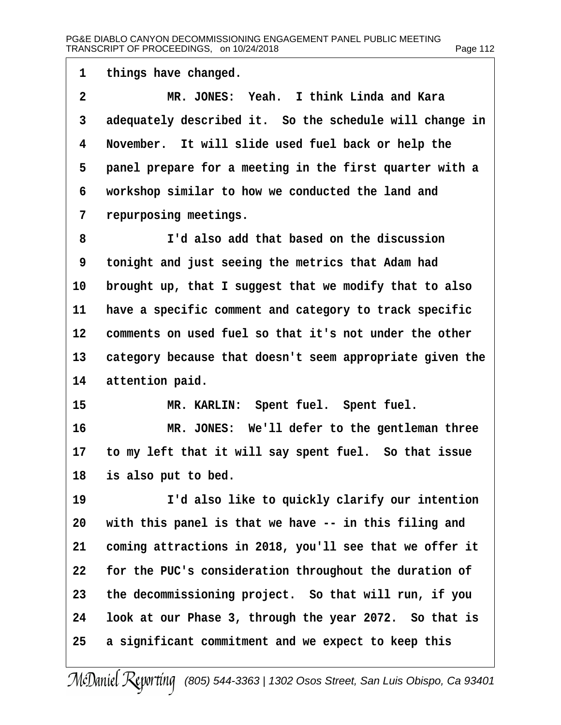| 1              | things have changed.                                     |
|----------------|----------------------------------------------------------|
| $\overline{2}$ | MR. JONES: Yeah. I think Linda and Kara                  |
| 3              | adequately described it. So the schedule will change in  |
| 4              | November. It will slide used fuel back or help the       |
| 5              | panel prepare for a meeting in the first quarter with a  |
| 6              | workshop similar to how we conducted the land and        |
| 7              | repurposing meetings.                                    |
| 8              | I'd also add that based on the discussion                |
| 9              | tonight and just seeing the metrics that Adam had        |
| 10             | brought up, that I suggest that we modify that to also   |
| 11             | have a specific comment and category to track specific   |
| 12             | comments on used fuel so that it's not under the other   |
| 13             | category because that doesn't seem appropriate given the |
| 14             | attention paid.                                          |
| 15             | MR. KARLIN: Spent fuel. Spent fuel.                      |
| 16             | MR. JONES: We'll defer to the gentleman three            |
| 17             | to my left that it will say spent fuel. So that issue    |
|                | 18 is also put to bed.                                   |
| 19             | I'd also like to quickly clarify our intention           |
| 20             | with this panel is that we have -- in this filing and    |
| 21             | coming attractions in 2018, you'll see that we offer it  |
| 22             | for the PUC's consideration throughout the duration of   |
| 23             | the decommissioning project. So that will run, if you    |
| 24             | look at our Phase 3, through the year 2072. So that is   |
| 25             | a significant commitment and we expect to keep this      |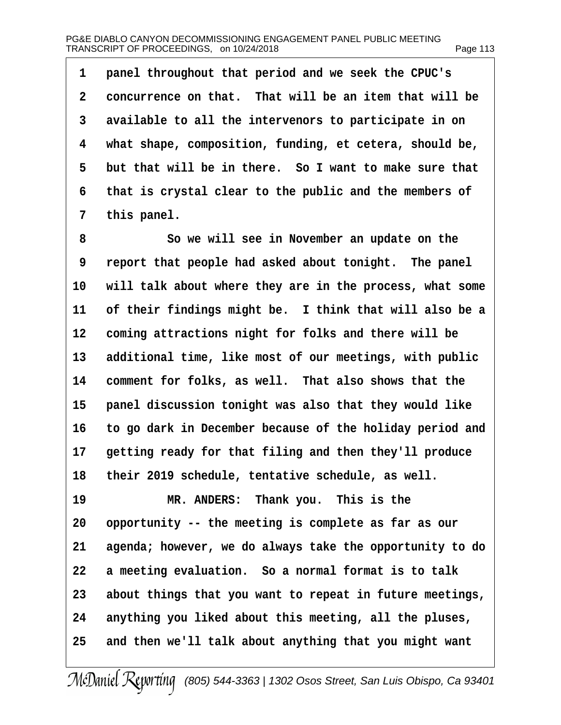## PG&E DIABLO CANYON DECOMMISSIONING ENGAGEMENT PANEL PUBLIC MEETING TRANSCRIPT OF PROCEEDINGS, on 10/24/2018 Page 113

1 panel throughout that period and we seek the CPUC's 2 concurrence on that. That will be an item that will be 3 available to all the intervenors to participate in on 4 what shape, composition, funding, et cetera, should be, 5 but that will be in there. So I want to make sure that ·6· ·that is crystal clear to the public and the members of 7 this panel. 8 **8** · · · So we will see in November an update on the 9 report that people had asked about tonight. The panel 10 will talk about where they are in the process, what some 11 of their findings might be. I think that will also be a 12 coming attractions night for folks and there will be 13 additional time, like most of our meetings, with public 14 comment for folks, as well. That also shows that the 15 panel discussion tonight was also that they would like 16 to go dark in December because of the holiday period and 17 getting ready for that filing and then they'll produce 18 their 2019 schedule, tentative schedule, as well. 19 MR. ANDERS: Thank you. This is the 20 opportunity -- the meeting is complete as far as our 21 agenda; however, we do always take the opportunity to do 22 a meeting evaluation. So a normal format is to talk 23 about things that you want to repeat in future meetings, 24 anything you liked about this meeting, all the pluses, 25 and then we'll talk about anything that you might want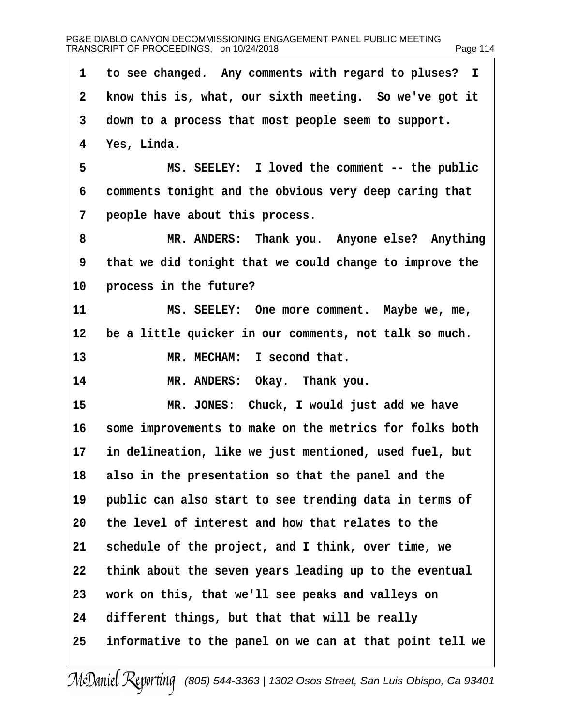| 1              | to see changed. Any comments with regard to pluses? I    |
|----------------|----------------------------------------------------------|
| $\overline{2}$ | know this is, what, our sixth meeting. So we've got it   |
| 3              | down to a process that most people seem to support.      |
| 4              | Yes, Linda.                                              |
| 5              | MS. SEELEY: I loved the comment -- the public            |
| 6              | comments tonight and the obvious very deep caring that   |
| 7              | people have about this process.                          |
| 8              | MR. ANDERS: Thank you. Anyone else? Anything             |
| 9              | that we did tonight that we could change to improve the  |
| 10             | process in the future?                                   |
| 11             | MS. SEELEY: One more comment. Maybe we, me,              |
| 12             | be a little quicker in our comments, not talk so much.   |
| 13             | MR. MECHAM: I second that.                               |
| 14             | MR. ANDERS: Okay. Thank you.                             |
| 15             | MR. JONES: Chuck, I would just add we have               |
| 16             | some improvements to make on the metrics for folks both  |
| 17             | in delineation, like we just mentioned, used fuel, but   |
| 18             | also in the presentation so that the panel and the       |
| 19             | public can also start to see trending data in terms of   |
| 20             | the level of interest and how that relates to the        |
| 21             | schedule of the project, and I think, over time, we      |
| 22             | think about the seven years leading up to the eventual   |
| 23             | work on this, that we'll see peaks and valleys on        |
| 24             | different things, but that that will be really           |
| 25             | informative to the panel on we can at that point tell we |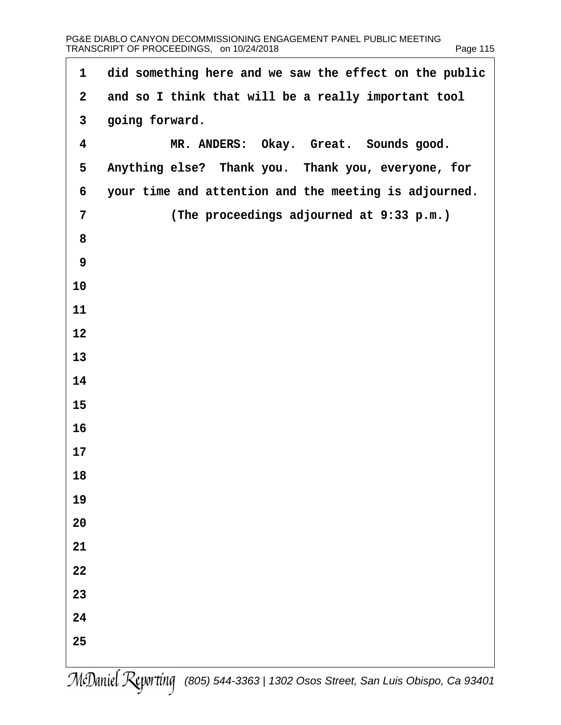| 1              | did something here and we saw the effect on the public |
|----------------|--------------------------------------------------------|
| $\overline{2}$ | and so I think that will be a really important tool    |
| $\mathfrak{S}$ | going forward.                                         |
| 4              | MR. ANDERS: Okay. Great. Sounds good.                  |
| 5              | Anything else? Thank you. Thank you, everyone, for     |
| 6              | your time and attention and the meeting is adjourned.  |
| 7              | (The proceedings adjourned at 9:33 p.m.)               |
| 8              |                                                        |
| 9              |                                                        |
| 10             |                                                        |
| 11             |                                                        |
| 12             |                                                        |
| 13             |                                                        |
| 14             |                                                        |
| 15             |                                                        |
| 16             |                                                        |
| 17             |                                                        |
| 18             |                                                        |
| 19             |                                                        |
| 20             |                                                        |
| 21             |                                                        |
| 22             |                                                        |
| 23             |                                                        |
| 24             |                                                        |
| 25             |                                                        |